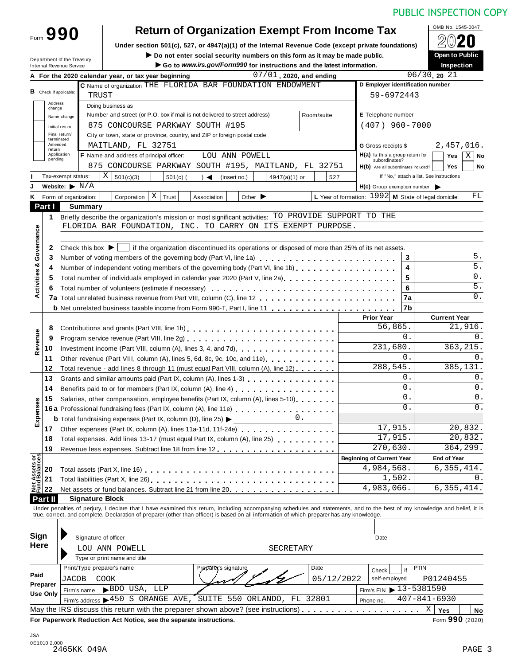| $_{\text{Form}}$ 990<br>Department of the Treasury | <b>Return of Organization Exempt From Income Tax</b><br>Under section 501(c), 527, or 4947(a)(1) of the Internal Revenue Code (except private foundations)<br>$\triangleright$ Do not enter social security numbers on this form as it may be made public. |                                                        | Open to Public                           |
|----------------------------------------------------|------------------------------------------------------------------------------------------------------------------------------------------------------------------------------------------------------------------------------------------------------------|--------------------------------------------------------|------------------------------------------|
| <b>Internal Revenue Service</b>                    | Go to www.irs.gov/Form990 for instructions and the latest information.                                                                                                                                                                                     |                                                        | Inspection                               |
|                                                    | $07/01$ , 2020, and ending<br>A For the 2020 calendar year, or tax year beginning                                                                                                                                                                          |                                                        | $06/30$ , 20 21                          |
| <b>B</b> Check if applicable:                      | C Name of organization THE FLORIDA BAR FOUNDATION ENDOWMENT                                                                                                                                                                                                | D Employer identification number                       |                                          |
|                                                    | TRUST                                                                                                                                                                                                                                                      | 59-6972443                                             |                                          |
| Address<br>change                                  | Doing business as                                                                                                                                                                                                                                          |                                                        |                                          |
| Name change                                        | Number and street (or P.O. box if mail is not delivered to street address)<br>Room/suite                                                                                                                                                                   | E Telephone number                                     |                                          |
| Initial return                                     | 875 CONCOURSE PARKWAY SOUTH #195                                                                                                                                                                                                                           | $(407)$ 960-7000                                       |                                          |
| Final return/<br>terminated                        | City or town, state or province, country, and ZIP or foreign postal code                                                                                                                                                                                   |                                                        |                                          |
| Amended<br>return                                  | MAITLAND, FL 32751                                                                                                                                                                                                                                         | G Gross receipts \$                                    | 2,457,016.                               |
| Application<br>pending                             | F Name and address of principal officer:<br>LOU ANN POWELL                                                                                                                                                                                                 | $H(a)$ is this a group return for<br>subordinates?     | $X \mid$<br>Yes<br>No                    |
|                                                    | 875 CONCOURSE PARKWAY SOUTH #195, MAITLAND, FL 32751                                                                                                                                                                                                       | H(b) Are all subordinates included?                    | <b>Yes</b><br>No                         |
| Tax-exempt status:                                 | Χ<br>501(c)(3)<br>$501(c)$ (<br>$\rightarrow$<br>(insert no.)<br>4947(a)(1) or<br>527                                                                                                                                                                      |                                                        | If "No," attach a list. See instructions |
| Website: $\blacktriangleright$ N/A                 |                                                                                                                                                                                                                                                            | $H(c)$ Group exemption number $\blacktriangleright$    |                                          |
| K Form of organization:                            | Χ<br>Trust<br>Other $\blacktriangleright$<br>Corporation<br>Association                                                                                                                                                                                    | L Year of formation: $1992$ M State of legal domicile: | FL                                       |
| Part I                                             | Summary                                                                                                                                                                                                                                                    |                                                        |                                          |
| 1                                                  | Briefly describe the organization's mission or most significant activities: TO PROVIDE SUPPORT TO THE                                                                                                                                                      |                                                        |                                          |
|                                                    | FLORIDA BAR FOUNDATION, INC. TO CARRY ON ITS EXEMPT PURPOSE.                                                                                                                                                                                               |                                                        |                                          |
|                                                    |                                                                                                                                                                                                                                                            |                                                        |                                          |
| 2                                                  | if the organization discontinued its operations or disposed of more than 25% of its net assets.<br>Check this box $\blacktriangleright$                                                                                                                    |                                                        |                                          |
| 3                                                  | Number of voting members of the governing body (Part VI, line 1a)                                                                                                                                                                                          | 3                                                      | 5.                                       |
| 4                                                  | Number of independent voting members of the governing body (Part VI, line 1b)                                                                                                                                                                              | 4                                                      | $\overline{5}$ .                         |
| 5                                                  |                                                                                                                                                                                                                                                            | 5                                                      | 0.                                       |
| 6                                                  |                                                                                                                                                                                                                                                            | 6                                                      | 5.                                       |
|                                                    |                                                                                                                                                                                                                                                            | 7a                                                     | 0.                                       |
|                                                    |                                                                                                                                                                                                                                                            | 7b                                                     |                                          |
|                                                    |                                                                                                                                                                                                                                                            | <b>Prior Year</b><br>56,865                            | <b>Current Year</b><br>21,916.           |
| 8                                                  | Contributions and grants (Part VIII, line 1h)                                                                                                                                                                                                              | 0.                                                     | 0.                                       |
| 9                                                  |                                                                                                                                                                                                                                                            | 231,680.                                               | 363, 215.                                |
| 10                                                 |                                                                                                                                                                                                                                                            | 0.                                                     | 0.                                       |
| 11                                                 | Other revenue (Part VIII, column (A), lines 5, 6d, 8c, 9c, 10c, and 11e)                                                                                                                                                                                   | 288,545.                                               | 385,131.                                 |
| 12<br>13                                           | Total revenue - add lines 8 through 11 (must equal Part VIII, column (A), line 12)<br>Grants and similar amounts paid (Part IX, column (A), lines 1-3)                                                                                                     | 0.                                                     | 0.                                       |
| 14                                                 |                                                                                                                                                                                                                                                            | 0.                                                     | $0$ .                                    |
| 15                                                 | Benefits paid to or for members (Part IX, column (A), line 4)<br>Salaries, other compensation, employee benefits (Part IX, column (A), lines 5-10)                                                                                                         | 0.                                                     | 0.                                       |
|                                                    | 16a Professional fundraising fees (Part IX, column (A), line 11e)<br>16a Professional fundraising fees (Part IX, column (A), line 11e)                                                                                                                     | $\Omega$                                               | 0.                                       |
|                                                    | <b>b</b> Total fundraising expenses (Part IX, column (D), line 25) >                                                                                                                                                                                       |                                                        |                                          |
| 17                                                 |                                                                                                                                                                                                                                                            | 17,915.                                                | 20,832.                                  |
| 18                                                 | Total expenses. Add lines 13-17 (must equal Part IX, column (A), line 25)                                                                                                                                                                                  | 17,915.                                                | 20,832.                                  |
| 19                                                 |                                                                                                                                                                                                                                                            | 270,630.                                               | 364,299.                                 |
|                                                    |                                                                                                                                                                                                                                                            | <b>Beginning of Current Year</b>                       | <b>End of Year</b>                       |
| 20                                                 |                                                                                                                                                                                                                                                            | 4,984,568.                                             | 6,355,414.                               |
| 21                                                 |                                                                                                                                                                                                                                                            | 1,502.                                                 | 0.                                       |
| 22                                                 | Net assets or fund balances. Subtract line 21 from line 20.                                                                                                                                                                                                | 4,983,066.                                             | 6, 355, 414.                             |
| Part II                                            | <b>Signature Block</b>                                                                                                                                                                                                                                     |                                                        |                                          |
|                                                    | Under penalties of perjury, I declare that I have examined this return, including accompanying schedules and statements, and to the best of my knowledge and belief, it is                                                                                 |                                                        |                                          |
|                                                    | true, correct, and complete. Declaration of preparer (other than officer) is based on all information of which preparer has any knowledge.                                                                                                                 |                                                        |                                          |
|                                                    |                                                                                                                                                                                                                                                            |                                                        |                                          |
| Sign                                               | Signature of officer                                                                                                                                                                                                                                       | Date                                                   |                                          |
| <b>Here</b>                                        | LOU ANN POWELL<br>SECRETARY                                                                                                                                                                                                                                |                                                        |                                          |
|                                                    | Type or print name and title                                                                                                                                                                                                                               |                                                        |                                          |
|                                                    | Print/Type preparer's name<br>Date<br>Preparer's signature                                                                                                                                                                                                 | if<br>Check                                            | PTIN                                     |
| Paid<br>JACOB                                      | 05/12/2022<br><b>COOK</b>                                                                                                                                                                                                                                  | self-employed                                          | P01240455                                |
| Preparer                                           | BDO USA, LLP<br>Firm's name                                                                                                                                                                                                                                | Firm's EIN 13-5381590                                  |                                          |
| <b>Use Only</b>                                    | Firm's address >450 S ORANGE AVE, SUITE 550 ORLANDO, FL 32801                                                                                                                                                                                              | Phone no.                                              | $407 - 841 - 6930$                       |
|                                                    |                                                                                                                                                                                                                                                            |                                                        |                                          |
|                                                    |                                                                                                                                                                                                                                                            |                                                        | Χ<br>Yes<br>No                           |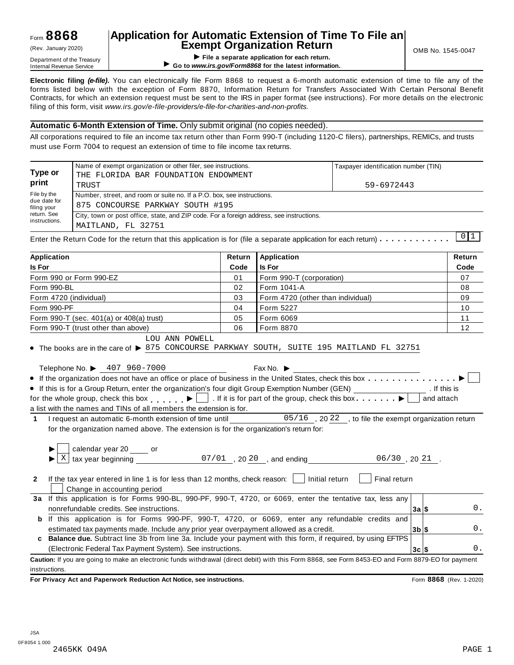### **Application for Automatic Extension of Time To File an Exempt Organization Return** (Rev. January 2020) OMB No. 1545-0047

**EXEMPL OF GET APPLY THE APPLY THE APPLY THE APPLY THE APPLY THE APPLY THE APPLY THE APPLY THE APPLY THE APPLY THE APPLY THE APPLY THE APPLY THE APPLY THE APPLY THE APPLY THE APPLY THE APPLY THE APPLY THE APPLY THE APPLY T** 

▶ Go to www.irs.gov/Form8868 for the latest information.

**Electronic filing** *(e-file)***.** You can electronically file Form 8868 to request a 6-month automatic extension of time to file any of the forms listed below with the exception of Form 8870, Information Return for Transfers Associated With Certain Personal Benefit Contracts, for which an extension request must be sent to the IRS in paper format (see instructions). For more details on the electronic filing of this form, visit *www.irs.gov/e-file-providers/e-file-for-charities-and-non-profits.*

#### **Automatic 6-Month Extension of Time.** Only submit original (no copies needed).

All corporations required to file an income tax return other than Form 990-T (including 1120-C filers), partnerships, REMICs, and trusts must use Form 7004 to request an extension of time to file income tax returns.

|                             | Name of exempt organization or other filer, see instructions.                                                                          | Taxpayer identification number (TIN) |               |  |  |  |  |  |
|-----------------------------|----------------------------------------------------------------------------------------------------------------------------------------|--------------------------------------|---------------|--|--|--|--|--|
| Type or                     | THE FLORIDA BAR FOUNDATION ENDOWMENT                                                                                                   |                                      |               |  |  |  |  |  |
| print                       | TRUST                                                                                                                                  | 59-6972443                           |               |  |  |  |  |  |
| File by the                 | Number, street, and room or suite no. If a P.O. box, see instructions.                                                                 |                                      |               |  |  |  |  |  |
| due date for<br>filing your | 875 CONCOURSE PARKWAY SOUTH #195                                                                                                       |                                      |               |  |  |  |  |  |
| return. See                 | City, town or post office, state, and ZIP code. For a foreign address, see instructions.                                               |                                      |               |  |  |  |  |  |
| instructions.               | MAITLAND, FL 32751                                                                                                                     |                                      |               |  |  |  |  |  |
|                             | Enter the Return Code for the return that this application is for (file a separate application for each return) $\cdots \cdots \cdots$ |                                      |               |  |  |  |  |  |
| <b>Annlication</b>          | <b>Raturn LAnnlication</b>                                                                                                             |                                      | <b>Refurn</b> |  |  |  |  |  |

| <b>Application</b><br>Application<br>Return                                                                                                                                                       |      |                                                                                                                                                          | Return          |    |  |  |
|---------------------------------------------------------------------------------------------------------------------------------------------------------------------------------------------------|------|----------------------------------------------------------------------------------------------------------------------------------------------------------|-----------------|----|--|--|
| <b>Is For</b>                                                                                                                                                                                     | Code | <b>Is For</b><br>Code                                                                                                                                    |                 |    |  |  |
| Form 990 or Form 990-EZ                                                                                                                                                                           | 01   | Form 990-T (corporation)<br>07                                                                                                                           |                 |    |  |  |
| Form 990-BL                                                                                                                                                                                       | 02   | Form 1041-A                                                                                                                                              |                 |    |  |  |
| Form 4720 (individual)                                                                                                                                                                            | 03   | Form 4720 (other than individual)                                                                                                                        | 09              |    |  |  |
| Form 990-PF                                                                                                                                                                                       | 04   | Form 5227                                                                                                                                                | 10              |    |  |  |
| Form 990-T (sec. 401(a) or 408(a) trust)                                                                                                                                                          | 05   | Form 6069                                                                                                                                                | 11              |    |  |  |
| Form 990-T (trust other than above)                                                                                                                                                               | 06   | Form 8870                                                                                                                                                | 12              |    |  |  |
| LOU ANN POWELL<br>• The books are in the care of $\triangleright$ 875 CONCOURSE PARKWAY SOUTH, SUITE 195 MAITLAND FL 32751                                                                        |      |                                                                                                                                                          |                 |    |  |  |
| Telephone No. $\triangleright$ $\underline{407}$ 960-7000                                                                                                                                         |      |                                                                                                                                                          |                 |    |  |  |
| Telephone No. $\triangleright$ 407 960-7000 Fax No. $\triangleright$ Fax No. $\triangleright$ Fax No. $\triangleright$ Fax No. $\triangleright$ Fax No. $\triangleright$ Fax No. $\triangleright$ |      |                                                                                                                                                          |                 |    |  |  |
| • If this is for a Group Return, enter the organization's four digit Group Exemption Number (GEN) __________________. If this is                                                                  |      |                                                                                                                                                          |                 |    |  |  |
| for the whole group, check this box $\Box$ If it is for part of the group, check this box $\Box$                                                                                                  |      |                                                                                                                                                          | and attach      |    |  |  |
| a list with the names and TINs of all members the extension is for.                                                                                                                               |      |                                                                                                                                                          |                 |    |  |  |
| 1 I request an automatic 6-month extension of time until 05/16, 2022, to file the exempt organization return                                                                                      |      |                                                                                                                                                          |                 |    |  |  |
| for the organization named above. The extension is for the organization's return for:                                                                                                             |      |                                                                                                                                                          |                 |    |  |  |
|                                                                                                                                                                                                   |      |                                                                                                                                                          |                 |    |  |  |
|                                                                                                                                                                                                   |      | $\frac{1}{2}$ calendar year 20 ______ or<br>tax year beginning __________________07/01_, 20 <u>20</u> _, and ending _____________06/30_, 20 <u>21</u> _. |                 |    |  |  |
|                                                                                                                                                                                                   |      |                                                                                                                                                          |                 |    |  |  |
| If the tax year entered in line 1 is for less than 12 months, check reason: $\Box$ Initial return<br>$\mathbf{2}$                                                                                 |      | Final return                                                                                                                                             |                 |    |  |  |
| Change in accounting period                                                                                                                                                                       |      |                                                                                                                                                          |                 |    |  |  |
| 3a If this application is for Forms 990-BL, 990-PF, 990-T, 4720, or 6069, enter the tentative tax, less any                                                                                       |      |                                                                                                                                                          |                 |    |  |  |
| nonrefundable credits. See instructions.                                                                                                                                                          |      |                                                                                                                                                          | 3a S            | 0. |  |  |
| b If this application is for Forms 990-PF, 990-T, 4720, or 6069, enter any refundable credits and                                                                                                 |      |                                                                                                                                                          |                 |    |  |  |
| estimated tax payments made. Include any prior year overpayment allowed as a credit.                                                                                                              |      |                                                                                                                                                          | $3b$ $\sqrt{5}$ | 0. |  |  |
|                                                                                                                                                                                                   |      |                                                                                                                                                          |                 |    |  |  |
| c Balance due. Subtract line 3b from line 3a. Include your payment with this form, if required, by using EFTPS<br>(Electronic Federal Tax Payment System). See instructions.                      |      |                                                                                                                                                          |                 |    |  |  |

instructions.

**For Privacy Act and Paperwork Reduction Act Notice, see instructions.** Form **8868** (Rev. 1-2020)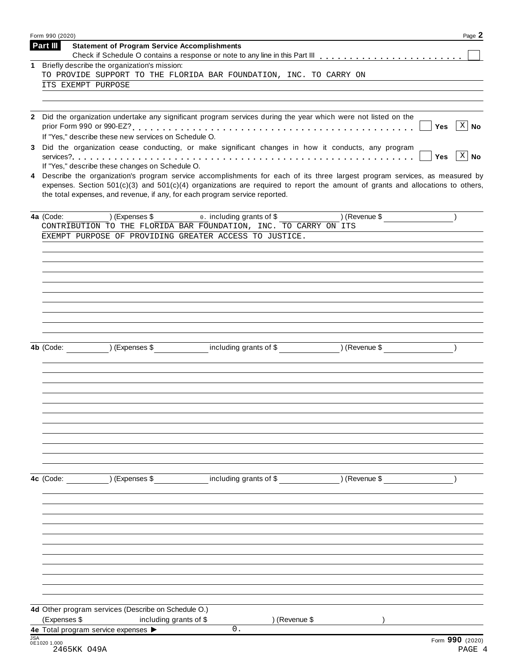| Form 990 (2020) |                                                                      |                                                                                                                                                                                                                                                                                                                                             |               | Page 2                                 |
|-----------------|----------------------------------------------------------------------|---------------------------------------------------------------------------------------------------------------------------------------------------------------------------------------------------------------------------------------------------------------------------------------------------------------------------------------------|---------------|----------------------------------------|
| Part III        | <b>Statement of Program Service Accomplishments</b>                  |                                                                                                                                                                                                                                                                                                                                             |               |                                        |
|                 | 1 Briefly describe the organization's mission:<br>ITS EXEMPT PURPOSE | TO PROVIDE SUPPORT TO THE FLORIDA BAR FOUNDATION, INC. TO CARRY ON                                                                                                                                                                                                                                                                          |               |                                        |
|                 |                                                                      |                                                                                                                                                                                                                                                                                                                                             |               |                                        |
|                 |                                                                      | 2 Did the organization undertake any significant program services during the year which were not listed on the                                                                                                                                                                                                                              |               | $\left\lceil x \right\rceil$ No<br>Yes |
|                 | If "Yes," describe these new services on Schedule O.                 | Did the organization cease conducting, or make significant changes in how it conducts, any program                                                                                                                                                                                                                                          |               | $\lceil x \rceil$ No<br>Yes            |
|                 | If "Yes," describe these changes on Schedule O.                      | Describe the organization's program service accomplishments for each of its three largest program services, as measured by<br>expenses. Section 501(c)(3) and 501(c)(4) organizations are required to report the amount of grants and allocations to others,<br>the total expenses, and revenue, if any, for each program service reported. |               |                                        |
|                 |                                                                      | 4a (Code: ) (Expenses \$ 0. including grants of \$ ) (Revenue \$ )                                                                                                                                                                                                                                                                          |               |                                        |
|                 |                                                                      | CONTRIBUTION TO THE FLORIDA BAR FOUNDATION, INC. TO CARRY ON ITS<br>EXEMPT PURPOSE OF PROVIDING GREATER ACCESS TO JUSTICE.                                                                                                                                                                                                                  |               |                                        |
|                 |                                                                      |                                                                                                                                                                                                                                                                                                                                             |               |                                        |
|                 |                                                                      |                                                                                                                                                                                                                                                                                                                                             |               |                                        |
|                 |                                                                      |                                                                                                                                                                                                                                                                                                                                             |               |                                        |
|                 |                                                                      |                                                                                                                                                                                                                                                                                                                                             |               |                                        |
|                 |                                                                      |                                                                                                                                                                                                                                                                                                                                             |               |                                        |
|                 |                                                                      |                                                                                                                                                                                                                                                                                                                                             |               |                                        |
|                 |                                                                      |                                                                                                                                                                                                                                                                                                                                             |               |                                        |
|                 |                                                                      |                                                                                                                                                                                                                                                                                                                                             |               |                                        |
|                 |                                                                      |                                                                                                                                                                                                                                                                                                                                             |               |                                        |
|                 |                                                                      |                                                                                                                                                                                                                                                                                                                                             |               |                                        |
|                 |                                                                      |                                                                                                                                                                                                                                                                                                                                             |               |                                        |
|                 |                                                                      |                                                                                                                                                                                                                                                                                                                                             |               |                                        |
|                 |                                                                      |                                                                                                                                                                                                                                                                                                                                             |               |                                        |
|                 |                                                                      |                                                                                                                                                                                                                                                                                                                                             |               |                                        |
| 4c (Code:       | ) (Expenses \$                                                       | including grants of \$                                                                                                                                                                                                                                                                                                                      | ) (Revenue \$ |                                        |
|                 |                                                                      |                                                                                                                                                                                                                                                                                                                                             |               |                                        |
|                 |                                                                      |                                                                                                                                                                                                                                                                                                                                             |               |                                        |
|                 |                                                                      |                                                                                                                                                                                                                                                                                                                                             |               |                                        |
|                 |                                                                      |                                                                                                                                                                                                                                                                                                                                             |               |                                        |
|                 |                                                                      |                                                                                                                                                                                                                                                                                                                                             |               |                                        |
|                 |                                                                      |                                                                                                                                                                                                                                                                                                                                             |               |                                        |
|                 | 4d Other program services (Describe on Schedule O.)                  |                                                                                                                                                                                                                                                                                                                                             |               |                                        |
| (Expenses \$    | including grants of \$                                               | ) (Revenue \$                                                                                                                                                                                                                                                                                                                               |               |                                        |
|                 | 4e Total program service expenses >                                  | 0.                                                                                                                                                                                                                                                                                                                                          |               |                                        |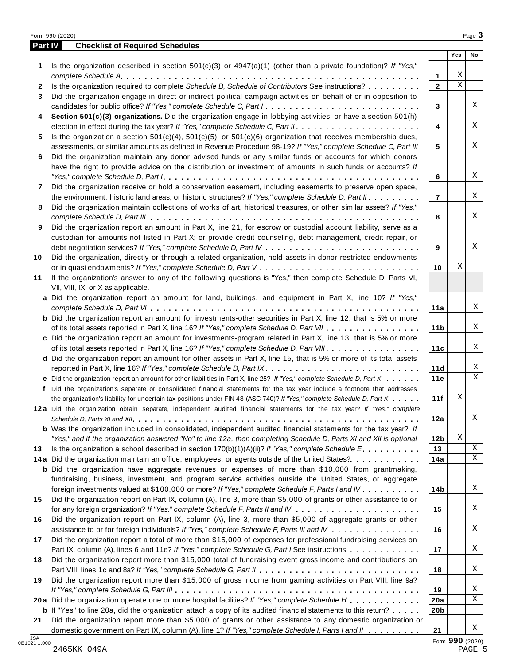|            | Form 990 (2020)                                                                                                                                                                                                  |                   |                       | Page 3 |
|------------|------------------------------------------------------------------------------------------------------------------------------------------------------------------------------------------------------------------|-------------------|-----------------------|--------|
| Part IV    | <b>Checklist of Required Schedules</b>                                                                                                                                                                           |                   |                       |        |
|            |                                                                                                                                                                                                                  |                   | Yes                   | No     |
| 1          | Is the organization described in section $501(c)(3)$ or $4947(a)(1)$ (other than a private foundation)? If "Yes,"                                                                                                |                   | Χ                     |        |
| 2          | Is the organization required to complete Schedule B, Schedule of Contributors See instructions?                                                                                                                  | 1<br>$\mathbf{2}$ | $\mathbf X$           |        |
| 3          | Did the organization engage in direct or indirect political campaign activities on behalf of or in opposition to                                                                                                 |                   |                       |        |
|            | candidates for public office? If "Yes," complete Schedule C, Part I.                                                                                                                                             | 3                 |                       | Χ      |
| 4          | Section 501(c)(3) organizations. Did the organization engage in lobbying activities, or have a section 501(h)                                                                                                    |                   |                       |        |
|            |                                                                                                                                                                                                                  | 4                 |                       | Χ      |
| 5          | Is the organization a section $501(c)(4)$ , $501(c)(5)$ , or $501(c)(6)$ organization that receives membership dues,                                                                                             |                   |                       |        |
|            | assessments, or similar amounts as defined in Revenue Procedure 98-19? If "Yes," complete Schedule C, Part III                                                                                                   | 5                 |                       | Χ      |
| 6          | Did the organization maintain any donor advised funds or any similar funds or accounts for which donors                                                                                                          |                   |                       |        |
|            | have the right to provide advice on the distribution or investment of amounts in such funds or accounts? If                                                                                                      |                   |                       |        |
|            |                                                                                                                                                                                                                  | 6                 |                       | X      |
| 7          | Did the organization receive or hold a conservation easement, including easements to preserve open space,                                                                                                        |                   |                       |        |
|            | the environment, historic land areas, or historic structures? If "Yes," complete Schedule D, Part II.                                                                                                            | $\overline{7}$    |                       | Χ      |
| 8          | Did the organization maintain collections of works of art, historical treasures, or other similar assets? If "Yes,"                                                                                              |                   |                       |        |
|            |                                                                                                                                                                                                                  | 8                 |                       | Χ      |
| 9          | Did the organization report an amount in Part X, line 21, for escrow or custodial account liability, serve as a                                                                                                  |                   |                       |        |
|            | custodian for amounts not listed in Part X; or provide credit counseling, debt management, credit repair, or                                                                                                     |                   |                       | Χ      |
| 10         | Did the organization, directly or through a related organization, hold assets in donor-restricted endowments                                                                                                     | 9                 |                       |        |
|            |                                                                                                                                                                                                                  | 10                | Χ                     |        |
| 11         | If the organization's answer to any of the following questions is "Yes," then complete Schedule D, Parts VI,                                                                                                     |                   |                       |        |
|            | VII, VIII, IX, or X as applicable.                                                                                                                                                                               |                   |                       |        |
|            | a Did the organization report an amount for land, buildings, and equipment in Part X, line 10? If "Yes,"                                                                                                         |                   |                       |        |
|            |                                                                                                                                                                                                                  | 11a               |                       | Χ      |
|            | <b>b</b> Did the organization report an amount for investments-other securities in Part X, line 12, that is 5% or more                                                                                           |                   |                       |        |
|            | of its total assets reported in Part X, line 16? If "Yes," complete Schedule D, Part VII                                                                                                                         | 11 <sub>b</sub>   |                       | Χ      |
|            | c Did the organization report an amount for investments-program related in Part X, line 13, that is 5% or more                                                                                                   |                   |                       |        |
|            | of its total assets reported in Part X, line 16? If "Yes," complete Schedule D, Part VIII                                                                                                                        | 11c               |                       | Χ      |
|            | d Did the organization report an amount for other assets in Part X, line 15, that is 5% or more of its total assets                                                                                              |                   |                       |        |
|            | reported in Part X, line 16? If "Yes," complete Schedule D, Part IX.                                                                                                                                             | 11d               |                       | Χ      |
|            | e Did the organization report an amount for other liabilities in Part X, line 25? If "Yes," complete Schedule D, Part X                                                                                          | 11e               |                       | X      |
|            | f Did the organization's separate or consolidated financial statements for the tax year include a footnote that addresses                                                                                        |                   |                       |        |
|            | the organization's liability for uncertain tax positions under FIN 48 (ASC 740)? If "Yes," complete Schedule D, Part X                                                                                           | 11f               | Χ                     |        |
|            | 12a Did the organization obtain separate, independent audited financial statements for the tax year? If "Yes," complete                                                                                          |                   |                       | Χ      |
|            | <b>b</b> Was the organization included in consolidated, independent audited financial statements for the tax year? If                                                                                            | 12a               |                       |        |
|            | "Yes," and if the organization answered "No" to line 12a, then completing Schedule D, Parts XI and XII is optional                                                                                               | 12 <sub>b</sub>   | Χ                     |        |
| 13         | Is the organization a school described in section $170(b)(1)(A)(ii)?$ If "Yes," complete Schedule E.                                                                                                             | 13                |                       | Χ      |
|            | 14a Did the organization maintain an office, employees, or agents outside of the United States?.                                                                                                                 | 14a               |                       | X      |
|            | <b>b</b> Did the organization have aggregate revenues or expenses of more than \$10,000 from grantmaking,                                                                                                        |                   |                       |        |
|            | fundraising, business, investment, and program service activities outside the United States, or aggregate                                                                                                        |                   |                       |        |
|            | foreign investments valued at \$100,000 or more? If "Yes," complete Schedule F, Parts I and IV                                                                                                                   | 14b               |                       | Χ      |
| 15         | Did the organization report on Part IX, column (A), line 3, more than \$5,000 of grants or other assistance to or                                                                                                |                   |                       |        |
|            |                                                                                                                                                                                                                  | 15                |                       | Χ      |
| 16         | Did the organization report on Part IX, column (A), line 3, more than \$5,000 of aggregate grants or other                                                                                                       |                   |                       |        |
|            | assistance to or for foreign individuals? If "Yes," complete Schedule F, Parts III and IV                                                                                                                        | 16                |                       | Χ      |
| 17         | Did the organization report a total of more than \$15,000 of expenses for professional fundraising services on                                                                                                   |                   |                       |        |
|            | Part IX, column (A), lines 6 and 11e? If "Yes," complete Schedule G, Part I See instructions                                                                                                                     | 17                |                       | Χ      |
| 18         | Did the organization report more than \$15,000 total of fundraising event gross income and contributions on                                                                                                      |                   |                       |        |
|            |                                                                                                                                                                                                                  | 18                |                       | Χ      |
| 19         | Did the organization report more than \$15,000 of gross income from gaming activities on Part VIII, line 9a?                                                                                                     |                   |                       |        |
|            |                                                                                                                                                                                                                  | 19                |                       | Χ<br>X |
|            | 20a Did the organization operate one or more hospital facilities? If "Yes," complete Schedule H                                                                                                                  | 20a               |                       |        |
|            | <b>b</b> If "Yes" to line 20a, did the organization attach a copy of its audited financial statements to this return?                                                                                            | 20 <sub>b</sub>   |                       |        |
| 21         | Did the organization report more than \$5,000 of grants or other assistance to any domestic organization or<br>domestic government on Part IX, column (A), line 1? If "Yes," complete Schedule I, Parts I and II | 21                |                       | Χ      |
| <b>JSA</b> |                                                                                                                                                                                                                  |                   | $0.00 \times 10^{-1}$ |        |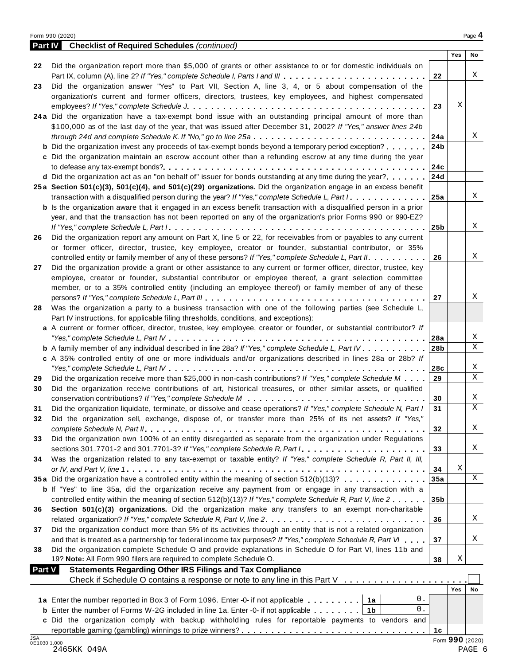|               |                                                                                                                                                                                  |                 | Yes             | No |
|---------------|----------------------------------------------------------------------------------------------------------------------------------------------------------------------------------|-----------------|-----------------|----|
| 22            | Did the organization report more than \$5,000 of grants or other assistance to or for domestic individuals on                                                                    |                 |                 |    |
|               |                                                                                                                                                                                  | 22              |                 | X  |
| 23            | Did the organization answer "Yes" to Part VII, Section A, line 3, 4, or 5 about compensation of the                                                                              |                 |                 |    |
|               | organization's current and former officers, directors, trustees, key employees, and highest compensated                                                                          |                 |                 |    |
|               |                                                                                                                                                                                  | 23              | Χ               |    |
|               | 24a Did the organization have a tax-exempt bond issue with an outstanding principal amount of more than                                                                          |                 |                 |    |
|               | \$100,000 as of the last day of the year, that was issued after December 31, 2002? If "Yes," answer lines 24b                                                                    |                 |                 |    |
|               | through 24d and complete Schedule K. If "No," go to line 25a                                                                                                                     | 24a             |                 | X  |
|               | <b>b</b> Did the organization invest any proceeds of tax-exempt bonds beyond a temporary period exception?                                                                       | 24 <sub>b</sub> |                 |    |
|               | c Did the organization maintain an escrow account other than a refunding escrow at any time during the year                                                                      |                 |                 |    |
|               | d Did the organization act as an "on behalf of" issuer for bonds outstanding at any time during the year?                                                                        | 24c<br>24d      |                 |    |
|               | 25a Section 501(c)(3), 501(c)(4), and 501(c)(29) organizations. Did the organization engage in an excess benefit                                                                 |                 |                 |    |
|               | transaction with a disqualified person during the year? If "Yes," complete Schedule L, Part I.                                                                                   | 25a             |                 | X  |
|               | <b>b</b> Is the organization aware that it engaged in an excess benefit transaction with a disqualified person in a prior                                                        |                 |                 |    |
|               | year, and that the transaction has not been reported on any of the organization's prior Forms 990 or 990-EZ?                                                                     |                 |                 |    |
|               |                                                                                                                                                                                  | 25b             |                 | X  |
| 26            | Did the organization report any amount on Part X, line 5 or 22, for receivables from or payables to any current                                                                  |                 |                 |    |
|               | or former officer, director, trustee, key employee, creator or founder, substantial contributor, or 35%                                                                          |                 |                 |    |
|               | controlled entity or family member of any of these persons? If "Yes," complete Schedule L, Part II.                                                                              | 26              |                 | X  |
| 27            | Did the organization provide a grant or other assistance to any current or former officer, director, trustee, key                                                                |                 |                 |    |
|               | employee, creator or founder, substantial contributor or employee thereof, a grant selection committee                                                                           |                 |                 |    |
|               | member, or to a 35% controlled entity (including an employee thereof) or family member of any of these                                                                           |                 |                 | Χ  |
| 28            | Was the organization a party to a business transaction with one of the following parties (see Schedule L,                                                                        | 27              |                 |    |
|               | Part IV instructions, for applicable filing thresholds, conditions, and exceptions):                                                                                             |                 |                 |    |
|               | a A current or former officer, director, trustee, key employee, creator or founder, or substantial contributor? If                                                               |                 |                 |    |
|               |                                                                                                                                                                                  | 28a             |                 | Χ  |
|               | <b>b</b> A family member of any individual described in line 28a? If "Yes," complete Schedule L, Part IV.                                                                        | 28b             |                 | X  |
|               | c A 35% controlled entity of one or more individuals and/or organizations described in lines 28a or 28b? If                                                                      |                 |                 |    |
|               |                                                                                                                                                                                  | 28c             |                 | X  |
| 29            | Did the organization receive more than \$25,000 in non-cash contributions? If "Yes," complete Schedule M                                                                         | 29              |                 | X  |
| 30            | Did the organization receive contributions of art, historical treasures, or other similar assets, or qualified                                                                   |                 |                 |    |
|               |                                                                                                                                                                                  | 30              |                 | Χ  |
| 31            | Did the organization liquidate, terminate, or dissolve and cease operations? If "Yes," complete Schedule N, Part I                                                               | 31              |                 | X  |
| 32            | Did the organization sell, exchange, dispose of, or transfer more than 25% of its net assets? If "Yes,"                                                                          | 32              |                 | Χ  |
| 33            | Did the organization own 100% of an entity disregarded as separate from the organization under Regulations                                                                       |                 |                 |    |
|               | sections 301.7701-2 and 301.7701-3? If "Yes," complete Schedule R, Part $l_1, \ldots, \ldots, \ldots, \ldots, \ldots, \ldots$                                                    | 33              |                 | Χ  |
| 34            | Was the organization related to any tax-exempt or taxable entity? If "Yes," complete Schedule R, Part II, III,                                                                   |                 |                 |    |
|               |                                                                                                                                                                                  | 34              | Χ               |    |
|               | 35a Did the organization have a controlled entity within the meaning of section 512(b)(13)?                                                                                      | 35a             |                 | X  |
|               | <b>b</b> If "Yes" to line 35a, did the organization receive any payment from or engage in any transaction with a                                                                 |                 |                 |    |
|               | controlled entity within the meaning of section 512(b)(13)? If "Yes," complete Schedule R, Part V, line 2                                                                        | 35 <sub>b</sub> |                 |    |
| 36            | Section 501(c)(3) organizations. Did the organization make any transfers to an exempt non-charitable                                                                             |                 |                 |    |
|               | related organization? If "Yes," complete Schedule R, Part V, line 2.                                                                                                             | 36              |                 | X  |
| 37            | Did the organization conduct more than 5% of its activities through an entity that is not a related organization                                                                 |                 |                 | Χ  |
|               | and that is treated as a partnership for federal income tax purposes? If "Yes," complete Schedule R, Part VI                                                                     | 37              |                 |    |
| 38            | Did the organization complete Schedule O and provide explanations in Schedule O for Part VI, lines 11b and<br>19? Note: All Form 990 filers are required to complete Schedule O. | 38              | Χ               |    |
| <b>Part V</b> | <b>Statements Regarding Other IRS Filings and Tax Compliance</b>                                                                                                                 |                 |                 |    |
|               | Check if Schedule O contains a response or note to any line in this Part $V_1, \ldots, \ldots, \ldots, \ldots$                                                                   |                 |                 |    |
|               |                                                                                                                                                                                  |                 | Yes             | No |
|               | 0.<br>1a Enter the number reported in Box 3 of Form 1096. Enter -0- if not applicable<br>1a                                                                                      |                 |                 |    |
|               | 0.<br><b>b</b> Enter the number of Forms W-2G included in line 1a. Enter -0- if not applicable<br>1 <sub>b</sub>                                                                 |                 |                 |    |
|               | c Did the organization comply with backup withholding rules for reportable payments to vendors and                                                                               |                 |                 |    |
| JSA           |                                                                                                                                                                                  | 1 <sub>c</sub>  |                 |    |
| 0E1030 1.000  |                                                                                                                                                                                  |                 | Form 990 (2020) |    |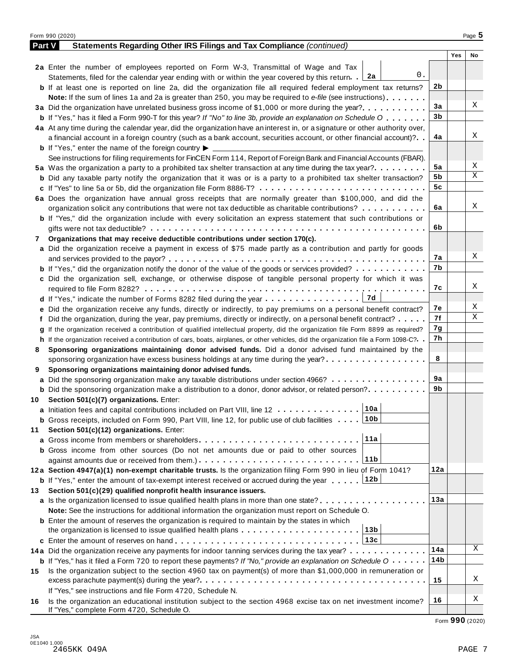|        | Form 990 (2020)                                                                                                                                              |     |     | Page 5 |
|--------|--------------------------------------------------------------------------------------------------------------------------------------------------------------|-----|-----|--------|
| Part V | Statements Regarding Other IRS Filings and Tax Compliance (continued)                                                                                        |     |     |        |
|        |                                                                                                                                                              |     | Yes | No     |
|        | 2a Enter the number of employees reported on Form W-3, Transmittal of Wage and Tax                                                                           |     |     |        |
|        | 0.<br>Statements, filed for the calendar year ending with or within the year covered by this return. [2a]                                                    |     |     |        |
|        | <b>b</b> If at least one is reported on line 2a, did the organization file all required federal employment tax returns?                                      | 2b  |     |        |
|        | <b>Note:</b> If the sum of lines 1a and 2a is greater than 250, you may be required to e-file (see instructions).                                            |     |     |        |
|        | 3a Did the organization have unrelated business gross income of \$1,000 or more during the year?                                                             | 3a  |     | Χ      |
|        | <b>b</b> If "Yes," has it filed a Form 990-T for this year? If "No" to line 3b, provide an explanation on Schedule O                                         | 3b  |     |        |
|        | 4a At any time during the calendar year, did the organization have an interest in, or a signature or other authority over,                                   |     |     |        |
|        | a financial account in a foreign country (such as a bank account, securities account, or other financial account)?                                           | 4a  |     | Χ      |
|        | <b>b</b> If "Yes," enter the name of the foreign country $\blacktriangleright$                                                                               |     |     |        |
|        | See instructions for filing requirements for FinCEN Form 114, Report of Foreign Bank and Financial Accounts (FBAR).                                          |     |     |        |
|        | 5a Was the organization a party to a prohibited tax shelter transaction at any time during the tax year?                                                     | 5a  |     | Χ      |
|        | <b>b</b> Did any taxable party notify the organization that it was or is a party to a prohibited tax shelter transaction?                                    | 5b  |     | Χ      |
|        |                                                                                                                                                              | 5c  |     |        |
|        | 6a Does the organization have annual gross receipts that are normally greater than \$100,000, and did the                                                    |     |     |        |
|        | organization solicit any contributions that were not tax deductible as charitable contributions?                                                             | 6a  |     | Χ      |
|        | <b>b</b> If "Yes," did the organization include with every solicitation an express statement that such contributions or                                      |     |     |        |
|        |                                                                                                                                                              | 6b  |     |        |
|        | Organizations that may receive deductible contributions under section 170(c).                                                                                |     |     |        |
| 7      |                                                                                                                                                              |     |     |        |
|        | a Did the organization receive a payment in excess of \$75 made partly as a contribution and partly for goods                                                | 7а  |     | Χ      |
|        |                                                                                                                                                              | 7b  |     |        |
|        | <b>b</b> If "Yes," did the organization notify the donor of the value of the goods or services provided?                                                     |     |     |        |
|        | c Did the organization sell, exchange, or otherwise dispose of tangible personal property for which it was                                                   |     |     | Χ      |
|        |                                                                                                                                                              | 7с  |     |        |
|        |                                                                                                                                                              |     |     |        |
|        | e Did the organization receive any funds, directly or indirectly, to pay premiums on a personal benefit contract?                                            | 7е  |     | Χ      |
|        | f Did the organization, during the year, pay premiums, directly or indirectly, on a personal benefit contract?                                               | 7f  |     | Χ      |
|        | If the organization received a contribution of qualified intellectual property, did the organization file Form 8899 as required?                             | 7g  |     |        |
|        | h If the organization received a contribution of cars, boats, airplanes, or other vehicles, did the organization file a Form 1098-C?                         | 7h  |     |        |
| 8      | Sponsoring organizations maintaining donor advised funds. Did a donor advised fund maintained by the                                                         |     |     |        |
|        | sponsoring organization have excess business holdings at any time during the year?                                                                           | 8   |     |        |
| 9      | Sponsoring organizations maintaining donor advised funds.                                                                                                    |     |     |        |
|        | a Did the sponsoring organization make any taxable distributions under section 4966?                                                                         | 9а  |     |        |
|        | <b>b</b> Did the sponsoring organization make a distribution to a donor, donor advisor, or related person?                                                   | 9b  |     |        |
|        | 10 Section 501(c)(7) organizations. Enter:                                                                                                                   |     |     |        |
|        | 10a <br>a Initiation fees and capital contributions included on Part VIII, line 12                                                                           |     |     |        |
|        | <b>b</b> Gross receipts, included on Form 990, Part VIII, line 12, for public use of club facilities 10b                                                     |     |     |        |
| 11     | Section 501(c)(12) organizations. Enter:                                                                                                                     |     |     |        |
|        | 11a<br>a Gross income from members or shareholders                                                                                                           |     |     |        |
|        | <b>b</b> Gross income from other sources (Do not net amounts due or paid to other sources                                                                    |     |     |        |
|        | 11b                                                                                                                                                          |     |     |        |
|        | 12a Section 4947(a)(1) non-exempt charitable trusts. Is the organization filing Form 990 in lieu of Form 1041?                                               | 12a |     |        |
|        | 12b<br><b>b</b> If "Yes," enter the amount of tax-exempt interest received or accrued during the year                                                        |     |     |        |
| 13.    |                                                                                                                                                              |     |     |        |
|        | Section 501(c)(29) qualified nonprofit health insurance issuers.                                                                                             | 13а |     |        |
|        | a Is the organization licensed to issue qualified health plans in more than one state?                                                                       |     |     |        |
|        | Note: See the instructions for additional information the organization must report on Schedule O.                                                            |     |     |        |
|        | <b>b</b> Enter the amount of reserves the organization is required to maintain by the states in which                                                        |     |     |        |
|        | the organization is licensed to issue qualified health plans $\ldots \ldots \ldots \ldots \ldots \ldots \ldots$                                              |     |     |        |
|        |                                                                                                                                                              |     |     | Χ      |
|        | 14a Did the organization receive any payments for indoor tanning services during the tax year?                                                               | 14a |     |        |
|        | <b>b</b> If "Yes," has it filed a Form 720 to report these payments? If "No," provide an explanation on Schedule O                                           | 14b |     |        |
| 15     | Is the organization subject to the section 4960 tax on payment(s) of more than \$1,000,000 in remuneration or                                                |     |     |        |
|        |                                                                                                                                                              | 15  |     | Χ      |
|        | If "Yes," see instructions and file Form 4720, Schedule N.                                                                                                   |     |     |        |
| 16     | Is the organization an educational institution subject to the section 4968 excise tax on net investment income?<br>If "Yes," complete Form 4720, Schedule O. | 16  |     | Χ      |

Form **990** (2020)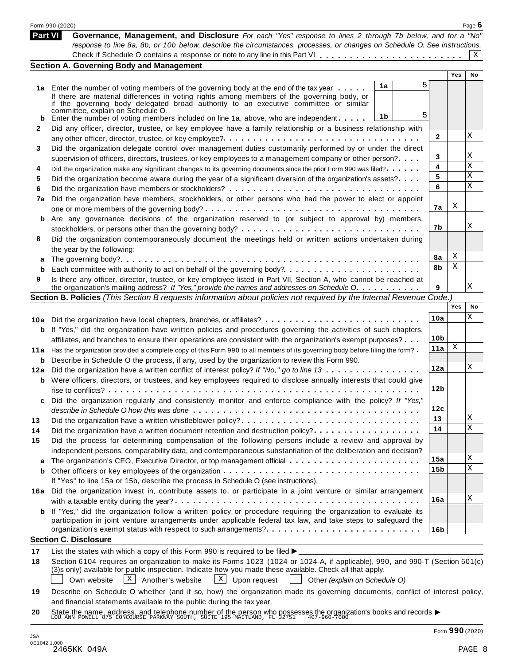|         | Form 990 (2020)                                                                                                                                                                                                             |    |                 |     | Page $6$ |
|---------|-----------------------------------------------------------------------------------------------------------------------------------------------------------------------------------------------------------------------------|----|-----------------|-----|----------|
| Part VI | Governance, Management, and Disclosure For each "Yes" response to lines 2 through 7b below, and for a "No"                                                                                                                  |    |                 |     |          |
|         | response to line 8a, 8b, or 10b below, describe the circumstances, processes, or changes on Schedule O. See instructions.                                                                                                   |    |                 |     |          |
|         |                                                                                                                                                                                                                             |    |                 |     | Χ        |
|         | <b>Section A. Governing Body and Management</b>                                                                                                                                                                             |    |                 | Yes | No       |
|         |                                                                                                                                                                                                                             | 1a | 5               |     |          |
|         | 1a Enter the number of voting members of the governing body at the end of the tax year<br>If there are material differences in voting rights among members of the governing body, or                                        |    |                 |     |          |
|         | if the governing body delegated broad authority to an executive committee or similar                                                                                                                                        |    |                 |     |          |
|         | committée, explain on Schedule O.                                                                                                                                                                                           | 1b | 5               |     |          |
| b       | Enter the number of voting members included on line 1a, above, who are independent $\dots$ .                                                                                                                                |    |                 |     |          |
| 2       | Did any officer, director, trustee, or key employee have a family relationship or a business relationship with                                                                                                              |    | 2               |     | Χ        |
|         |                                                                                                                                                                                                                             |    |                 |     |          |
| 3       | Did the organization delegate control over management duties customarily performed by or under the direct                                                                                                                   |    | 3               |     | Χ        |
| 4       | supervision of officers, directors, trustees, or key employees to a management company or other person?<br>Did the organization make any significant changes to its governing documents since the prior Form 990 was filed? |    | 4               |     | X        |
| 5       | Did the organization become aware during the year of a significant diversion of the organization's assets?                                                                                                                  |    | 5               |     | Χ        |
| 6       |                                                                                                                                                                                                                             |    | 6               |     | Χ        |
| 7a      | Did the organization have members, stockholders, or other persons who had the power to elect or appoint                                                                                                                     |    |                 |     |          |
|         |                                                                                                                                                                                                                             |    | 7a              | X   |          |
| b       | Are any governance decisions of the organization reserved to (or subject to approval by) members,                                                                                                                           |    |                 |     |          |
|         |                                                                                                                                                                                                                             |    | 7b              |     | Χ        |
| 8       | Did the organization contemporaneously document the meetings held or written actions undertaken during                                                                                                                      |    |                 |     |          |
|         | the year by the following:                                                                                                                                                                                                  |    |                 |     |          |
| a       |                                                                                                                                                                                                                             |    | 8a              | X   |          |
| b       |                                                                                                                                                                                                                             |    | 8b              | Χ   |          |
| 9       | Is there any officer, director, trustee, or key employee listed in Part VII, Section A, who cannot be reached at                                                                                                            |    |                 |     |          |
|         | the organization's mailing address? If "Yes," provide the names and addresses on Schedule O.                                                                                                                                |    | 9               |     | Χ        |
|         | Section B. Policies (This Section B requests information about policies not required by the Internal Revenue Code.)                                                                                                         |    |                 |     |          |
|         |                                                                                                                                                                                                                             |    |                 | Yes | No       |
|         | 10a Did the organization have local chapters, branches, or affiliates?                                                                                                                                                      |    | 10a             |     | Χ        |
| b       | If "Yes," did the organization have written policies and procedures governing the activities of such chapters,                                                                                                              |    |                 |     |          |
|         | affiliates, and branches to ensure their operations are consistent with the organization's exempt purposes?                                                                                                                 |    | 10 <sub>b</sub> |     |          |
| 11 a    | Has the organization provided a complete copy of this Form 990 to all members of its governing body before filing the form?                                                                                                 |    | 11a             | Χ   |          |
| b       | Describe in Schedule O the process, if any, used by the organization to review this Form 990.                                                                                                                               |    |                 |     |          |
| 12a     | Did the organization have a written conflict of interest policy? If "No," go to line 13                                                                                                                                     |    | 12a             |     | Χ        |
| b       | Were officers, directors, or trustees, and key employees required to disclose annually interests that could give                                                                                                            |    |                 |     |          |
|         |                                                                                                                                                                                                                             |    | 12 <sub>b</sub> |     |          |
| c       | Did the organization regularly and consistently monitor and enforce compliance with the policy? If "Yes,                                                                                                                    |    |                 |     |          |
|         |                                                                                                                                                                                                                             |    | 12c             |     |          |
| 13      | Did the organization have a written whistleblower policy?                                                                                                                                                                   |    | 13              |     | X        |
| 14      | Did the organization have a written document retention and destruction policy?                                                                                                                                              |    | 14              |     | Χ        |
| 15      | Did the process for determining compensation of the following persons include a review and approval by                                                                                                                      |    |                 |     |          |
|         | independent persons, comparability data, and contemporaneous substantiation of the deliberation and decision?                                                                                                               |    |                 |     |          |
| a       |                                                                                                                                                                                                                             |    | 15a             |     | Χ        |
| b       |                                                                                                                                                                                                                             |    | 15b             |     | X        |
|         | If "Yes" to line 15a or 15b, describe the process in Schedule O (see instructions).                                                                                                                                         |    |                 |     |          |
|         | 16a Did the organization invest in, contribute assets to, or participate in a joint venture or similar arrangement                                                                                                          |    |                 |     |          |
|         |                                                                                                                                                                                                                             |    | 16a             |     | Χ        |
|         | <b>b</b> If "Yes," did the organization follow a written policy or procedure requiring the organization to evaluate its                                                                                                     |    |                 |     |          |
|         | participation in joint venture arrangements under applicable federal tax law, and take steps to safeguard the                                                                                                               |    |                 |     |          |
|         |                                                                                                                                                                                                                             |    | 16 <sub>b</sub> |     |          |
|         | <b>Section C. Disclosure</b>                                                                                                                                                                                                |    |                 |     |          |
| 17      | List the states with which a copy of this Form 990 is required to be filed $\blacktriangleright$                                                                                                                            |    |                 |     |          |
| 18      | Section 6104 requires an organization to make its Forms 1023 (1024 or 1024-A, if applicable), 990, and 990-T (Section 501(c)                                                                                                |    |                 |     |          |
|         | (3)s only) available for public inspection. Indicate how you made these available. Check all that apply.                                                                                                                    |    |                 |     |          |
|         | $ X $ Upon request<br>Own website<br>$X$ Another's website<br>Other (explain on Schedule O)                                                                                                                                 |    |                 |     |          |
| 19      | Describe on Schedule O whether (and if so, how) the organization made its governing documents, conflict of interest policy,                                                                                                 |    |                 |     |          |
|         | and financial statements available to the public during the tax year.                                                                                                                                                       |    |                 |     |          |

**20** and financial statements available to the public during the tax year.<br>State the name, address, and telephone number of the person who possesses the organization's books and records<br>LOU ANN POWELL 875 CONCOURSE PARKWAY SOU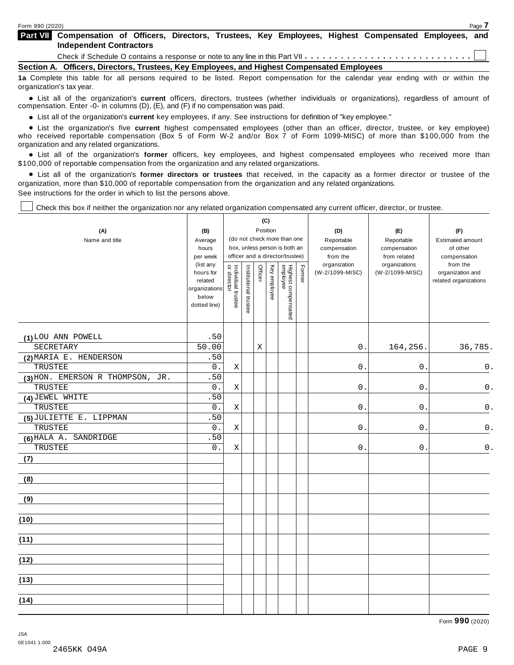**Compensation of Officers, Directors, Trustees, Key Employees, Highest Compensated Employees, and Part VII Independent Contractors** Check if Schedule O contains a response or note to any line in this Part VII  $\ldots \ldots \ldots \ldots \ldots \ldots \ldots \ldots$ 

**Section A. Officers, Directors, Trustees, Key Employees, and Highest Compensated Employees**

**1a** Complete this table for all persons required to be listed. Report compensation for the calendar year ending with or within the organization's tax year.

anization's lax year.<br>● List all of the organization's **current** officers, directors, trustees (whether individuals or organizations), regardless of amount of<br>nnensation Enter -0- in columns (D) (E) and (E) if no compensa compensation. Enter -0- in columns (D), (E), and (F) if no compensation was paid.

• List all of the organization's current key employees, if any. See instructions for definition of "key employee."

■ List all of the organization's current key employees, if any. See instructions for definition of "key employee."<br>■ List the organization's five current highest compensated employees (other than an officer, director, tru who received reportable compensation (Box 5 of Form W-2 and/or Box 7 of Form 1099-MISC) of more than \$100,000 from the

organization and any related organizations.<br>• List all of the organization's **former** officers, key employees, and highest compensated employees who received more than<br>\$1.00.000 of reportable componention from the erganiza \$100,000 of reportable compensation from the organization and any related organizations.

% List all of the organization's **former directors or trustees** that received, in the capacity as a former director or trustee of the organization, more than \$10,000 of reportable compensation from the organization and any related organizations. See instructions for the order in which to list the persons above.

Check this box if neither the organization nor any related organization compensated any current officer, director, or trustee.

|                                          |                        |                                                                  |                       |                           | (C)          |                                 |        |                          |                               |                          |
|------------------------------------------|------------------------|------------------------------------------------------------------|-----------------------|---------------------------|--------------|---------------------------------|--------|--------------------------|-------------------------------|--------------------------|
| (A)                                      | (B)                    | Position                                                         |                       |                           |              |                                 |        | (D)                      | (E)                           | (F)                      |
| Name and title                           | Average                | (do not check more than one                                      |                       |                           |              |                                 |        | Reportable               | Reportable                    | Estimated amount         |
|                                          | hours                  | box, unless person is both an<br>officer and a director/trustee) |                       |                           |              |                                 |        | compensation             | compensation                  | of other                 |
|                                          | per week<br>(list any  |                                                                  |                       |                           |              |                                 |        | from the<br>organization | from related<br>organizations | compensation<br>from the |
|                                          | hours for              | Individual trustee<br>or director                                | Institutional trustee | Officer                   | Key employee |                                 | Former | (W-2/1099-MISC)          | (W-2/1099-MISC)               | organization and         |
|                                          | related                |                                                                  |                       |                           |              |                                 |        |                          |                               | related organizations    |
|                                          | organizations<br>below |                                                                  |                       |                           |              |                                 |        |                          |                               |                          |
|                                          | dotted line)           |                                                                  |                       |                           |              |                                 |        |                          |                               |                          |
|                                          |                        |                                                                  |                       |                           |              | Highest compensated<br>employee |        |                          |                               |                          |
|                                          |                        |                                                                  |                       |                           |              |                                 |        |                          |                               |                          |
| (1) LOU ANN POWELL                       | .50                    |                                                                  |                       |                           |              |                                 |        |                          |                               |                          |
| SECRETARY                                | 50.00                  |                                                                  |                       | $\boldsymbol{\mathrm{X}}$ |              |                                 |        | $0$ .                    | 164,256.                      | 36,785.                  |
| (2) MARIA E. HENDERSON                   | .50                    |                                                                  |                       |                           |              |                                 |        |                          |                               |                          |
| TRUSTEE                                  | 0.                     | Χ                                                                |                       |                           |              |                                 |        | 0                        | 0                             | 0.                       |
| (3) HON. EMERSON R THOMPSON, JR.         | .50                    |                                                                  |                       |                           |              |                                 |        |                          |                               |                          |
| TRUSTEE                                  | $0$ .                  | $\mathbf X$                                                      |                       |                           |              |                                 |        | $\mathsf 0$              | 0                             | $\mathsf 0$ .            |
| (4) JEWEL WHITE                          | .50                    |                                                                  |                       |                           |              |                                 |        |                          |                               |                          |
| TRUSTEE                                  | $0$ .                  | $\mathbf X$                                                      |                       |                           |              |                                 |        | $\mathsf 0$              | 0                             | $\mathsf{0}$ .           |
| (5) JULIETTE E. LIPPMAN                  | .50                    |                                                                  |                       |                           |              |                                 |        |                          |                               |                          |
| TRUSTEE                                  | 0.                     | Χ                                                                |                       |                           |              |                                 |        | 0                        | $\mathsf{O}$                  | $\mathsf 0$ .            |
| $(6)$ HALA $\overline{A}$ .<br>SANDRIDGE | .50                    |                                                                  |                       |                           |              |                                 |        |                          |                               |                          |
| TRUSTEE                                  | 0.                     | $\mathbf X$                                                      |                       |                           |              |                                 |        | 0                        | $0$ .                         | $\mathsf 0$ .            |
| (7)                                      |                        |                                                                  |                       |                           |              |                                 |        |                          |                               |                          |
| (8)                                      |                        |                                                                  |                       |                           |              |                                 |        |                          |                               |                          |
|                                          |                        |                                                                  |                       |                           |              |                                 |        |                          |                               |                          |
| (9)                                      |                        |                                                                  |                       |                           |              |                                 |        |                          |                               |                          |
| (10)                                     |                        |                                                                  |                       |                           |              |                                 |        |                          |                               |                          |
|                                          |                        |                                                                  |                       |                           |              |                                 |        |                          |                               |                          |
| (11)                                     |                        |                                                                  |                       |                           |              |                                 |        |                          |                               |                          |
|                                          |                        |                                                                  |                       |                           |              |                                 |        |                          |                               |                          |
| (12)                                     |                        |                                                                  |                       |                           |              |                                 |        |                          |                               |                          |
| (13)                                     |                        |                                                                  |                       |                           |              |                                 |        |                          |                               |                          |
|                                          |                        |                                                                  |                       |                           |              |                                 |        |                          |                               |                          |
| (14)                                     |                        |                                                                  |                       |                           |              |                                 |        |                          |                               |                          |
|                                          |                        |                                                                  |                       |                           |              |                                 |        |                          |                               |                          |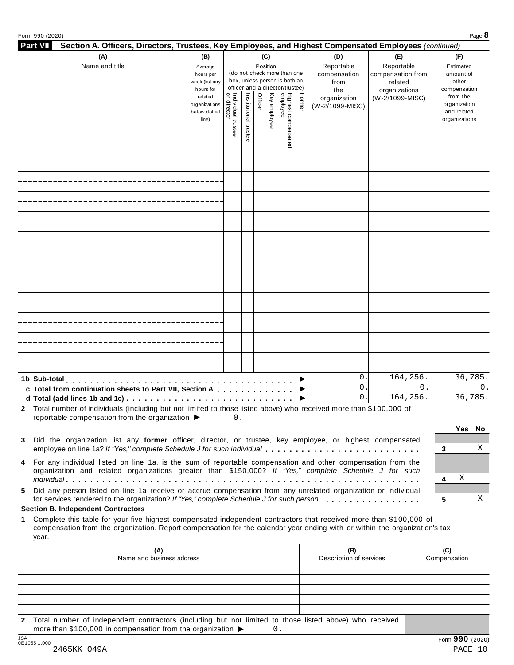|             | (A)<br>Name and business address                                                                                                                                                                      | (B)<br>Description of services | (C)<br>Compensation                                                      |
|-------------|-------------------------------------------------------------------------------------------------------------------------------------------------------------------------------------------------------|--------------------------------|--------------------------------------------------------------------------|
|             |                                                                                                                                                                                                       |                                |                                                                          |
|             |                                                                                                                                                                                                       |                                |                                                                          |
|             |                                                                                                                                                                                                       |                                |                                                                          |
|             |                                                                                                                                                                                                       |                                |                                                                          |
|             |                                                                                                                                                                                                       |                                |                                                                          |
| $2^{\circ}$ | Total number of independent contractors (including but not limited to those listed above) who received<br>more than \$100,000 in compensation from the organization $\blacktriangleright$<br>$\Omega$ |                                |                                                                          |
| 10A         |                                                                                                                                                                                                       |                                | $\begin{array}{ccc}\n\bullet & \bullet & \bullet & \bullet\n\end{array}$ |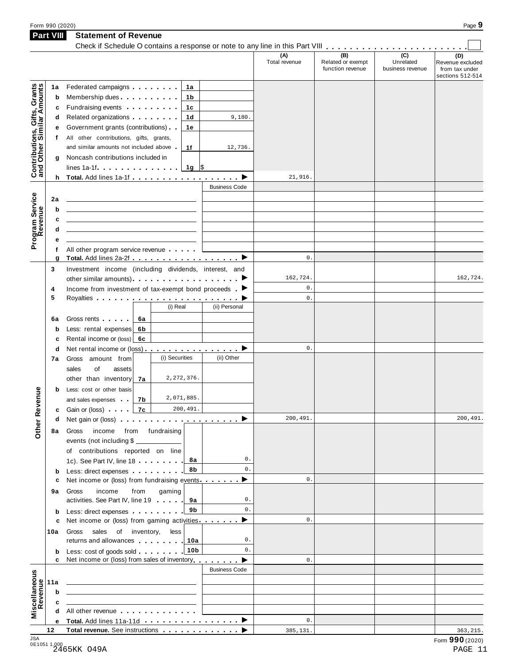| Form 990 (2020) | Page $\rightarrow$ |
|-----------------|--------------------|
|                 |                    |

**Part VIII Statement of Revenue**

|                                                           | <b>Part VIII</b> | Statement of Revenue                                                                                                                                                                                                                                 |                      |                                              |                                                 |                                                               |
|-----------------------------------------------------------|------------------|------------------------------------------------------------------------------------------------------------------------------------------------------------------------------------------------------------------------------------------------------|----------------------|----------------------------------------------|-------------------------------------------------|---------------------------------------------------------------|
|                                                           |                  |                                                                                                                                                                                                                                                      | (A)<br>Total revenue | (B)<br>Related or exempt<br>function revenue | $\overline{C}$<br>Unrelated<br>business revenue | (D)<br>Revenue excluded<br>from tax under<br>sections 512-514 |
|                                                           | 1a               | Federated campaigns <b>Federated</b><br>1а                                                                                                                                                                                                           |                      |                                              |                                                 |                                                               |
|                                                           | b                | Membership dues <b>All Accords</b> Membership dues<br>1b                                                                                                                                                                                             |                      |                                              |                                                 |                                                               |
|                                                           | c                | Fundraising events <b>Exercises Exercises</b><br>1c                                                                                                                                                                                                  |                      |                                              |                                                 |                                                               |
|                                                           | a                | Related organizations <b>and the set of the set of the set of the set of the set of the set of the set of the set of the set of the set of the set of the set of the set of the set of the set of the set of the set of the set </b><br>1d<br>9,180. |                      |                                              |                                                 |                                                               |
| Contributions, Gifts, Grants<br>and Other Similar Amounts | е                | Government grants (contributions).<br>1е                                                                                                                                                                                                             |                      |                                              |                                                 |                                                               |
|                                                           | t.               | All other contributions, gifts, grants,                                                                                                                                                                                                              |                      |                                              |                                                 |                                                               |
|                                                           |                  | and similar amounts not included above<br>1f<br>12,736.                                                                                                                                                                                              |                      |                                              |                                                 |                                                               |
|                                                           | g                | Noncash contributions included in                                                                                                                                                                                                                    |                      |                                              |                                                 |                                                               |
|                                                           |                  | $1g$ \$<br>$lines 1a-1f$                                                                                                                                                                                                                             |                      |                                              |                                                 |                                                               |
|                                                           |                  | h Total. Add lines 1a-1f $\ldots$ , $\ldots$ , $\ldots$ , $\blacktriangleright$                                                                                                                                                                      | 21,916               |                                              |                                                 |                                                               |
|                                                           |                  | <b>Business Code</b>                                                                                                                                                                                                                                 |                      |                                              |                                                 |                                                               |
|                                                           | 2a               | the control of the control of the control of the control of the control of the control of                                                                                                                                                            |                      |                                              |                                                 |                                                               |
|                                                           | b                |                                                                                                                                                                                                                                                      |                      |                                              |                                                 |                                                               |
|                                                           | c                |                                                                                                                                                                                                                                                      |                      |                                              |                                                 |                                                               |
|                                                           | d                |                                                                                                                                                                                                                                                      |                      |                                              |                                                 |                                                               |
| Program Service<br>Revenue                                |                  |                                                                                                                                                                                                                                                      |                      |                                              |                                                 |                                                               |
|                                                           | f<br>g           | All other program service revenue                                                                                                                                                                                                                    | $\mathsf{0}$ .       |                                              |                                                 |                                                               |
|                                                           | 3                | Investment income (including dividends, interest, and                                                                                                                                                                                                |                      |                                              |                                                 |                                                               |
|                                                           |                  |                                                                                                                                                                                                                                                      | 162,724.             |                                              |                                                 | 162,724.                                                      |
|                                                           | 4                | Income from investment of tax-exempt bond proceeds $\blacksquare$                                                                                                                                                                                    | $0$ .                |                                              |                                                 |                                                               |
|                                                           | 5                |                                                                                                                                                                                                                                                      | $\mathsf{0}$ .       |                                              |                                                 |                                                               |
|                                                           |                  | (i) Real<br>(ii) Personal                                                                                                                                                                                                                            |                      |                                              |                                                 |                                                               |
|                                                           | 6a               | Gross rents<br>6а                                                                                                                                                                                                                                    |                      |                                              |                                                 |                                                               |
|                                                           | b                | Less: rental expenses<br>6b                                                                                                                                                                                                                          |                      |                                              |                                                 |                                                               |
|                                                           | c                | Rental income or (loss)<br>6с                                                                                                                                                                                                                        |                      |                                              |                                                 |                                                               |
|                                                           | d                | Net rental income or (loss) $\cdots$ $\cdots$ $\cdots$ $\cdots$                                                                                                                                                                                      | $0$ .                |                                              |                                                 |                                                               |
|                                                           | 7а               | (i) Securities<br>(ii) Other<br>Gross amount from                                                                                                                                                                                                    |                      |                                              |                                                 |                                                               |
|                                                           |                  | sales<br>of<br>assets                                                                                                                                                                                                                                |                      |                                              |                                                 |                                                               |
|                                                           |                  | 2, 272, 376.<br>other than inventory<br>7a                                                                                                                                                                                                           |                      |                                              |                                                 |                                                               |
|                                                           | b                | Less: cost or other basis                                                                                                                                                                                                                            |                      |                                              |                                                 |                                                               |
| evenue                                                    |                  | 2,071,885.<br>and sales expenses<br>7b                                                                                                                                                                                                               |                      |                                              |                                                 |                                                               |
|                                                           |                  | 200,491.<br>7c<br><b>c</b> Gain or (loss) <b>c</b>                                                                                                                                                                                                   |                      |                                              |                                                 |                                                               |
| Other <sub>R</sub>                                        | d                |                                                                                                                                                                                                                                                      | 200,491.             |                                              |                                                 | 200,491.                                                      |
|                                                           | 8а               | income from fundraising<br>Gross                                                                                                                                                                                                                     |                      |                                              |                                                 |                                                               |
|                                                           |                  | events (not including \$                                                                                                                                                                                                                             |                      |                                              |                                                 |                                                               |
|                                                           |                  | of contributions reported on line                                                                                                                                                                                                                    |                      |                                              |                                                 |                                                               |
|                                                           |                  | 0.<br>1c). See Part IV, line 18<br>8а                                                                                                                                                                                                                |                      |                                              |                                                 |                                                               |
|                                                           | b                | $0$ .<br>8b<br>Less: direct expenses                                                                                                                                                                                                                 |                      |                                              |                                                 |                                                               |
|                                                           | с                | Net income or (loss) from fundraising events.<br>▸                                                                                                                                                                                                   | $0$ .                |                                              |                                                 |                                                               |
|                                                           | 9а               | gaming<br>Gross<br>income<br>from                                                                                                                                                                                                                    |                      |                                              |                                                 |                                                               |
|                                                           |                  | activities. See Part IV, line 19 9a<br>0.                                                                                                                                                                                                            |                      |                                              |                                                 |                                                               |
|                                                           | b                | $0$ .<br>9b<br>Less: direct expenses L                                                                                                                                                                                                               |                      |                                              |                                                 |                                                               |
|                                                           | c                | Net income or (loss) from gaming activities<br>▸                                                                                                                                                                                                     | $0$ .                |                                              |                                                 |                                                               |
|                                                           | 10a              | Gross sales of inventory, less                                                                                                                                                                                                                       |                      |                                              |                                                 |                                                               |
|                                                           |                  | 0.<br>returns and allowances 10a<br>0.                                                                                                                                                                                                               |                      |                                              |                                                 |                                                               |
|                                                           | b<br>c           | Less: cost of goods sold 10b<br>Net income or (loss) from sales of inventory                                                                                                                                                                         | $\mathbf{0}$ .       |                                              |                                                 |                                                               |
|                                                           |                  | <b>Business Code</b>                                                                                                                                                                                                                                 |                      |                                              |                                                 |                                                               |
|                                                           |                  |                                                                                                                                                                                                                                                      |                      |                                              |                                                 |                                                               |
|                                                           | 11a              | the contract of the contract of the contract of the contract of the contract of                                                                                                                                                                      |                      |                                              |                                                 |                                                               |
|                                                           | b                | <u> 1989 - Johann Stein, marwolaethau a bhann an t-Amhainn an t-Amhainn an t-Amhainn an t-Amhainn an t-Amhainn an</u>                                                                                                                                |                      |                                              |                                                 |                                                               |
| Miscellaneous<br>Revenue                                  | c                | <u> 1989 - Johann Barbara, martxa alemaniar amerikan a</u><br>All other revenue experience and the state of the state of the state of the state of the state of the state of                                                                         |                      |                                              |                                                 |                                                               |
|                                                           | е                |                                                                                                                                                                                                                                                      | $0$ .                |                                              |                                                 |                                                               |
|                                                           | 12               |                                                                                                                                                                                                                                                      | 385,131.             |                                              |                                                 | 363,215.                                                      |
| 10A                                                       |                  |                                                                                                                                                                                                                                                      |                      |                                              |                                                 |                                                               |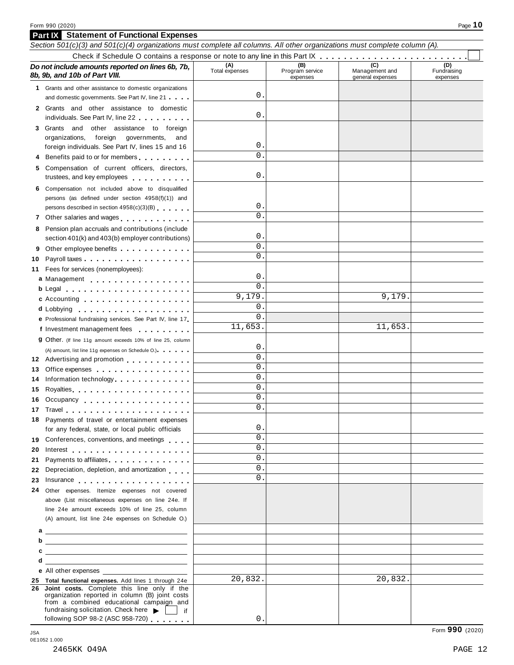**Part IX Statement of Functional Expenses**

|    | Section 501(c)(3) and 501(c)(4) organizations must complete all columns. All other organizations must complete column (A).                                                                                                     |                       |                                    |                                           |                                |
|----|--------------------------------------------------------------------------------------------------------------------------------------------------------------------------------------------------------------------------------|-----------------------|------------------------------------|-------------------------------------------|--------------------------------|
|    |                                                                                                                                                                                                                                |                       |                                    |                                           |                                |
|    | Do not include amounts reported on lines 6b, 7b,<br>8b, 9b, and 10b of Part VIII.                                                                                                                                              | (A)<br>Total expenses | (B)<br>Program service<br>expenses | (C)<br>Management and<br>general expenses | (D)<br>Fundraising<br>expenses |
|    | 1 Grants and other assistance to domestic organizations                                                                                                                                                                        |                       |                                    |                                           |                                |
|    | and domestic governments. See Part IV, line 21                                                                                                                                                                                 | 0                     |                                    |                                           |                                |
|    | 2 Grants and other assistance to domestic                                                                                                                                                                                      |                       |                                    |                                           |                                |
|    | individuals. See Part IV, line 22                                                                                                                                                                                              | 0                     |                                    |                                           |                                |
|    | 3 Grants and other assistance to foreign                                                                                                                                                                                       |                       |                                    |                                           |                                |
|    | organizations,<br>foreign<br>governments,<br>and                                                                                                                                                                               |                       |                                    |                                           |                                |
|    | foreign individuals. See Part IV, lines 15 and 16                                                                                                                                                                              | 0                     |                                    |                                           |                                |
|    | Benefits paid to or for members                                                                                                                                                                                                | $\Omega$              |                                    |                                           |                                |
| 5  | Compensation of current officers, directors,<br>trustees, and key employees                                                                                                                                                    | 0                     |                                    |                                           |                                |
| 6. | Compensation not included above to disqualified                                                                                                                                                                                |                       |                                    |                                           |                                |
|    | persons (as defined under section 4958(f)(1)) and                                                                                                                                                                              |                       |                                    |                                           |                                |
|    | persons described in section 4958(c)(3)(B)                                                                                                                                                                                     | 0                     |                                    |                                           |                                |
| 7  | Other salaries and wages                                                                                                                                                                                                       | $\Omega$              |                                    |                                           |                                |
| 8  | Pension plan accruals and contributions (include                                                                                                                                                                               |                       |                                    |                                           |                                |
|    | section 401(k) and 403(b) employer contributions)                                                                                                                                                                              | 0                     |                                    |                                           |                                |
| 9  | Other employee benefits                                                                                                                                                                                                        | $\Omega$ .            |                                    |                                           |                                |
| 10 |                                                                                                                                                                                                                                | $\Omega$ .            |                                    |                                           |                                |
| 11 | Fees for services (nonemployees):                                                                                                                                                                                              |                       |                                    |                                           |                                |
|    | a Management                                                                                                                                                                                                                   | 0                     |                                    |                                           |                                |
|    |                                                                                                                                                                                                                                | $\Omega$ .            |                                    | 9,179                                     |                                |
|    | c Accounting                                                                                                                                                                                                                   | 9,179.<br>0           |                                    |                                           |                                |
|    |                                                                                                                                                                                                                                | $\Omega$ .            |                                    |                                           |                                |
|    | e Professional fundraising services. See Part IV, line 17                                                                                                                                                                      | 11,653.               |                                    | 11,653.                                   |                                |
|    | f Investment management fees                                                                                                                                                                                                   |                       |                                    |                                           |                                |
|    | <b>g</b> Other. (If line 11g amount exceeds 10% of line 25, column                                                                                                                                                             | 0                     |                                    |                                           |                                |
|    | (A) amount, list line 11g expenses on Schedule O.)                                                                                                                                                                             | $\Omega$ .            |                                    |                                           |                                |
|    | 12 Advertising and promotion                                                                                                                                                                                                   | $\Omega$ .            |                                    |                                           |                                |
| 13 | Office expenses example and the set of the set of the set of the set of the set of the set of the set of the set of the set of the set of the set of the set of the set of the set of the set of the set of the set of the set | $\Omega$ .            |                                    |                                           |                                |
| 14 | Information technology                                                                                                                                                                                                         | $\Omega$ .            |                                    |                                           |                                |
| 15 |                                                                                                                                                                                                                                | $\mathbf 0$ .         |                                    |                                           |                                |
| 16 | Occupancy                                                                                                                                                                                                                      | $\Omega$ .            |                                    |                                           |                                |
| 17 | Payments of travel or entertainment expenses                                                                                                                                                                                   |                       |                                    |                                           |                                |
|    | for any federal, state, or local public officials                                                                                                                                                                              | $\mathbf 0$ .         |                                    |                                           |                                |
| 19 | Conferences, conventions, and meetings                                                                                                                                                                                         | 0.                    |                                    |                                           |                                |
| 20 | Interest experience and the set of the set of the set of the set of the set of the set of the set of the set of the set of the set of the set of the set of the set of the set of the set of the set of the set of the set of  | $\Omega$ .            |                                    |                                           |                                |
| 21 | Payments to affiliates entertainment and the set of the set of the set of the set of the set of the set of the                                                                                                                 | $0$ .                 |                                    |                                           |                                |
| 22 | Depreciation, depletion, and amortization                                                                                                                                                                                      | $\Omega$ .            |                                    |                                           |                                |
| 23 |                                                                                                                                                                                                                                | $0$ .                 |                                    |                                           |                                |
| 24 | Other expenses. Itemize expenses not covered                                                                                                                                                                                   |                       |                                    |                                           |                                |
|    | above (List miscellaneous expenses on line 24e. If                                                                                                                                                                             |                       |                                    |                                           |                                |
|    | line 24e amount exceeds 10% of line 25, column                                                                                                                                                                                 |                       |                                    |                                           |                                |
|    | (A) amount, list line 24e expenses on Schedule O.)                                                                                                                                                                             |                       |                                    |                                           |                                |
|    |                                                                                                                                                                                                                                |                       |                                    |                                           |                                |
| b  | <u> 1989 - Johann Stoff, deutscher Stoff, der Stoff, der Stoff, der Stoff, der Stoff, der Stoff, der Stoff, der S</u>                                                                                                          |                       |                                    |                                           |                                |
| c  | <u> 1989 - Johann Stoff, deutscher Stoffen und der Stoffen und der Stoffen und der Stoffen und der Stoffen und der</u>                                                                                                         |                       |                                    |                                           |                                |
| d  | the contract of the contract of the contract of the contract of the contract of the                                                                                                                                            |                       |                                    |                                           |                                |
|    | e All other expenses                                                                                                                                                                                                           |                       |                                    |                                           |                                |
|    | 25 Total functional expenses. Add lines 1 through 24e                                                                                                                                                                          | 20,832.               |                                    | 20,832.                                   |                                |
|    | 26 Joint costs. Complete this line only if the<br>organization reported in column (B) joint costs<br>from a combined educational campaign and<br>fundraising solicitation. Check here ><br>lif                                 |                       |                                    |                                           |                                |
|    | following SOP 98-2 (ASC 958-720)                                                                                                                                                                                               | 0.                    |                                    |                                           |                                |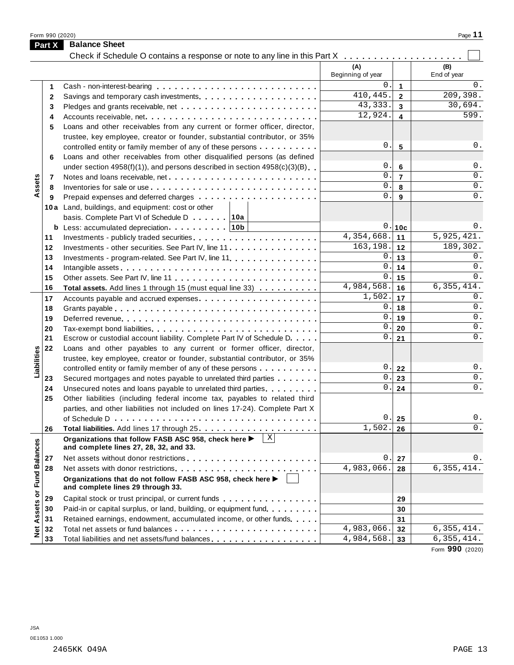Form <sup>990</sup> (2020) Page **11**

|                             | Part X       | <b>Balance Sheet</b>                                                                                                                                                  |                          |                         |                    |
|-----------------------------|--------------|-----------------------------------------------------------------------------------------------------------------------------------------------------------------------|--------------------------|-------------------------|--------------------|
|                             |              |                                                                                                                                                                       |                          |                         |                    |
|                             |              |                                                                                                                                                                       | (A)<br>Beginning of year |                         | (B)<br>End of year |
|                             | 1            |                                                                                                                                                                       | 0.                       | $\mathbf{1}$            | 0.                 |
|                             | $\mathbf{2}$ |                                                                                                                                                                       | 410, 445.                | $\overline{2}$          | 209, 398.          |
|                             | 3            |                                                                                                                                                                       | 43,333.                  | 3                       | 30,694.            |
|                             | 4            |                                                                                                                                                                       | 12,924.                  | 4                       | 599.               |
|                             | 5            | Loans and other receivables from any current or former officer, director,                                                                                             |                          |                         |                    |
|                             |              | trustee, key employee, creator or founder, substantial contributor, or 35%                                                                                            |                          |                         |                    |
|                             |              | controlled entity or family member of any of these persons                                                                                                            | 0.                       | $\overline{\mathbf{5}}$ | 0.                 |
|                             | 6            | Loans and other receivables from other disqualified persons (as defined                                                                                               |                          |                         |                    |
|                             |              | under section $4958(f)(1)$ , and persons described in section $4958(c)(3)(B)$                                                                                         | 0.                       | 6                       | 0.                 |
|                             | 7            |                                                                                                                                                                       | 0.                       | $\overline{7}$          | 0.                 |
| Assets                      | 8            |                                                                                                                                                                       | 0.                       | 8                       | 0.                 |
|                             | 9            |                                                                                                                                                                       | 0.                       | 9                       | 0.                 |
|                             |              | 10a Land, buildings, and equipment: cost or other                                                                                                                     |                          |                         |                    |
|                             |              | basis. Complete Part VI of Schedule D 10a                                                                                                                             |                          |                         |                    |
|                             |              | <b>b</b> Less: accumulated depreciation $\ldots$ , ,    10b                                                                                                           |                          | 0.10c                   | 0.                 |
|                             | 11           |                                                                                                                                                                       | 4,354,668.               | 11                      | 5,925,421.         |
|                             | 12           | Investments - other securities. See Part IV, line 11                                                                                                                  | 163,198.                 | 12                      | 189,302.           |
|                             | 13           |                                                                                                                                                                       | 0.                       | 13                      | 0.                 |
|                             | 14           |                                                                                                                                                                       | 0                        | 14                      | 0.                 |
|                             | 15           | Other assets. See Part IV, line 11                                                                                                                                    | 0.                       | 15                      | 0.                 |
|                             | 16           | Total assets. Add lines 1 through 15 (must equal line 33)                                                                                                             | 4,984,568.               | 16                      | 6, 355, 414.       |
|                             | 17           | Accounts payable and accrued expenses                                                                                                                                 | 1,502.                   | 17                      | 0.                 |
|                             | 18           |                                                                                                                                                                       | 0.                       | 18                      | 0.                 |
|                             | 19           |                                                                                                                                                                       | 0.                       | 19                      | 0.                 |
|                             | 20           |                                                                                                                                                                       | 0.                       | 20                      | 0.                 |
|                             | 21           | Escrow or custodial account liability. Complete Part IV of Schedule D.                                                                                                | 0.                       | 21                      | 0.                 |
| Liabilities                 | 22           | Loans and other payables to any current or former officer, director,                                                                                                  |                          |                         |                    |
|                             |              | trustee, key employee, creator or founder, substantial contributor, or 35%                                                                                            | 0.                       |                         |                    |
|                             |              | controlled entity or family member of any of these persons                                                                                                            | 0.                       | 22                      | 0.<br>0.           |
|                             | 23           | Secured mortgages and notes payable to unrelated third parties                                                                                                        | 0.                       | 23                      | 0.                 |
|                             | 24           | Unsecured notes and loans payable to unrelated third parties                                                                                                          |                          | 24                      |                    |
|                             | 25           | Other liabilities (including federal income tax, payables to related third                                                                                            |                          |                         |                    |
|                             |              | parties, and other liabilities not included on lines 17-24). Complete Part X<br>of Schedule D $\ldots \ldots \ldots \ldots \ldots \ldots \ldots \ldots \ldots \ldots$ | 0.1                      |                         | 0.                 |
|                             | 26           |                                                                                                                                                                       | 1,502.                   | 25<br>26                | 0.                 |
|                             |              | $\mathbf{X}$<br>Organizations that follow FASB ASC 958, check here ▶                                                                                                  |                          |                         |                    |
|                             |              | and complete lines 27, 28, 32, and 33.                                                                                                                                |                          |                         |                    |
|                             | 27           | Net assets without donor restrictions                                                                                                                                 | 0.                       | 27                      | 0.                 |
|                             | 28           |                                                                                                                                                                       | 4,983,066.               | 28                      | 6, 355, 414.       |
| Net Assets or Fund Balances |              | Organizations that do not follow FASB ASC 958, check here ▶<br>and complete lines 29 through 33.                                                                      |                          |                         |                    |
|                             | 29           | Capital stock or trust principal, or current funds entitled and state in the capital stock or trust                                                                   |                          | 29                      |                    |
|                             | 30           | Paid-in or capital surplus, or land, building, or equipment fund.                                                                                                     |                          | 30                      |                    |
|                             | 31           | Retained earnings, endowment, accumulated income, or other funds                                                                                                      |                          | 31                      |                    |
|                             | 32           |                                                                                                                                                                       | 4,983,066.               | 32                      | 6, 355, 414.       |
|                             | 33           |                                                                                                                                                                       | 4,984,568.               | 33                      | 6,355,414.         |

Form **990** (2020)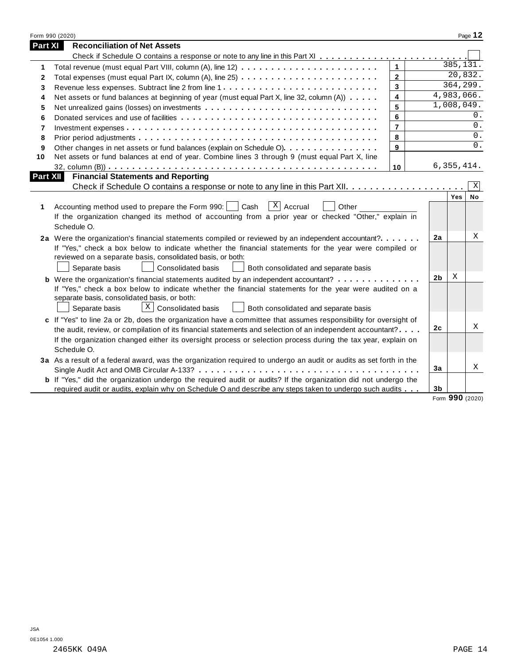|              | Form 990 (2020)                                                                                                       |                |                |                 | Page 12     |
|--------------|-----------------------------------------------------------------------------------------------------------------------|----------------|----------------|-----------------|-------------|
| Part XI      | <b>Reconciliation of Net Assets</b>                                                                                   |                |                |                 |             |
|              |                                                                                                                       |                |                |                 |             |
| 1            |                                                                                                                       | $\mathbf{1}$   |                | 385,131.        |             |
| $\mathbf{2}$ |                                                                                                                       | $\mathbf{2}$   |                | 20,832.         |             |
| 3            |                                                                                                                       | 3              |                | 364,299.        |             |
| 4            | Net assets or fund balances at beginning of year (must equal Part X, line 32, column (A))                             | 4              |                | 4,983,066.      |             |
| 5            | Net unrealized gains (losses) on investments                                                                          | 5              |                | 1,008,049.      |             |
| 6            |                                                                                                                       | 6              |                |                 | 0.          |
| 7            |                                                                                                                       | $\overline{7}$ |                |                 | 0.          |
| 8            |                                                                                                                       | 8              |                |                 | $0$ .       |
| 9            | Other changes in net assets or fund balances (explain on Schedule O).                                                 | 9              |                |                 | 0.          |
| 10           | Net assets or fund balances at end of year. Combine lines 3 through 9 (must equal Part X, line                        |                |                |                 |             |
|              |                                                                                                                       | 10             |                | 6, 355, 414.    |             |
| Part XII     | <b>Financial Statements and Reporting</b>                                                                             |                |                |                 |             |
|              |                                                                                                                       |                |                |                 | $\mathbf X$ |
|              |                                                                                                                       |                |                | <b>Yes</b>      | <b>No</b>   |
| 1.           | $\overline{X}$ Accrual<br>Accounting method used to prepare the Form 990:     Cash<br>Other                           |                |                |                 |             |
|              | If the organization changed its method of accounting from a prior year or checked "Other," explain in                 |                |                |                 |             |
|              | Schedule O.                                                                                                           |                |                |                 |             |
|              | 2a Were the organization's financial statements compiled or reviewed by an independent accountant?                    |                | 2a             |                 | Χ           |
|              | If "Yes," check a box below to indicate whether the financial statements for the year were compiled or                |                |                |                 |             |
|              | reviewed on a separate basis, consolidated basis, or both:                                                            |                |                |                 |             |
|              | Separate basis<br><b>Consolidated basis</b><br>Both consolidated and separate basis                                   |                |                |                 |             |
|              | <b>b</b> Were the organization's financial statements audited by an independent accountant?                           |                | 2 <sub>b</sub> | Χ               |             |
|              | If "Yes," check a box below to indicate whether the financial statements for the year were audited on a               |                |                |                 |             |
|              | separate basis, consolidated basis, or both:                                                                          |                |                |                 |             |
|              | $X \mid$<br><b>Consolidated basis</b><br>Separate basis<br>Both consolidated and separate basis                       |                |                |                 |             |
|              | c If "Yes" to line 2a or 2b, does the organization have a committee that assumes responsibility for oversight of      |                |                |                 |             |
|              | the audit, review, or compilation of its financial statements and selection of an independent accountant?             |                | 2c             |                 | X           |
|              | If the organization changed either its oversight process or selection process during the tax year, explain on         |                |                |                 |             |
|              | Schedule O.                                                                                                           |                |                |                 |             |
|              | 3a As a result of a federal award, was the organization required to undergo an audit or audits as set forth in the    |                |                |                 |             |
|              |                                                                                                                       |                | 3a             |                 | X           |
|              | <b>b</b> If "Yes," did the organization undergo the required audit or audits? If the organization did not undergo the |                |                |                 |             |
|              | required audit or audits, explain why on Schedule O and describe any steps taken to undergo such audits               |                | 3 <sub>b</sub> |                 |             |
|              |                                                                                                                       |                |                | Form 990 (2020) |             |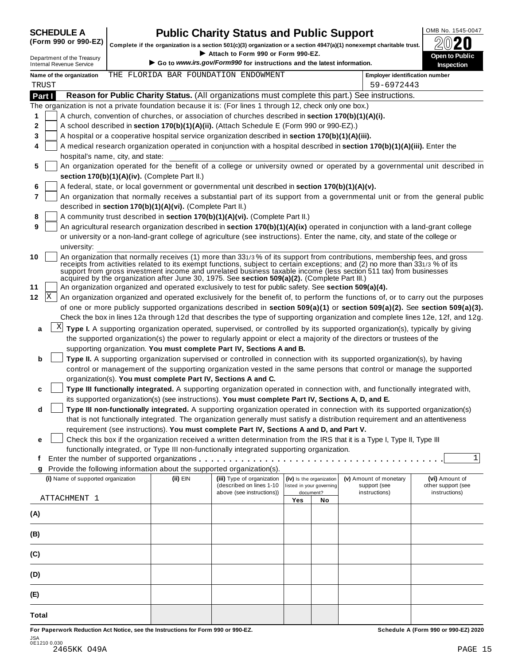SCHEDULE A **Public Charity Status and Public Support**<br>(Form 990 or 990-EZ) complete if the organization is a section 501(c)(3) organization or a section 4947(a)(1) nonexempt charitable trust. (Form 990 or 990-EZ) complete if the organization is a section 501(c)(3) organization or a section 4947(a)(1) nonexempt charitable trust.  $2020$ 

|        |   | Department of the Treasury         |                                                                                  | Attach to Form 990 or Form 990-EZ.                                                                        |     |                                       | Complete if the organization is a section 501(c)(3) organization or a section 4947(a)(1) nonexempt charitable trust.                                                                                                                                                                                                                                                           | BWŁU<br>Open to Public                                                                                                           |
|--------|---|------------------------------------|----------------------------------------------------------------------------------|-----------------------------------------------------------------------------------------------------------|-----|---------------------------------------|--------------------------------------------------------------------------------------------------------------------------------------------------------------------------------------------------------------------------------------------------------------------------------------------------------------------------------------------------------------------------------|----------------------------------------------------------------------------------------------------------------------------------|
|        |   | <b>Internal Revenue Service</b>    |                                                                                  | Go to www.irs.gov/Form990 for instructions and the latest information.                                    |     |                                       |                                                                                                                                                                                                                                                                                                                                                                                | Inspection                                                                                                                       |
|        |   | Name of the organization           |                                                                                  | THE FLORIDA BAR FOUNDATION ENDOWMENT                                                                      |     |                                       | <b>Employer identification number</b>                                                                                                                                                                                                                                                                                                                                          |                                                                                                                                  |
| TRUST  |   |                                    |                                                                                  |                                                                                                           |     |                                       | 59-6972443                                                                                                                                                                                                                                                                                                                                                                     |                                                                                                                                  |
| Part I |   |                                    |                                                                                  | The organization is not a private foundation because it is: (For lines 1 through 12, check only one box.) |     |                                       | Reason for Public Charity Status. (All organizations must complete this part.) See instructions.                                                                                                                                                                                                                                                                               |                                                                                                                                  |
| 1      |   |                                    |                                                                                  | A church, convention of churches, or association of churches described in section 170(b)(1)(A)(i).        |     |                                       |                                                                                                                                                                                                                                                                                                                                                                                |                                                                                                                                  |
| 2      |   |                                    |                                                                                  | A school described in section 170(b)(1)(A)(ii). (Attach Schedule E (Form 990 or 990-EZ).)                 |     |                                       |                                                                                                                                                                                                                                                                                                                                                                                |                                                                                                                                  |
| 3      |   |                                    |                                                                                  | A hospital or a cooperative hospital service organization described in section 170(b)(1)(A)(iii).         |     |                                       |                                                                                                                                                                                                                                                                                                                                                                                |                                                                                                                                  |
| 4      |   |                                    |                                                                                  |                                                                                                           |     |                                       | A medical research organization operated in conjunction with a hospital described in section 170(b)(1)(A)(iii). Enter the                                                                                                                                                                                                                                                      |                                                                                                                                  |
|        |   | hospital's name, city, and state:  |                                                                                  |                                                                                                           |     |                                       |                                                                                                                                                                                                                                                                                                                                                                                |                                                                                                                                  |
| 5      |   |                                    |                                                                                  |                                                                                                           |     |                                       |                                                                                                                                                                                                                                                                                                                                                                                | An organization operated for the benefit of a college or university owned or operated by a governmental unit described in        |
|        |   |                                    | section 170(b)(1)(A)(iv). (Complete Part II.)                                    |                                                                                                           |     |                                       |                                                                                                                                                                                                                                                                                                                                                                                |                                                                                                                                  |
| 6      |   |                                    |                                                                                  | A federal, state, or local government or governmental unit described in section 170(b)(1)(A)(v).          |     |                                       |                                                                                                                                                                                                                                                                                                                                                                                |                                                                                                                                  |
| 7      |   |                                    |                                                                                  |                                                                                                           |     |                                       |                                                                                                                                                                                                                                                                                                                                                                                | An organization that normally receives a substantial part of its support from a governmental unit or from the general public     |
|        |   |                                    | described in section 170(b)(1)(A)(vi). (Complete Part II.)                       |                                                                                                           |     |                                       |                                                                                                                                                                                                                                                                                                                                                                                |                                                                                                                                  |
| 8      |   |                                    |                                                                                  | A community trust described in section 170(b)(1)(A)(vi). (Complete Part II.)                              |     |                                       |                                                                                                                                                                                                                                                                                                                                                                                |                                                                                                                                  |
| 9      |   |                                    |                                                                                  |                                                                                                           |     |                                       | An agricultural research organization described in section 170(b)(1)(A)(ix) operated in conjunction with a land-grant college                                                                                                                                                                                                                                                  |                                                                                                                                  |
|        |   |                                    |                                                                                  |                                                                                                           |     |                                       | or university or a non-land-grant college of agriculture (see instructions). Enter the name, city, and state of the college or                                                                                                                                                                                                                                                 |                                                                                                                                  |
|        |   | university:                        |                                                                                  |                                                                                                           |     |                                       |                                                                                                                                                                                                                                                                                                                                                                                |                                                                                                                                  |
| 10     |   |                                    |                                                                                  | acquired by the organization after June 30, 1975. See section 509(a)(2). (Complete Part III.)             |     |                                       | An organization that normally receives (1) more than 331/3% of its support from contributions, membership fees, and gross<br>receipts from activities related to its exempt functions, subject to certain exceptions; and (2) no more than 331/3 % of its<br>support from gross investment income and unrelated business taxable income (less section 511 tax) from businesses |                                                                                                                                  |
| 11     |   |                                    |                                                                                  | An organization organized and operated exclusively to test for public safety. See section 509(a)(4).      |     |                                       |                                                                                                                                                                                                                                                                                                                                                                                |                                                                                                                                  |
| 12     | X |                                    |                                                                                  |                                                                                                           |     |                                       |                                                                                                                                                                                                                                                                                                                                                                                | An organization organized and operated exclusively for the benefit of, to perform the functions of, or to carry out the purposes |
|        |   |                                    |                                                                                  |                                                                                                           |     |                                       |                                                                                                                                                                                                                                                                                                                                                                                | of one or more publicly supported organizations described in section 509(a)(1) or section 509(a)(2). See section 509(a)(3).      |
|        |   |                                    |                                                                                  |                                                                                                           |     |                                       |                                                                                                                                                                                                                                                                                                                                                                                | Check the box in lines 12a through 12d that describes the type of supporting organization and complete lines 12e, 12f, and 12g.  |
| a      |   | X                                  |                                                                                  |                                                                                                           |     |                                       | Type I. A supporting organization operated, supervised, or controlled by its supported organization(s), typically by giving                                                                                                                                                                                                                                                    |                                                                                                                                  |
|        |   |                                    |                                                                                  |                                                                                                           |     |                                       | the supported organization(s) the power to regularly appoint or elect a majority of the directors or trustees of the                                                                                                                                                                                                                                                           |                                                                                                                                  |
|        |   |                                    |                                                                                  | supporting organization. You must complete Part IV, Sections A and B.                                     |     |                                       |                                                                                                                                                                                                                                                                                                                                                                                |                                                                                                                                  |
| b      |   |                                    |                                                                                  |                                                                                                           |     |                                       | Type II. A supporting organization supervised or controlled in connection with its supported organization(s), by having                                                                                                                                                                                                                                                        |                                                                                                                                  |
|        |   |                                    |                                                                                  |                                                                                                           |     |                                       | control or management of the supporting organization vested in the same persons that control or manage the supported                                                                                                                                                                                                                                                           |                                                                                                                                  |
|        |   |                                    |                                                                                  | organization(s). You must complete Part IV, Sections A and C.                                             |     |                                       |                                                                                                                                                                                                                                                                                                                                                                                |                                                                                                                                  |
| c      |   |                                    |                                                                                  |                                                                                                           |     |                                       | Type III functionally integrated. A supporting organization operated in connection with, and functionally integrated with,                                                                                                                                                                                                                                                     |                                                                                                                                  |
|        |   |                                    |                                                                                  | its supported organization(s) (see instructions). You must complete Part IV, Sections A, D, and E.        |     |                                       |                                                                                                                                                                                                                                                                                                                                                                                |                                                                                                                                  |
| d      |   |                                    |                                                                                  |                                                                                                           |     |                                       | Type III non-functionally integrated. A supporting organization operated in connection with its supported organization(s)<br>that is not functionally integrated. The organization generally must satisfy a distribution requirement and an attentiveness                                                                                                                      |                                                                                                                                  |
|        |   |                                    |                                                                                  | requirement (see instructions). You must complete Part IV, Sections A and D, and Part V.                  |     |                                       |                                                                                                                                                                                                                                                                                                                                                                                |                                                                                                                                  |
| е      |   |                                    |                                                                                  |                                                                                                           |     |                                       | Check this box if the organization received a written determination from the IRS that it is a Type I, Type II, Type III                                                                                                                                                                                                                                                        |                                                                                                                                  |
|        |   |                                    |                                                                                  | functionally integrated, or Type III non-functionally integrated supporting organization.                 |     |                                       |                                                                                                                                                                                                                                                                                                                                                                                |                                                                                                                                  |
| t      |   |                                    |                                                                                  | Enter the number of supported organizations                                                               |     |                                       |                                                                                                                                                                                                                                                                                                                                                                                | 1                                                                                                                                |
| g      |   |                                    |                                                                                  | Provide the following information about the supported organization(s).                                    |     |                                       |                                                                                                                                                                                                                                                                                                                                                                                |                                                                                                                                  |
|        |   | (i) Name of supported organization | (ii) EIN                                                                         | (iii) Type of organization                                                                                |     | (iv) Is the organization              | (v) Amount of monetary                                                                                                                                                                                                                                                                                                                                                         | (vi) Amount of                                                                                                                   |
|        |   |                                    |                                                                                  | (described on lines 1-10<br>above (see instructions))                                                     |     | listed in your governing<br>document? | support (see<br>instructions)                                                                                                                                                                                                                                                                                                                                                  | other support (see<br>instructions)                                                                                              |
|        |   | ATTACHMENT 1                       |                                                                                  |                                                                                                           | Yes | No                                    |                                                                                                                                                                                                                                                                                                                                                                                |                                                                                                                                  |
| (A)    |   |                                    |                                                                                  |                                                                                                           |     |                                       |                                                                                                                                                                                                                                                                                                                                                                                |                                                                                                                                  |
|        |   |                                    |                                                                                  |                                                                                                           |     |                                       |                                                                                                                                                                                                                                                                                                                                                                                |                                                                                                                                  |
| (B)    |   |                                    |                                                                                  |                                                                                                           |     |                                       |                                                                                                                                                                                                                                                                                                                                                                                |                                                                                                                                  |
| (C)    |   |                                    |                                                                                  |                                                                                                           |     |                                       |                                                                                                                                                                                                                                                                                                                                                                                |                                                                                                                                  |
| (D)    |   |                                    |                                                                                  |                                                                                                           |     |                                       |                                                                                                                                                                                                                                                                                                                                                                                |                                                                                                                                  |
| (E)    |   |                                    |                                                                                  |                                                                                                           |     |                                       |                                                                                                                                                                                                                                                                                                                                                                                |                                                                                                                                  |
|        |   |                                    |                                                                                  |                                                                                                           |     |                                       |                                                                                                                                                                                                                                                                                                                                                                                |                                                                                                                                  |
| Total  |   |                                    |                                                                                  |                                                                                                           |     |                                       |                                                                                                                                                                                                                                                                                                                                                                                |                                                                                                                                  |
|        |   |                                    | For Paperwork Reduction Act Notice, see the Instructions for Form 990 or 990-EZ. |                                                                                                           |     |                                       |                                                                                                                                                                                                                                                                                                                                                                                | Schedule A (Form 990 or 990-EZ) 2020                                                                                             |

 $\overline{a}$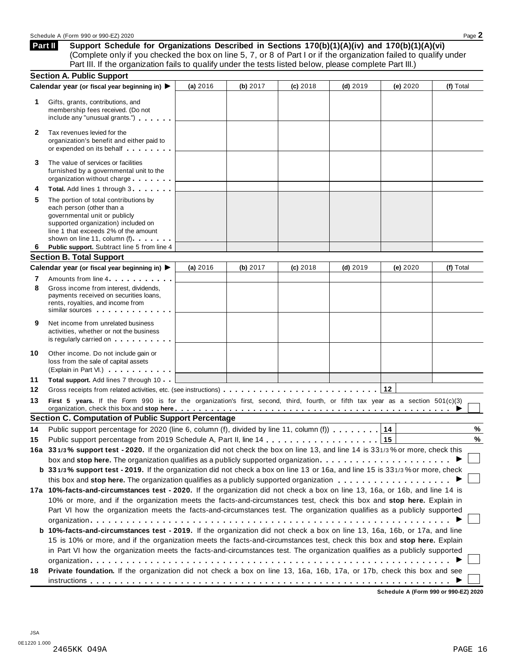**Support Schedule for Organizations Described in Sections 170(b)(1)(A)(iv) and 170(b)(1)(A)(vi)** (Complete only if you checked the box on line 5, 7, or 8 of Part I or if the organization failed to qualify under Part III. If the organization fails to qualify under the tests listed below, please complete Part III.) **Part II**

|              | <b>Section A. Public Support</b>                                                                                                                                                                                                                                                    |          |            |            |            |            |           |
|--------------|-------------------------------------------------------------------------------------------------------------------------------------------------------------------------------------------------------------------------------------------------------------------------------------|----------|------------|------------|------------|------------|-----------|
|              | Calendar year (or fiscal year beginning in) ▶                                                                                                                                                                                                                                       | (a) 2016 | (b) $2017$ | (c) 2018   | $(d)$ 2019 | (e) 2020   | (f) Total |
| 1.           | Gifts, grants, contributions, and<br>membership fees received. (Do not<br>include any "unusual grants.")                                                                                                                                                                            |          |            |            |            |            |           |
| $\mathbf{2}$ | Tax revenues levied for the<br>organization's benefit and either paid to<br>or expended on its behalf                                                                                                                                                                               |          |            |            |            |            |           |
| 3            | The value of services or facilities<br>furnished by a governmental unit to the<br>organization without charge                                                                                                                                                                       |          |            |            |            |            |           |
| 4            | Total. Add lines 1 through 3                                                                                                                                                                                                                                                        |          |            |            |            |            |           |
| 5<br>6       | The portion of total contributions by<br>each person (other than a<br>governmental unit or publicly<br>supported organization) included on<br>line 1 that exceeds 2% of the amount<br>shown on line 11, column (f)<br>Public support. Subtract line 5 from line 4                   |          |            |            |            |            |           |
|              | <b>Section B. Total Support</b>                                                                                                                                                                                                                                                     |          |            |            |            |            |           |
|              | Calendar year (or fiscal year beginning in)                                                                                                                                                                                                                                         | (a) 2016 | (b) 2017   | $(c)$ 2018 | $(d)$ 2019 | (e) $2020$ | (f) Total |
| 7            | Amounts from line 4                                                                                                                                                                                                                                                                 |          |            |            |            |            |           |
| 8            | Gross income from interest, dividends,<br>payments received on securities loans,<br>rents, royalties, and income from<br>similar sources experiences                                                                                                                                |          |            |            |            |            |           |
| 9            | Net income from unrelated business<br>activities, whether or not the business<br>is regularly carried on the control of the set of the set of the set of the set of the set of the set of the s                                                                                     |          |            |            |            |            |           |
| 10           | Other income. Do not include gain or<br>loss from the sale of capital assets<br>(Explain in Part VI.)                                                                                                                                                                               |          |            |            |            |            |           |
| 11           | Total support. Add lines 7 through 10                                                                                                                                                                                                                                               |          |            |            |            |            |           |
| 12           |                                                                                                                                                                                                                                                                                     |          |            |            |            |            |           |
| 13           | First 5 years. If the Form 990 is for the organization's first, second, third, fourth, or fifth tax year as a section 501(c)(3)<br>organization, check this box and stop here entitled as a series of the series of the series of the series of the series of $\blacktriangleright$ |          |            |            |            |            |           |
|              | <b>Section C. Computation of Public Support Percentage</b>                                                                                                                                                                                                                          |          |            |            |            |            |           |
| 14           | Public support percentage for 2020 (line 6, column (f), divided by line 11, column (f) $\ldots \ldots$                                                                                                                                                                              |          |            |            |            | 14         | %         |
| 15           |                                                                                                                                                                                                                                                                                     |          |            |            |            |            | %         |
|              | 16a 331/3% support test - 2020. If the organization did not check the box on line 13, and line 14 is 331/3% or more, check this                                                                                                                                                     |          |            |            |            |            |           |
|              | box and stop here. The organization qualifies as a publicly supported organization                                                                                                                                                                                                  |          |            |            |            |            |           |
|              | b 331/3% support test - 2019. If the organization did not check a box on line 13 or 16a, and line 15 is 331/3% or more, check                                                                                                                                                       |          |            |            |            |            |           |
|              |                                                                                                                                                                                                                                                                                     |          |            |            |            |            |           |
|              | 17a 10%-facts-and-circumstances test - 2020. If the organization did not check a box on line 13, 16a, or 16b, and line 14 is                                                                                                                                                        |          |            |            |            |            |           |
|              | 10% or more, and if the organization meets the facts-and-circumstances test, check this box and stop here. Explain in                                                                                                                                                               |          |            |            |            |            |           |
|              | Part VI how the organization meets the facts-and-circumstances test. The organization qualifies as a publicly supported                                                                                                                                                             |          |            |            |            |            |           |
|              |                                                                                                                                                                                                                                                                                     |          |            |            |            |            |           |
|              | b 10%-facts-and-circumstances test - 2019. If the organization did not check a box on line 13, 16a, 16b, or 17a, and line                                                                                                                                                           |          |            |            |            |            |           |
|              | 15 is 10% or more, and if the organization meets the facts-and-circumstances test, check this box and stop here. Explain                                                                                                                                                            |          |            |            |            |            |           |
|              | in Part VI how the organization meets the facts-and-circumstances test. The organization qualifies as a publicly supported                                                                                                                                                          |          |            |            |            |            |           |
|              |                                                                                                                                                                                                                                                                                     |          |            |            |            |            |           |
| 18           | Private foundation. If the organization did not check a box on line 13, 16a, 16b, 17a, or 17b, check this box and see                                                                                                                                                               |          |            |            |            |            |           |
|              |                                                                                                                                                                                                                                                                                     |          |            |            |            |            |           |

**Schedule A (Form 990 or 990-EZ) 2020**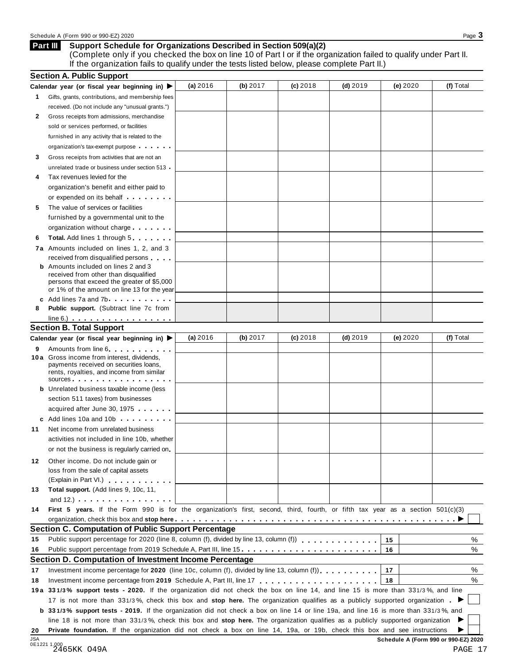#### **Support Schedule for Organizations Described in Section 509(a)(2) Part III**

(Complete only if you checked the box on line 10 of Part I or if the organization failed to qualify under Part II. If the organization fails to qualify under the tests listed below, please complete Part II.)

|    | <b>Section A. Public Support</b>                                                                                                                                                                                                                           |          |          |            |            |          |           |
|----|------------------------------------------------------------------------------------------------------------------------------------------------------------------------------------------------------------------------------------------------------------|----------|----------|------------|------------|----------|-----------|
|    | Calendar year (or fiscal year beginning in) $\blacktriangleright$                                                                                                                                                                                          | (a) 2016 | (b) 2017 | $(c)$ 2018 | $(d)$ 2019 | (e) 2020 | (f) Total |
| 1  | Gifts, grants, contributions, and membership fees                                                                                                                                                                                                          |          |          |            |            |          |           |
|    | received. (Do not include any "unusual grants.")                                                                                                                                                                                                           |          |          |            |            |          |           |
| 2  | Gross receipts from admissions, merchandise                                                                                                                                                                                                                |          |          |            |            |          |           |
|    | sold or services performed, or facilities                                                                                                                                                                                                                  |          |          |            |            |          |           |
|    | furnished in any activity that is related to the                                                                                                                                                                                                           |          |          |            |            |          |           |
|    | organization's tax-exempt purpose                                                                                                                                                                                                                          |          |          |            |            |          |           |
| 3  | Gross receipts from activities that are not an                                                                                                                                                                                                             |          |          |            |            |          |           |
|    | unrelated trade or business under section 513                                                                                                                                                                                                              |          |          |            |            |          |           |
| 4  | Tax revenues levied for the                                                                                                                                                                                                                                |          |          |            |            |          |           |
|    | organization's benefit and either paid to                                                                                                                                                                                                                  |          |          |            |            |          |           |
|    | or expended on its behalf <b>contained</b> by the set of the set of the set of the set of the set of the set of the set of the set of the set of the set of the set of the set of the set of the set of the set of the set of the s                        |          |          |            |            |          |           |
| 5  | The value of services or facilities                                                                                                                                                                                                                        |          |          |            |            |          |           |
|    | furnished by a governmental unit to the                                                                                                                                                                                                                    |          |          |            |            |          |           |
|    | organization without charge                                                                                                                                                                                                                                |          |          |            |            |          |           |
| 6  | <b>Total.</b> Add lines 1 through 5                                                                                                                                                                                                                        |          |          |            |            |          |           |
|    | 7a Amounts included on lines 1, 2, and 3                                                                                                                                                                                                                   |          |          |            |            |          |           |
|    | received from disqualified persons                                                                                                                                                                                                                         |          |          |            |            |          |           |
|    | <b>b</b> Amounts included on lines 2 and 3                                                                                                                                                                                                                 |          |          |            |            |          |           |
|    | received from other than disqualified                                                                                                                                                                                                                      |          |          |            |            |          |           |
|    | persons that exceed the greater of \$5,000                                                                                                                                                                                                                 |          |          |            |            |          |           |
|    | or 1% of the amount on line 13 for the year                                                                                                                                                                                                                |          |          |            |            |          |           |
| 8  | c Add lines 7a and 7b.<br><b>Public support.</b> (Subtract line 7c from                                                                                                                                                                                    |          |          |            |            |          |           |
|    |                                                                                                                                                                                                                                                            |          |          |            |            |          |           |
|    | $line 6.)$<br><b>Section B. Total Support</b>                                                                                                                                                                                                              |          |          |            |            |          |           |
|    |                                                                                                                                                                                                                                                            | (a) 2016 | (b) 2017 | $(c)$ 2018 | $(d)$ 2019 | (e) 2020 | (f) Total |
|    | Calendar year (or fiscal year beginning in)                                                                                                                                                                                                                |          |          |            |            |          |           |
| 9  | Amounts from line 6<br>10 a Gross income from interest, dividends,                                                                                                                                                                                         |          |          |            |            |          |           |
|    | payments received on securities loans,                                                                                                                                                                                                                     |          |          |            |            |          |           |
|    | rents, royalties, and income from similar                                                                                                                                                                                                                  |          |          |            |            |          |           |
|    | sources                                                                                                                                                                                                                                                    |          |          |            |            |          |           |
|    | <b>b</b> Unrelated business taxable income (less                                                                                                                                                                                                           |          |          |            |            |          |           |
|    | section 511 taxes) from businesses                                                                                                                                                                                                                         |          |          |            |            |          |           |
|    | acquired after June 30, 1975                                                                                                                                                                                                                               |          |          |            |            |          |           |
|    | c Add lines 10a and 10b                                                                                                                                                                                                                                    |          |          |            |            |          |           |
| 11 | Net income from unrelated business                                                                                                                                                                                                                         |          |          |            |            |          |           |
|    | activities not included in line 10b, whether                                                                                                                                                                                                               |          |          |            |            |          |           |
|    | or not the business is regularly carried on                                                                                                                                                                                                                |          |          |            |            |          |           |
| 12 | Other income. Do not include gain or                                                                                                                                                                                                                       |          |          |            |            |          |           |
|    | loss from the sale of capital assets                                                                                                                                                                                                                       |          |          |            |            |          |           |
|    | (Explain in Part VI.)                                                                                                                                                                                                                                      |          |          |            |            |          |           |
| 13 | Total support. (Add lines 9, 10c, 11,                                                                                                                                                                                                                      |          |          |            |            |          |           |
|    | and $12$ .) $\cdots$ $\cdots$ $\cdots$ $\cdots$ $\cdots$                                                                                                                                                                                                   |          |          |            |            |          |           |
| 14 | First 5 years. If the Form 990 is for the organization's first, second, third, fourth, or fifth tax year as a section 501(c)(3)                                                                                                                            |          |          |            |            |          |           |
|    |                                                                                                                                                                                                                                                            |          |          |            |            |          |           |
|    | <b>Section C. Computation of Public Support Percentage</b>                                                                                                                                                                                                 |          |          |            |            |          |           |
| 15 | Public support percentage for 2020 (line 8, column (f), divided by line 13, column (f) entitled in the set of the set of the set of the set of the set of the set of the set of the set of the set of the set of the set of th                             |          |          |            |            | 15       | %         |
| 16 | Public support percentage from 2019 Schedule A, Part III, line 15                                                                                                                                                                                          |          |          |            |            | 16       | %         |
|    | Section D. Computation of Investment Income Percentage                                                                                                                                                                                                     |          |          |            |            |          |           |
| 17 | Investment income percentage for 2020 (line 10c, column (f), divided by line 13, column (f)).                                                                                                                                                              |          |          |            |            | 17       | %         |
| 18 |                                                                                                                                                                                                                                                            |          |          |            |            | 18       | %         |
|    | 19a 331/3% support tests - 2020. If the organization did not check the box on line 14, and line 15 is more than 331/3%, and line                                                                                                                           |          |          |            |            |          |           |
|    | 17 is not more than 331/3%, check this box and stop here. The organization qualifies as a publicly supported organization.                                                                                                                                 |          |          |            |            |          |           |
|    |                                                                                                                                                                                                                                                            |          |          |            |            |          |           |
|    |                                                                                                                                                                                                                                                            |          |          |            |            |          |           |
|    | <b>b</b> 331/3% support tests - 2019. If the organization did not check a box on line 14 or line 19a, and line 16 is more than 331/3%, and                                                                                                                 |          |          |            |            |          |           |
| 20 | line 18 is not more than 331/3%, check this box and stop here. The organization qualifies as a publicly supported organization<br>Private foundation. If the organization did not check a box on line 14, 19a, or 19b, check this box and see instructions |          |          |            |            |          |           |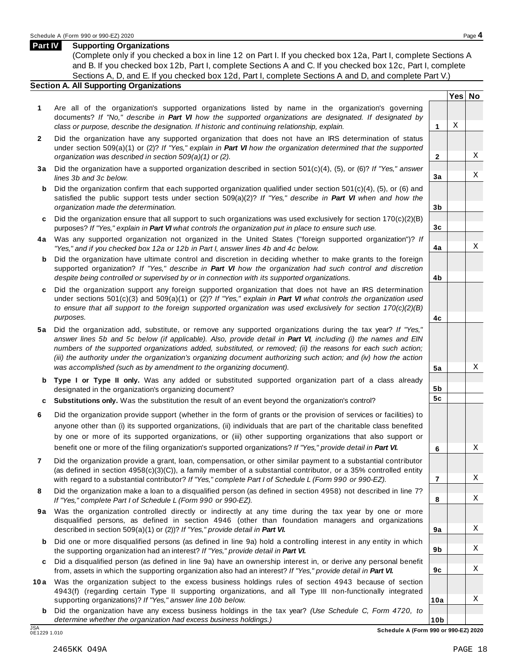#### **Part IV Supporting Organizations**

(Complete only if you checked a box in line 12 on Part I. If you checked box 12a, Part I, complete Sections A and B. If you checked box 12b, Part I, complete Sections A and C. If you checked box 12c, Part I, complete Sections A, D, and E. If you checked box 12d, Part I, complete Sections A and D, and complete Part V.)

#### **Section A. All Supporting Organizations**

- **1** Are all of the organization's supported organizations listed by name in the organization's governing documents? *If "No," describe in Part VI how the supported organizations are designated. If designated by class or purpose, describe the designation. If historic and continuing relationship, explain.* **1**
- **2** Did the organization have any supported organization that does not have an IRS determination of status under section 509(a)(1) or (2)? *If"Yes," explain in Part VI how the organization determined that the supported organization was described in section 509(a)(1) or (2).*
- **3 a** Did the organization have a supported organization described in section 501(c)(4), (5), or (6)? *If "Yes," answer lines 3b and 3c below.*
- **b** Did the organization confirm that each supported organization qualified under section 501(c)(4), (5), or (6) and | satisfied the public support tests under section 509(a)(2)? *If "Yes," describe in Part VI when and how the organization made the determination.*
- **c** Did the organization ensure that all support to such organizations was used exclusively for section 170(c)(2)(B) purposes? *If"Yes," explain in Part VI what controls the organization put in place to ensure such use.*
- **4 a** Was any supported organization not organized in the United States ("foreign supported organization")? *If "Yes," and if you checked box 12a or 12b in Part I, answer lines 4b and 4c below.*
- **b** Did the organization have ultimate control and discretion in deciding whether to make grants to the foreign | supported organization? *If "Yes," describe in Part VI how the organization had such control and discretion despite being controlled or supervised by or in connection with its supported organizations.*
- **c** Did the organization support any foreign supported organization that does not have an IRS determination | under sections 501(c)(3) and 509(a)(1) or (2)? *If "Yes," explain in Part VI what controls the organization used to ensure that all support to the foreign supported organization was used exclusively for section 170(c)(2)(B) purposes.*
- **5 a** Did the organization add, substitute, or remove any supported organizations during the tax year? *If "Yes,"* answer lines 5b and 5c below (if applicable). Also, provide detail in Part VI, including (i) the names and EIN *numbers of the supported organizations added, substituted, or removed; (ii) the reasons for each such action;* (iii) the authority under the organization's organizing document authorizing such action; and (iv) how the action *was accomplished (such as by amendment to the organizing document).*
- **b Type I or Type II only.** Was any added or substituted supported organization part of a class already designated in the organization's organizing document?
- **c Substitutions only.** Was the substitution the result of an event beyond the organization's control?
- **6** Did the organization provide support (whether in the form of grants or the provision of services or facilities) to anyone other than (i) its supported organizations, (ii) individuals that are part of the charitable class benefited by one or more of its supported organizations, or (iii) other supporting organizations that also support or benefit one or more of the filing organization's supported organizations? *If"Yes," provide detail in Part VI.*
- **7** Did the organization provide a grant, loan, compensation, or other similar payment to a substantial contributor (as defined in section 4958(c)(3)(C)), a family member of a substantial contributor, or a 35% controlled entity with regard to a substantial contributor? *If"Yes," complete Part I of Schedule L (Form 990 or 990-EZ).*
- **8** Did the organization make a loan to a disqualified person (as defined in section 4958) not described in line 7? *If "Yes," complete Part I of Schedule L (Form 990 or 990-EZ).*
- **9a** Was the organization controlled directly or indirectly at any time during the tax year by one or more | disqualified persons, as defined in section 4946 (other than foundation managers and organizations described in section 509(a)(1) or (2))? *If"Yes," provide detail in Part VI.*
- **b** Did one or more disqualified persons (as defined in line 9a) hold a controlling interest in any entity in which | the supporting organization had an interest? *If"Yes," provide detail in Part VI.*
- **c** Did a disqualified person (as defined in line 9a) have an ownership interest in, or derive any personal benefit from, assets in which the supporting organization also had an interest? *If"Yes," provide detail in Part VI.*
- **10a** Was the organization subject to the excess business holdings rules of section 4943 because of section | 4943(f) (regarding certain Type II supporting organizations, and all Type III non-functionally integrated supporting organizations)? *If"Yes," answer line 10b below.*
	- **b** Did the organization have any excess business holdings in the tax year? *(Use Schedule C, Form 4720, to determine whether the organization had excess business holdings.)*

**Yes No**

X

X

X

X

X

X

X

X

X

X

X

X

**2**

**3a**

**3b**

**3c**

**4a**

**4b**

**4c**

**5a**

**5b 5c**

**6**

**7**

**8**

**9a**

**9b**

**9c**

**10a**

**10b** JSA **Schedule A (Form 990 or 990-EZ) 2020**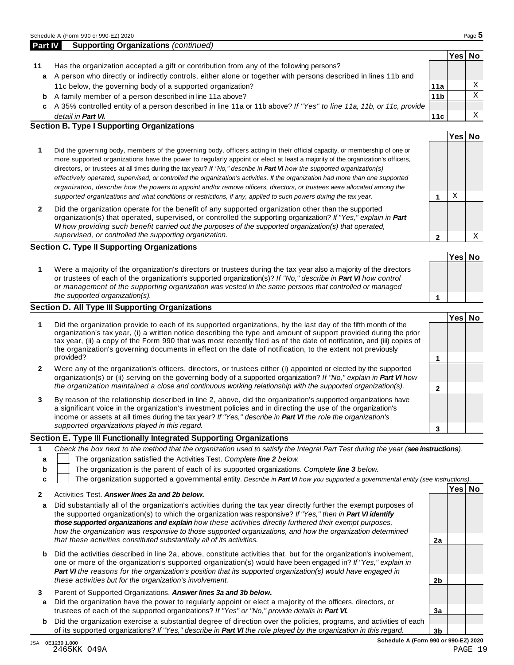|    |                                                                                                                    |                 | Yes⊺ | No |
|----|--------------------------------------------------------------------------------------------------------------------|-----------------|------|----|
| 11 | Has the organization accepted a gift or contribution from any of the following persons?                            |                 |      |    |
|    | a A person who directly or indirectly controls, either alone or together with persons described in lines 11b and   |                 |      |    |
|    | 11c below, the governing body of a supported organization?                                                         | 11a             |      |    |
| b  | A family member of a person described in line 11a above?                                                           | 11 <sub>b</sub> |      |    |
| c  | A 35% controlled entity of a person described in line 11a or 11b above? If "Yes" to line 11a, 11b, or 11c, provide |                 |      |    |
|    | detail in <b>Part VI.</b>                                                                                          | 11c             |      |    |

|              |                                                                                                                                                                                                                                                                                                                                                                                                                                                                                                                                                                                                                                                                                                                                                                                 | Yes |  |
|--------------|---------------------------------------------------------------------------------------------------------------------------------------------------------------------------------------------------------------------------------------------------------------------------------------------------------------------------------------------------------------------------------------------------------------------------------------------------------------------------------------------------------------------------------------------------------------------------------------------------------------------------------------------------------------------------------------------------------------------------------------------------------------------------------|-----|--|
|              | Did the governing body, members of the governing body, officers acting in their official capacity, or membership of one or<br>more supported organizations have the power to regularly appoint or elect at least a majority of the organization's officers,<br>directors, or trustees at all times during the tax year? If "No," describe in <b>Part VI</b> how the supported organization(s)<br>effectively operated, supervised, or controlled the organization's activities. If the organization had more than one supported<br>organization, describe how the powers to appoint and/or remove officers, directors, or trustees were allocated among the<br>supported organizations and what conditions or restrictions, if any, applied to such powers during the tax year. | Χ   |  |
| $\mathbf{2}$ | Did the organization operate for the benefit of any supported organization other than the supported<br>organization(s) that operated, supervised, or controlled the supporting organization? If "Yes," explain in Part<br>VI how providing such benefit carried out the purposes of the supported organization(s) that operated,<br>supervised, or controlled the supporting organization.                                                                                                                                                                                                                                                                                                                                                                                      |     |  |

### **Section C. Type II Supporting Organizations**

|                                                                                                                                                                                                                                                                                                                                                                               | <sup>∖</sup> Yes∣ No |  |
|-------------------------------------------------------------------------------------------------------------------------------------------------------------------------------------------------------------------------------------------------------------------------------------------------------------------------------------------------------------------------------|----------------------|--|
| Were a majority of the organization's directors or trustees during the tax year also a majority of the directors<br>or trustees of each of the organization's supported organization(s)? If "No," describe in Part VI how control<br>or management of the supporting organization was vested in the same persons that controlled or managed<br>the supported organization(s). |                      |  |

### **Section D. All Type III Supporting Organizations**

|   |                                                                                                                                                                                                                                                                                                                                                                                                                                                                                          | Yes⊺ |  |
|---|------------------------------------------------------------------------------------------------------------------------------------------------------------------------------------------------------------------------------------------------------------------------------------------------------------------------------------------------------------------------------------------------------------------------------------------------------------------------------------------|------|--|
|   | Did the organization provide to each of its supported organizations, by the last day of the fifth month of the<br>organization's tax year, (i) a written notice describing the type and amount of support provided during the prior<br>tax year, (ii) a copy of the Form 990 that was most recently filed as of the date of notification, and (iii) copies of<br>the organization's governing documents in effect on the date of notification, to the extent not previously<br>provided? |      |  |
| 2 | Were any of the organization's officers, directors, or trustees either (i) appointed or elected by the supported<br>organization(s) or (ii) serving on the governing body of a supported organization? If "No," explain in Part VI how<br>the organization maintained a close and continuous working relationship with the supported organization(s).                                                                                                                                    |      |  |
| 3 | By reason of the relationship described in line 2, above, did the organization's supported organizations have<br>a significant voice in the organization's investment policies and in directing the use of the organization's<br>income or assets at all times during the tax year? If "Yes," describe in Part VI the role the organization's                                                                                                                                            |      |  |
|   | supported organizations played in this regard.                                                                                                                                                                                                                                                                                                                                                                                                                                           |      |  |

### **Section E. Type III Functionally Integrated Supporting Organizations**

| The organization satisfied the Activities Test. Complete line 2 below.                        |                                                                                                                                                                                                                                                                                            |
|-----------------------------------------------------------------------------------------------|--------------------------------------------------------------------------------------------------------------------------------------------------------------------------------------------------------------------------------------------------------------------------------------------|
| The organization is the parent of each of its supported organizations. Complete line 3 below. |                                                                                                                                                                                                                                                                                            |
|                                                                                               |                                                                                                                                                                                                                                                                                            |
| Activities Test Approved lines 20 and 24 below                                                | Nο                                                                                                                                                                                                                                                                                         |
|                                                                                               | Check the box next to the method that the organization used to satisfy the Integral Part Test during the year (see instructions).<br>The organization supported a governmental entity. Describe in Part VI how you supported a governmental entity (see instructions).<br>Yes <sub>1</sub> |

| $\mathcal{P}$ | Activities Test. Answer lines 2a and 2b below.                                                                                                                                                                                                                                                                                                                                                                                                                                                                                             |    |  |
|---------------|--------------------------------------------------------------------------------------------------------------------------------------------------------------------------------------------------------------------------------------------------------------------------------------------------------------------------------------------------------------------------------------------------------------------------------------------------------------------------------------------------------------------------------------------|----|--|
| a             | Did substantially all of the organization's activities during the tax year directly further the exempt purposes of<br>the supported organization(s) to which the organization was responsive? If "Yes," then in <b>Part VI identify</b><br>those supported organizations and explain how these activities directly furthered their exempt purposes.<br>how the organization was responsive to those supported organizations, and how the organization determined<br>that these activities constituted substantially all of its activities. | 2a |  |
| b             | Did the activities described in line 2a, above, constitute activities that, but for the organization's involvement,<br>one or more of the organization's supported organization(s) would have been engaged in? If "Yes," explain in<br><b>Part VI</b> the reasons for the organization's position that its supported organization(s) would have engaged in<br>these activities but for the organization's involvement.                                                                                                                     | 2b |  |
| 3<br>a        | Parent of Supported Organizations. Answer lines 3a and 3b below.<br>Did the organization have the power to regularly appoint or elect a majority of the officers, directors, or<br>trustees of each of the supported organizations? If "Yes" or "No." provide details in Part VI.                                                                                                                                                                                                                                                          | 3a |  |
| b             | Did the organization exercise a substantial degree of direction over the policies, programs, and activities of each<br>of its supported organizations? If "Yes," describe in <b>Part VI</b> the role played by the organization in this regard.                                                                                                                                                                                                                                                                                            | 3b |  |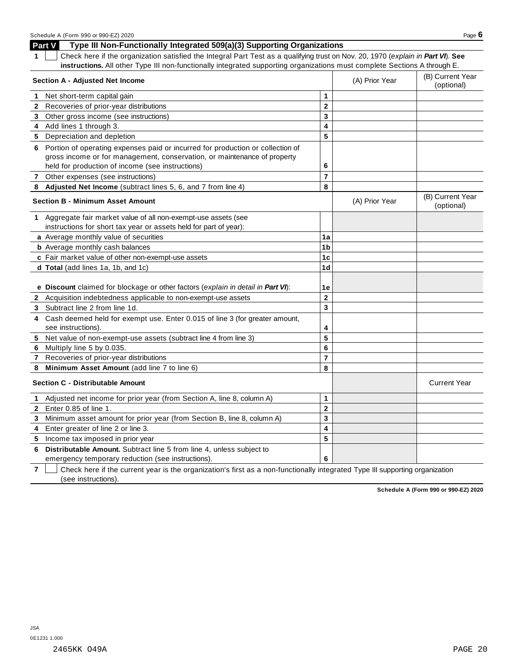| Part V | Type III Non-Functionally Integrated 509(a)(3) Supporting Organizations                                                          |
|--------|----------------------------------------------------------------------------------------------------------------------------------|
|        | Check here if the organization satisfied the Integral Part Test as a qualifying trust on Nov. 20, 1970 (explain in Part VI). See |
|        | instructions. All other Type III non-functionally integrated supporting organizations must complete Sections A through E.        |

|                                         | Section A - Adjusted Net Income                                                                   | (A) Prior Year          | (B) Current Year<br>(optional) |                                |
|-----------------------------------------|---------------------------------------------------------------------------------------------------|-------------------------|--------------------------------|--------------------------------|
| $\mathbf{1}$                            | Net short-term capital gain                                                                       | 1                       |                                |                                |
|                                         | 2 Recoveries of prior-year distributions                                                          | $\mathbf 2$             |                                |                                |
| 3                                       | Other gross income (see instructions)                                                             | 3                       |                                |                                |
| 4                                       | Add lines 1 through 3.                                                                            | 4                       |                                |                                |
|                                         | 5 Depreciation and depletion                                                                      | 5                       |                                |                                |
|                                         | 6 Portion of operating expenses paid or incurred for production or collection of                  |                         |                                |                                |
|                                         | gross income or for management, conservation, or maintenance of property                          |                         |                                |                                |
|                                         | held for production of income (see instructions)                                                  | 6                       |                                |                                |
| 7                                       | Other expenses (see instructions)                                                                 | $\overline{7}$          |                                |                                |
| 8                                       | Adjusted Net Income (subtract lines 5, 6, and 7 from line 4)                                      | 8                       |                                |                                |
| <b>Section B - Minimum Asset Amount</b> |                                                                                                   |                         | (A) Prior Year                 | (B) Current Year<br>(optional) |
|                                         | 1 Aggregate fair market value of all non-exempt-use assets (see                                   |                         |                                |                                |
|                                         | instructions for short tax year or assets held for part of year):                                 |                         |                                |                                |
|                                         | a Average monthly value of securities                                                             | 1a                      |                                |                                |
|                                         | <b>b</b> Average monthly cash balances                                                            | 1 <sub>b</sub>          |                                |                                |
|                                         | c Fair market value of other non-exempt-use assets                                                | 1 <sub>c</sub>          |                                |                                |
|                                         | d Total (add lines 1a, 1b, and 1c)                                                                | 1 <sub>d</sub>          |                                |                                |
|                                         |                                                                                                   |                         |                                |                                |
|                                         | e Discount claimed for blockage or other factors (explain in detail in Part VI):                  | 1е                      |                                |                                |
|                                         | 2 Acquisition indebtedness applicable to non-exempt-use assets                                    | $\overline{2}$          |                                |                                |
| 3.                                      | Subtract line 2 from line 1d.                                                                     | $\overline{3}$          |                                |                                |
|                                         | Cash deemed held for exempt use. Enter 0.015 of line 3 (for greater amount,<br>see instructions). | 4                       |                                |                                |
|                                         | 5 Net value of non-exempt-use assets (subtract line 4 from line 3)                                | 5                       |                                |                                |
| 6                                       | Multiply line 5 by 0.035.                                                                         | 6                       |                                |                                |
| $\mathbf{7}$                            | Recoveries of prior-year distributions                                                            | $\overline{7}$          |                                |                                |
| 8                                       | Minimum Asset Amount (add line 7 to line 6)                                                       | 8                       |                                |                                |
|                                         | <b>Section C - Distributable Amount</b>                                                           |                         |                                | <b>Current Year</b>            |
| 1.                                      | Adjusted net income for prior year (from Section A, line 8, column A)                             | $\mathbf{1}$            |                                |                                |
| $\mathbf{2}$                            | Enter 0.85 of line 1.                                                                             | $\overline{\mathbf{2}}$ |                                |                                |
| 3                                       | Minimum asset amount for prior year (from Section B, line 8, column A)                            | 3                       |                                |                                |
| 4                                       | Enter greater of line 2 or line 3.                                                                | 4                       |                                |                                |
|                                         | 5 Income tax imposed in prior year                                                                | 5                       |                                |                                |
| 6                                       | Distributable Amount. Subtract line 5 from line 4, unless subject to                              |                         |                                |                                |
|                                         | emergency temporary reduction (see instructions).                                                 | 6                       |                                |                                |

**7**  $\Box$  Check here if the current year is the organization's first as a non-functionally integrated Type III supporting organization (see instructions).

**Schedule A (Form 990 or 990-EZ) 2020**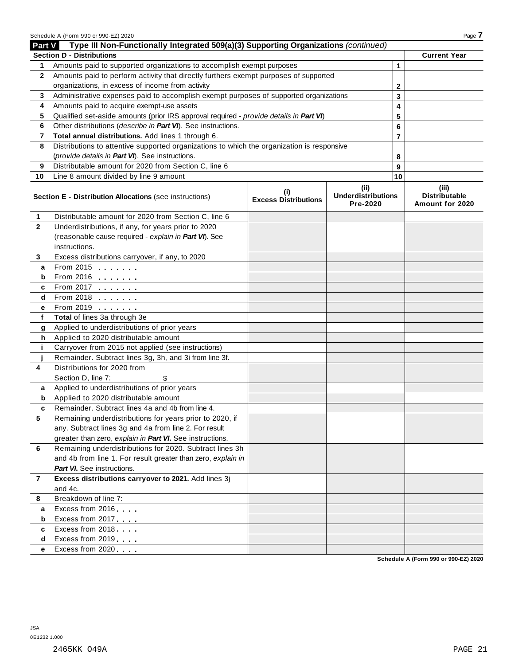|                | Schedule A (Form 990 or 990-EZ) 2020                                                       |                                    |                                       |                | Page 7                                  |
|----------------|--------------------------------------------------------------------------------------------|------------------------------------|---------------------------------------|----------------|-----------------------------------------|
| Part V         | Type III Non-Functionally Integrated 509(a)(3) Supporting Organizations (continued)        |                                    |                                       |                |                                         |
|                | <b>Section D - Distributions</b>                                                           |                                    |                                       |                | <b>Current Year</b>                     |
| 1              | Amounts paid to supported organizations to accomplish exempt purposes                      | 1                                  |                                       |                |                                         |
| $\mathbf{2}$   | Amounts paid to perform activity that directly furthers exempt purposes of supported       |                                    |                                       |                |                                         |
|                | organizations, in excess of income from activity                                           | $\mathbf{2}$                       |                                       |                |                                         |
| 3              | Administrative expenses paid to accomplish exempt purposes of supported organizations      |                                    |                                       | 3              |                                         |
| 4              | Amounts paid to acquire exempt-use assets                                                  |                                    |                                       | 4              |                                         |
| 5              | Qualified set-aside amounts (prior IRS approval required - provide details in Part VI)     |                                    |                                       | 5              |                                         |
| 6              | Other distributions (describe in Part VI). See instructions.                               |                                    |                                       | 6              |                                         |
| 7              | Total annual distributions. Add lines 1 through 6.                                         |                                    |                                       | $\overline{7}$ |                                         |
| 8              | Distributions to attentive supported organizations to which the organization is responsive |                                    |                                       |                |                                         |
|                | (provide details in Part VI). See instructions.                                            |                                    |                                       | 8              |                                         |
| 9              | Distributable amount for 2020 from Section C, line 6                                       |                                    |                                       | 9              |                                         |
| 10             | Line 8 amount divided by line 9 amount                                                     |                                    |                                       | 10             |                                         |
|                |                                                                                            |                                    | (ii)                                  |                | (iii)                                   |
|                | Section E - Distribution Allocations (see instructions)                                    | (i)<br><b>Excess Distributions</b> | <b>Underdistributions</b><br>Pre-2020 |                | <b>Distributable</b><br>Amount for 2020 |
| 1              | Distributable amount for 2020 from Section C, line 6                                       |                                    |                                       |                |                                         |
| $\mathbf{2}$   | Underdistributions, if any, for years prior to 2020                                        |                                    |                                       |                |                                         |
|                | (reasonable cause required - explain in Part VI). See                                      |                                    |                                       |                |                                         |
|                | instructions.                                                                              |                                    |                                       |                |                                         |
| 3              | Excess distributions carryover, if any, to 2020                                            |                                    |                                       |                |                                         |
| a              | From 2015 $\frac{1}{2}$                                                                    |                                    |                                       |                |                                         |
| b              | From 2016 <b>Figure 1.1</b>                                                                |                                    |                                       |                |                                         |
| c              | From 2017 <b>Figure 1.1 (19)</b>                                                           |                                    |                                       |                |                                         |
| d              | $From 2018$                                                                                |                                    |                                       |                |                                         |
| е              | From 2019                                                                                  |                                    |                                       |                |                                         |
| f              | Total of lines 3a through 3e                                                               |                                    |                                       |                |                                         |
| g              | Applied to underdistributions of prior years                                               |                                    |                                       |                |                                         |
| h              | Applied to 2020 distributable amount                                                       |                                    |                                       |                |                                         |
| j.             | Carryover from 2015 not applied (see instructions)                                         |                                    |                                       |                |                                         |
|                | Remainder. Subtract lines 3g, 3h, and 3i from line 3f.                                     |                                    |                                       |                |                                         |
| 4              | Distributions for 2020 from                                                                |                                    |                                       |                |                                         |
|                | Section D, line 7:<br>\$                                                                   |                                    |                                       |                |                                         |
| a              | Applied to underdistributions of prior years                                               |                                    |                                       |                |                                         |
| b              | Applied to 2020 distributable amount                                                       |                                    |                                       |                |                                         |
| c              | Remainder. Subtract lines 4a and 4b from line 4                                            |                                    |                                       |                |                                         |
| 5              | Remaining underdistributions for years prior to 2020, if                                   |                                    |                                       |                |                                         |
|                | any. Subtract lines 3g and 4a from line 2. For result                                      |                                    |                                       |                |                                         |
|                | greater than zero, explain in Part VI. See instructions.                                   |                                    |                                       |                |                                         |
| 6              | Remaining underdistributions for 2020. Subtract lines 3h                                   |                                    |                                       |                |                                         |
|                | and 4b from line 1. For result greater than zero, explain in                               |                                    |                                       |                |                                         |
|                | Part VI. See instructions.                                                                 |                                    |                                       |                |                                         |
| $\overline{7}$ | Excess distributions carryover to 2021. Add lines 3j                                       |                                    |                                       |                |                                         |
|                | and 4c.                                                                                    |                                    |                                       |                |                                         |
| 8              | Breakdown of line 7:                                                                       |                                    |                                       |                |                                         |
| a              | Excess from 2016                                                                           |                                    |                                       |                |                                         |
| b              | Excess from 2017                                                                           |                                    |                                       |                |                                         |
| c              | Excess from 2018                                                                           |                                    |                                       |                |                                         |
| d              | Excess from 2019                                                                           |                                    |                                       |                |                                         |
| e              | Excess from 2020                                                                           |                                    |                                       |                |                                         |

**Schedule A (Form 990 or 990-EZ) 2020**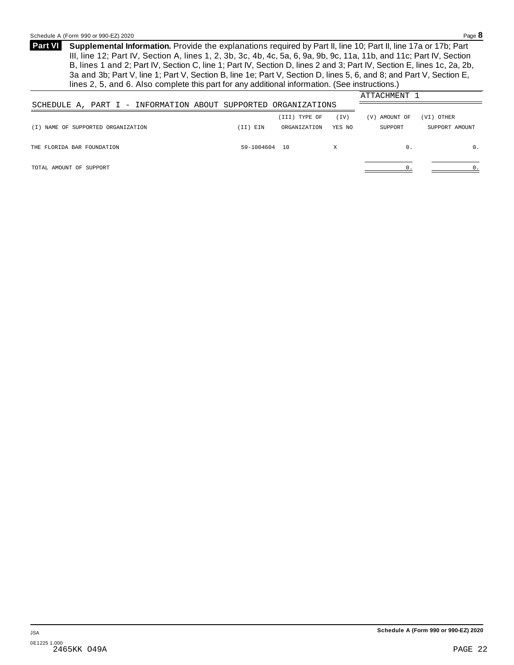**Supplemental Information.** Provide the explanations required by Part II, line 10; Part II, line 17a or 17b; Part **Part VI** III, line 12; Part IV, Section A, lines 1, 2, 3b, 3c, 4b, 4c, 5a, 6, 9a, 9b, 9c, 11a, 11b, and 11c; Part IV, Section B, lines 1 and 2; Part IV, Section C, line 1; Part IV, Section D, lines 2 and 3; Part IV, Section E, lines 1c, 2a, 2b, 3a and 3b; Part V, line 1; Part V, Section B, line 1e; Part V, Section D, lines 5, 6, and 8; and Part V, Section E, lines 2, 5, and 6. Also complete this part for any additional information. (See instructions.)

|                            |                                                                |               | ATTACHMENT    |        |               |                |
|----------------------------|----------------------------------------------------------------|---------------|---------------|--------|---------------|----------------|
|                            | SCHEDULE A, PART I - INFORMATION ABOUT SUPPORTED ORGANIZATIONS |               |               |        |               |                |
|                            |                                                                |               | (III) TYPE OF | (TV)   | (V) AMOUNT OF | (VI) OTHER     |
|                            | (I) NAME OF SUPPORTED ORGANIZATION                             | (II) EIN      | ORGANIZATION  | YES NO | SUPPORT       | SUPPORT AMOUNT |
| THE FLORIDA BAR FOUNDATION |                                                                | 59-1004604 10 |               | X      | 0.            | 0.             |
| TOTAL AMOUNT OF SUPPORT    |                                                                |               |               |        |               |                |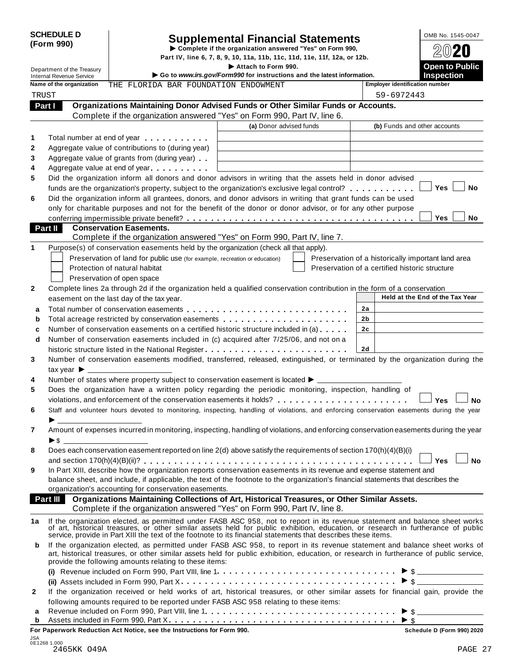|            | <b>SCHEDULE D</b> |
|------------|-------------------|
| (Form 990) |                   |

# SCHEDULE D<br>
Supplemental Financial Statements<br>
Form 990)<br>
Part IV, line 6, 7, 8, 9, 10, 11a, 11b, 11c, 11d, 11e, 11f, 12a, or 12b.<br>
Part IV, line 6, 7, 8, 9, 10, 11a, 11b, 11c, 11d, 11e, 11f, 12a, or 12b.

|        |                                                               |                                                                                                                                                                                                                                                                                                                                                  | Part IV, line 6, 7, 8, 9, 10, 11a, 11b, 11c, 11d, 11e, 11f, 12a, or 12b.                      |                                                |                                                    |
|--------|---------------------------------------------------------------|--------------------------------------------------------------------------------------------------------------------------------------------------------------------------------------------------------------------------------------------------------------------------------------------------------------------------------------------------|-----------------------------------------------------------------------------------------------|------------------------------------------------|----------------------------------------------------|
|        | Department of the Treasury<br><b>Internal Revenue Service</b> |                                                                                                                                                                                                                                                                                                                                                  | Attach to Form 990.<br>Go to www.irs.gov/Form990 for instructions and the latest information. |                                                | <b>Open to Public</b><br><b>Inspection</b>         |
|        | Name of the organization                                      | THE FLORIDA BAR FOUNDATION ENDOWMENT                                                                                                                                                                                                                                                                                                             |                                                                                               | <b>Employer identification number</b>          |                                                    |
| TRUST  |                                                               |                                                                                                                                                                                                                                                                                                                                                  |                                                                                               | 59-6972443                                     |                                                    |
| Part I |                                                               | Organizations Maintaining Donor Advised Funds or Other Similar Funds or Accounts.                                                                                                                                                                                                                                                                |                                                                                               |                                                |                                                    |
|        |                                                               | Complete if the organization answered "Yes" on Form 990, Part IV, line 6.                                                                                                                                                                                                                                                                        |                                                                                               |                                                |                                                    |
|        |                                                               |                                                                                                                                                                                                                                                                                                                                                  | (a) Donor advised funds                                                                       |                                                | (b) Funds and other accounts                       |
| 1      |                                                               | Total number at end of year <b>that the state of the state of the state of the state of the state of the state of the state of the state of the state of the state of the state of the state of the state of the state of the st</b>                                                                                                             |                                                                                               |                                                |                                                    |
| 2      |                                                               | Aggregate value of contributions to (during year)                                                                                                                                                                                                                                                                                                |                                                                                               |                                                |                                                    |
| 3      |                                                               | Aggregate value of grants from (during year)                                                                                                                                                                                                                                                                                                     |                                                                                               |                                                |                                                    |
| 4      |                                                               | Aggregate value at end of year                                                                                                                                                                                                                                                                                                                   |                                                                                               |                                                |                                                    |
| 5      |                                                               | Did the organization inform all donors and donor advisors in writing that the assets held in donor advised                                                                                                                                                                                                                                       |                                                                                               |                                                |                                                    |
|        |                                                               | funds are the organization's property, subject to the organization's exclusive legal control?                                                                                                                                                                                                                                                    |                                                                                               |                                                | Yes<br>No                                          |
| 6      |                                                               | Did the organization inform all grantees, donors, and donor advisors in writing that grant funds can be used                                                                                                                                                                                                                                     |                                                                                               |                                                |                                                    |
|        |                                                               | only for charitable purposes and not for the benefit of the donor or donor advisor, or for any other purpose                                                                                                                                                                                                                                     |                                                                                               |                                                |                                                    |
|        |                                                               |                                                                                                                                                                                                                                                                                                                                                  |                                                                                               |                                                | Yes<br>No                                          |
|        | Part II                                                       | <b>Conservation Easements.</b>                                                                                                                                                                                                                                                                                                                   |                                                                                               |                                                |                                                    |
|        |                                                               | Complete if the organization answered "Yes" on Form 990, Part IV, line 7.                                                                                                                                                                                                                                                                        |                                                                                               |                                                |                                                    |
| 1      |                                                               | Purpose(s) of conservation easements held by the organization (check all that apply).                                                                                                                                                                                                                                                            |                                                                                               |                                                |                                                    |
|        |                                                               | Preservation of land for public use (for example, recreation or education)                                                                                                                                                                                                                                                                       |                                                                                               |                                                | Preservation of a historically important land area |
|        |                                                               | Protection of natural habitat                                                                                                                                                                                                                                                                                                                    |                                                                                               | Preservation of a certified historic structure |                                                    |
|        |                                                               | Preservation of open space                                                                                                                                                                                                                                                                                                                       |                                                                                               |                                                |                                                    |
| 2      |                                                               | Complete lines 2a through 2d if the organization held a qualified conservation contribution in the form of a conservation                                                                                                                                                                                                                        |                                                                                               |                                                |                                                    |
|        |                                                               | easement on the last day of the tax year.                                                                                                                                                                                                                                                                                                        |                                                                                               |                                                | Held at the End of the Tax Year                    |
| a      |                                                               |                                                                                                                                                                                                                                                                                                                                                  |                                                                                               | 2a                                             |                                                    |
| b      |                                                               | Total acreage restricted by conservation easements                                                                                                                                                                                                                                                                                               |                                                                                               | 2b                                             |                                                    |
| c      |                                                               | Number of conservation easements on a certified historic structure included in (a)                                                                                                                                                                                                                                                               |                                                                                               | 2c                                             |                                                    |
| d      |                                                               | Number of conservation easements included in (c) acquired after 7/25/06, and not on a                                                                                                                                                                                                                                                            |                                                                                               |                                                |                                                    |
|        |                                                               |                                                                                                                                                                                                                                                                                                                                                  |                                                                                               | 2d                                             |                                                    |
| 3      |                                                               | Number of conservation easements modified, transferred, released, extinguished, or terminated by the organization during the                                                                                                                                                                                                                     |                                                                                               |                                                |                                                    |
|        | tax year $\blacktriangleright$ $\perp$                        |                                                                                                                                                                                                                                                                                                                                                  |                                                                                               |                                                |                                                    |
| 4      |                                                               | Number of states where property subject to conservation easement is located ▶ _________                                                                                                                                                                                                                                                          |                                                                                               |                                                |                                                    |
| 5      |                                                               | Does the organization have a written policy regarding the periodic monitoring, inspection, handling of                                                                                                                                                                                                                                           |                                                                                               |                                                |                                                    |
|        |                                                               | violations, and enforcement of the conservation easements it holds?                                                                                                                                                                                                                                                                              |                                                                                               |                                                | Yes<br><b>No</b>                                   |
| 6      |                                                               | Staff and volunteer hours devoted to monitoring, inspecting, handling of violations, and enforcing conservation easements during the year                                                                                                                                                                                                        |                                                                                               |                                                |                                                    |
|        |                                                               |                                                                                                                                                                                                                                                                                                                                                  |                                                                                               |                                                |                                                    |
| 7      |                                                               | Amount of expenses incurred in monitoring, inspecting, handling of violations, and enforcing conservation easements during the year                                                                                                                                                                                                              |                                                                                               |                                                |                                                    |
|        |                                                               |                                                                                                                                                                                                                                                                                                                                                  |                                                                                               |                                                |                                                    |
| 8      |                                                               | Does each conservation easement reported on line 2(d) above satisfy the requirements of section 170(h)(4)(B)(i)                                                                                                                                                                                                                                  |                                                                                               |                                                |                                                    |
|        |                                                               |                                                                                                                                                                                                                                                                                                                                                  |                                                                                               |                                                | <b>No</b><br>Yes                                   |
| 9      |                                                               | In Part XIII, describe how the organization reports conservation easements in its revenue and expense statement and                                                                                                                                                                                                                              |                                                                                               |                                                |                                                    |
|        |                                                               | balance sheet, and include, if applicable, the text of the footnote to the organization's financial statements that describes the                                                                                                                                                                                                                |                                                                                               |                                                |                                                    |
|        |                                                               | organization's accounting for conservation easements.                                                                                                                                                                                                                                                                                            |                                                                                               |                                                |                                                    |
|        | Part III                                                      | Organizations Maintaining Collections of Art, Historical Treasures, or Other Similar Assets.                                                                                                                                                                                                                                                     |                                                                                               |                                                |                                                    |
|        |                                                               | Complete if the organization answered "Yes" on Form 990, Part IV, line 8.                                                                                                                                                                                                                                                                        |                                                                                               |                                                |                                                    |
| 1a     |                                                               | If the organization elected, as permitted under FASB ASC 958, not to report in its revenue statement and balance sheet works of art, historical treasures, or other similar assets held for public exhibition, education, or r<br>service, provide in Part XIII the text of the footnote to its financial statements that describes these items. |                                                                                               |                                                |                                                    |
| b      |                                                               | If the organization elected, as permitted under FASB ASC 958, to report in its revenue statement and balance sheet works of<br>art, historical treasures, or other similar assets held for public exhibition, education, or research in furtherance of public service,<br>provide the following amounts relating to these items:                 |                                                                                               |                                                |                                                    |
|        |                                                               |                                                                                                                                                                                                                                                                                                                                                  |                                                                                               |                                                |                                                    |
|        |                                                               |                                                                                                                                                                                                                                                                                                                                                  |                                                                                               |                                                | $\triangleright$ \$                                |
| 2      |                                                               | If the organization received or held works of art, historical treasures, or other similar assets for financial gain, provide the                                                                                                                                                                                                                 |                                                                                               |                                                |                                                    |
|        |                                                               | following amounts required to be reported under FASB ASC 958 relating to these items:                                                                                                                                                                                                                                                            |                                                                                               |                                                |                                                    |
| а      |                                                               |                                                                                                                                                                                                                                                                                                                                                  |                                                                                               |                                                |                                                    |
| b      |                                                               |                                                                                                                                                                                                                                                                                                                                                  |                                                                                               |                                                |                                                    |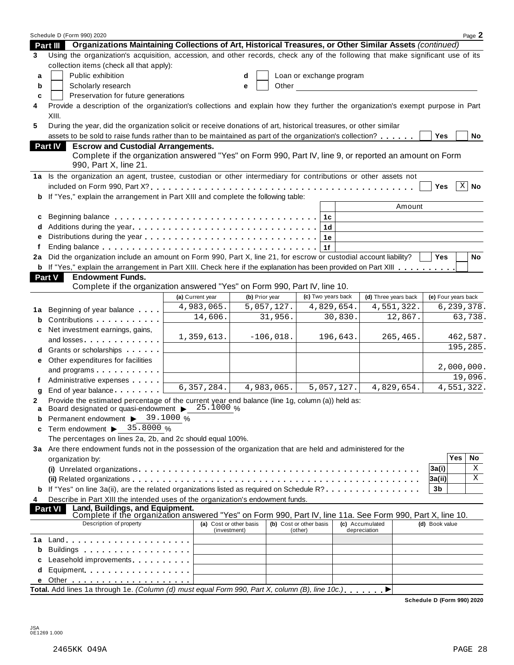|              | Schedule D (Form 990) 2020                                                                                                                                                                                                    |                         |                |             |                         |                                                                                                                                                                                                                               |                      |          |                           |              | Page 2                   |  |
|--------------|-------------------------------------------------------------------------------------------------------------------------------------------------------------------------------------------------------------------------------|-------------------------|----------------|-------------|-------------------------|-------------------------------------------------------------------------------------------------------------------------------------------------------------------------------------------------------------------------------|----------------------|----------|---------------------------|--------------|--------------------------|--|
|              | Organizations Maintaining Collections of Art, Historical Treasures, or Other Similar Assets (continued)<br><b>Part III</b>                                                                                                    |                         |                |             |                         |                                                                                                                                                                                                                               |                      |          |                           |              |                          |  |
| 3            | Using the organization's acquisition, accession, and other records, check any of the following that make significant use of its                                                                                               |                         |                |             |                         |                                                                                                                                                                                                                               |                      |          |                           |              |                          |  |
|              | collection items (check all that apply):                                                                                                                                                                                      |                         |                |             |                         |                                                                                                                                                                                                                               |                      |          |                           |              |                          |  |
| a            | Public exhibition                                                                                                                                                                                                             |                         | d              |             |                         | Loan or exchange program                                                                                                                                                                                                      |                      |          |                           |              |                          |  |
| b            | Scholarly research                                                                                                                                                                                                            |                         | е              |             |                         | Other and the contract of the contract of the contract of the contract of the contract of the contract of the contract of the contract of the contract of the contract of the contract of the contract of the contract of the |                      |          |                           |              |                          |  |
| c            | Preservation for future generations                                                                                                                                                                                           |                         |                |             |                         |                                                                                                                                                                                                                               |                      |          |                           |              |                          |  |
| 4            | Provide a description of the organization's collections and explain how they further the organization's exempt purpose in Part                                                                                                |                         |                |             |                         |                                                                                                                                                                                                                               |                      |          |                           |              |                          |  |
|              | XIII.                                                                                                                                                                                                                         |                         |                |             |                         |                                                                                                                                                                                                                               |                      |          |                           |              |                          |  |
| 5            | During the year, did the organization solicit or receive donations of art, historical treasures, or other similar                                                                                                             |                         |                |             |                         |                                                                                                                                                                                                                               |                      |          |                           |              |                          |  |
|              | assets to be sold to raise funds rather than to be maintained as part of the organization's collection?<br>Yes<br>No                                                                                                          |                         |                |             |                         |                                                                                                                                                                                                                               |                      |          |                           |              |                          |  |
|              | <b>Escrow and Custodial Arrangements.</b><br><b>Part IV</b><br>Complete if the organization answered "Yes" on Form 990, Part IV, line 9, or reported an amount on Form                                                        |                         |                |             |                         |                                                                                                                                                                                                                               |                      |          |                           |              |                          |  |
|              | 990, Part X, line 21.                                                                                                                                                                                                         |                         |                |             |                         |                                                                                                                                                                                                                               |                      |          |                           |              |                          |  |
|              | 1a Is the organization an agent, trustee, custodian or other intermediary for contributions or other assets not                                                                                                               |                         |                |             |                         |                                                                                                                                                                                                                               |                      |          |                           |              |                          |  |
|              |                                                                                                                                                                                                                               |                         |                |             |                         |                                                                                                                                                                                                                               |                      |          | <b>Yes</b>                | $\mathbf{x}$ | No                       |  |
| b            | If "Yes," explain the arrangement in Part XIII and complete the following table:                                                                                                                                              |                         |                |             |                         |                                                                                                                                                                                                                               |                      |          |                           |              |                          |  |
|              |                                                                                                                                                                                                                               |                         |                |             |                         |                                                                                                                                                                                                                               |                      | Amount   |                           |              |                          |  |
| c            | Beginning balance enterpreteration of the contract of the contract of the contract of the contract of the contr                                                                                                               |                         |                |             |                         | 1с                                                                                                                                                                                                                            |                      |          |                           |              |                          |  |
| d            |                                                                                                                                                                                                                               |                         |                |             |                         | 1d                                                                                                                                                                                                                            |                      |          |                           |              |                          |  |
| е            |                                                                                                                                                                                                                               |                         |                |             |                         | 1е                                                                                                                                                                                                                            |                      |          |                           |              |                          |  |
| f            |                                                                                                                                                                                                                               |                         |                |             |                         | 1f                                                                                                                                                                                                                            |                      |          |                           |              |                          |  |
|              | 2a Did the organization include an amount on Form 990, Part X, line 21, for escrow or custodial account liability?                                                                                                            |                         |                |             |                         |                                                                                                                                                                                                                               |                      |          | <b>Yes</b>                |              | <b>No</b>                |  |
|              | <b>b</b> If "Yes," explain the arrangement in Part XIII. Check here if the explanation has been provided on Part XIII                                                                                                         |                         |                |             |                         |                                                                                                                                                                                                                               |                      |          |                           |              |                          |  |
|              | <b>Endowment Funds.</b><br>Part V                                                                                                                                                                                             |                         |                |             |                         |                                                                                                                                                                                                                               |                      |          |                           |              |                          |  |
|              | Complete if the organization answered "Yes" on Form 990, Part IV, line 10.                                                                                                                                                    |                         |                |             |                         |                                                                                                                                                                                                                               |                      |          |                           |              |                          |  |
|              |                                                                                                                                                                                                                               | (a) Current year        | (b) Prior year |             |                         | (c) Two years back                                                                                                                                                                                                            | (d) Three years back |          | (e) Four years back       |              |                          |  |
| 1a           | Beginning of year balance                                                                                                                                                                                                     | 4,983,065.              |                | 5,057,127.  |                         | 4,829,654.                                                                                                                                                                                                                    | 4,551,322.           |          |                           |              | 6, 239, 378.             |  |
| b            | Contributions                                                                                                                                                                                                                 | 14,606.                 |                | 31,956.     |                         | 30,830.                                                                                                                                                                                                                       |                      | 12,867.  |                           |              | 63,738.                  |  |
| c            | Net investment earnings, gains,                                                                                                                                                                                               |                         |                |             |                         |                                                                                                                                                                                                                               |                      |          |                           |              |                          |  |
|              | and losses                                                                                                                                                                                                                    | 1,359,613.              |                | $-106,018.$ |                         | 196,643.                                                                                                                                                                                                                      |                      | 265,465. |                           |              | 462,587.                 |  |
|              | Grants or scholarships <b>State of State State</b>                                                                                                                                                                            |                         |                |             |                         |                                                                                                                                                                                                                               |                      |          |                           |              | 195,285.                 |  |
| е            | Other expenditures for facilities                                                                                                                                                                                             |                         |                |             |                         |                                                                                                                                                                                                                               |                      |          |                           |              |                          |  |
|              | and programs expansion and programs                                                                                                                                                                                           |                         |                |             |                         |                                                                                                                                                                                                                               |                      |          |                           |              | 2,000,000.               |  |
| f            | Administrative expenses                                                                                                                                                                                                       |                         |                |             |                         |                                                                                                                                                                                                                               |                      |          |                           |              | 19,096.                  |  |
| g            | End of year balance expansion of year balance                                                                                                                                                                                 | 6, 357, 284.            |                | 4,983,065.  |                         | 5,057,127.                                                                                                                                                                                                                    | 4,829,654.           |          |                           |              | $\overline{4,551,322}$ . |  |
| $\mathbf{2}$ | Provide the estimated percentage of the current year end balance (line 1g, column (a)) held as:                                                                                                                               |                         |                |             |                         |                                                                                                                                                                                                                               |                      |          |                           |              |                          |  |
| a            | Board designated or quasi-endowment > 25.1000 %                                                                                                                                                                               |                         |                |             |                         |                                                                                                                                                                                                                               |                      |          |                           |              |                          |  |
| b            | Permanent endowment ▶ 39.1000 %                                                                                                                                                                                               |                         |                |             |                         |                                                                                                                                                                                                                               |                      |          |                           |              |                          |  |
| C            | Term endowment $\triangleright$ 35.8000 %                                                                                                                                                                                     |                         |                |             |                         |                                                                                                                                                                                                                               |                      |          |                           |              |                          |  |
|              | The percentages on lines 2a, 2b, and 2c should equal 100%.                                                                                                                                                                    |                         |                |             |                         |                                                                                                                                                                                                                               |                      |          |                           |              |                          |  |
|              | 3a Are there endowment funds not in the possession of the organization that are held and administered for the                                                                                                                 |                         |                |             |                         |                                                                                                                                                                                                                               |                      |          |                           | Yes          | No                       |  |
|              | organization by:                                                                                                                                                                                                              |                         |                |             |                         |                                                                                                                                                                                                                               |                      |          |                           |              | Χ                        |  |
|              |                                                                                                                                                                                                                               |                         |                |             |                         |                                                                                                                                                                                                                               |                      |          | 3a(i)                     |              | X                        |  |
|              | If "Yes" on line 3a(ii), are the related organizations listed as required on Schedule R?                                                                                                                                      |                         |                |             |                         |                                                                                                                                                                                                                               |                      |          | 3a(ii) <br>3 <sub>b</sub> |              |                          |  |
| b            | Describe in Part XIII the intended uses of the organization's endowment funds.                                                                                                                                                |                         |                |             |                         |                                                                                                                                                                                                                               |                      |          |                           |              |                          |  |
| 4            | <b>Part VI</b>                                                                                                                                                                                                                |                         |                |             |                         |                                                                                                                                                                                                                               |                      |          |                           |              |                          |  |
|              | Land, Buildings, and Equipment.<br>Complete if the organization answered "Yes" on Form 990, Part IV, line 11a. See Form 990, Part X, line 10.                                                                                 |                         |                |             |                         |                                                                                                                                                                                                                               |                      |          |                           |              |                          |  |
|              | Description of property                                                                                                                                                                                                       | (a) Cost or other basis |                |             | (b) Cost or other basis |                                                                                                                                                                                                                               | (c) Accumulated      |          | (d) Book value            |              |                          |  |
| 1a           |                                                                                                                                                                                                                               |                         | (investment)   |             | (other)                 |                                                                                                                                                                                                                               | depreciation         |          |                           |              |                          |  |
| b            | Buildings experiences and the series of the series of the series of the series of the series of the series of the series of the series of the series of the series of the series of the series of the series of the series of |                         |                |             |                         |                                                                                                                                                                                                                               |                      |          |                           |              |                          |  |
| c            | Leasehold improvements entitled and the set of the set of the set of the set of the set of the set of the set o                                                                                                               |                         |                |             |                         |                                                                                                                                                                                                                               |                      |          |                           |              |                          |  |
| d            | Equipment                                                                                                                                                                                                                     |                         |                |             |                         |                                                                                                                                                                                                                               |                      |          |                           |              |                          |  |
| е            |                                                                                                                                                                                                                               |                         |                |             |                         |                                                                                                                                                                                                                               |                      |          |                           |              |                          |  |
|              | Total. Add lines 1a through 1e. (Column (d) must equal Form 990, Part X, column (B), line 10c.).                                                                                                                              |                         |                |             |                         |                                                                                                                                                                                                                               |                      |          |                           |              |                          |  |
|              |                                                                                                                                                                                                                               |                         |                |             |                         |                                                                                                                                                                                                                               |                      |          |                           |              |                          |  |

**Schedule D (Form 990) 2020**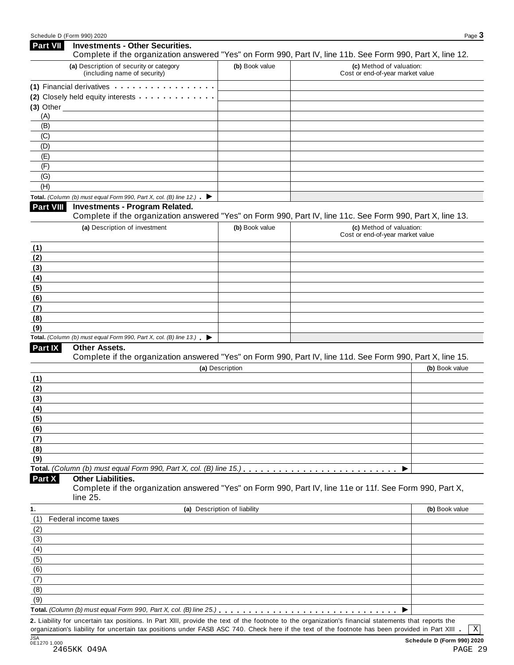| Part VII         | <b>Investments - Other Securities.</b><br>Complete if the organization answered "Yes" on Form 990, Part IV, line 11b. See Form 990, Part X, line 12. |                              |                                  |                |
|------------------|------------------------------------------------------------------------------------------------------------------------------------------------------|------------------------------|----------------------------------|----------------|
|                  | (a) Description of security or category                                                                                                              | (b) Book value               | (c) Method of valuation:         |                |
|                  | (including name of security)                                                                                                                         |                              | Cost or end-of-year market value |                |
|                  | (1) Financial derivatives                                                                                                                            |                              |                                  |                |
|                  | (2) Closely held equity interests                                                                                                                    |                              |                                  |                |
| (A)              | $(3)$ Other                                                                                                                                          |                              |                                  |                |
| (B)              |                                                                                                                                                      |                              |                                  |                |
| (C)              |                                                                                                                                                      |                              |                                  |                |
| (D)              |                                                                                                                                                      |                              |                                  |                |
| (E)              |                                                                                                                                                      |                              |                                  |                |
| (F)              |                                                                                                                                                      |                              |                                  |                |
| (G)              |                                                                                                                                                      |                              |                                  |                |
| (H)              |                                                                                                                                                      |                              |                                  |                |
|                  | Total. (Column (b) must equal Form 990, Part X, col. (B) line 12.) $\blacktriangleright$                                                             |                              |                                  |                |
| <b>Part VIII</b> | <b>Investments - Program Related.</b>                                                                                                                |                              |                                  |                |
|                  | Complete if the organization answered "Yes" on Form 990, Part IV, line 11c. See Form 990, Part X, line 13.                                           |                              |                                  |                |
|                  | (a) Description of investment                                                                                                                        | (b) Book value               | (c) Method of valuation:         |                |
|                  |                                                                                                                                                      |                              | Cost or end-of-year market value |                |
| (1)              |                                                                                                                                                      |                              |                                  |                |
| (2)              |                                                                                                                                                      |                              |                                  |                |
| (3)              |                                                                                                                                                      |                              |                                  |                |
| (4)              |                                                                                                                                                      |                              |                                  |                |
| (5)              |                                                                                                                                                      |                              |                                  |                |
| (6)              |                                                                                                                                                      |                              |                                  |                |
| (7)              |                                                                                                                                                      |                              |                                  |                |
| (8)<br>(9)       |                                                                                                                                                      |                              |                                  |                |
|                  | Total. (Column (b) must equal Form 990, Part X, col. (B) line 13.) $\blacktriangleright$                                                             |                              |                                  |                |
| Part IX          | <b>Other Assets.</b>                                                                                                                                 |                              |                                  |                |
|                  | Complete if the organization answered "Yes" on Form 990, Part IV, line 11d. See Form 990, Part X, line 15.                                           |                              |                                  |                |
|                  |                                                                                                                                                      | (a) Description              |                                  | (b) Book value |
| (1)              |                                                                                                                                                      |                              |                                  |                |
| (2)              |                                                                                                                                                      |                              |                                  |                |
| (3)              |                                                                                                                                                      |                              |                                  |                |
| (4)              |                                                                                                                                                      |                              |                                  |                |
| (5)              |                                                                                                                                                      |                              |                                  |                |
| (6)              |                                                                                                                                                      |                              |                                  |                |
| (7)              |                                                                                                                                                      |                              |                                  |                |
| (8)              |                                                                                                                                                      |                              |                                  |                |
| (9)              |                                                                                                                                                      |                              |                                  |                |
|                  |                                                                                                                                                      |                              |                                  |                |
| Part X           | <b>Other Liabilities.</b><br>Complete if the organization answered "Yes" on Form 990, Part IV, line 11e or 11f. See Form 990, Part X,                |                              |                                  |                |
|                  | line 25.                                                                                                                                             |                              |                                  |                |
| 1.               |                                                                                                                                                      | (a) Description of liability |                                  | (b) Book value |
| (1)              | Federal income taxes                                                                                                                                 |                              |                                  |                |
| (2)              |                                                                                                                                                      |                              |                                  |                |
| (3)              |                                                                                                                                                      |                              |                                  |                |
| (4)              |                                                                                                                                                      |                              |                                  |                |
| (5)              |                                                                                                                                                      |                              |                                  |                |
| (6)              |                                                                                                                                                      |                              |                                  |                |
| (7)              |                                                                                                                                                      |                              |                                  |                |
| (8)              |                                                                                                                                                      |                              |                                  |                |
| (9)              |                                                                                                                                                      |                              |                                  |                |
|                  | Total. (Column (b) must equal Form 990, Part X, col. (B) line 25.)                                                                                   |                              |                                  |                |
|                  |                                                                                                                                                      |                              |                                  |                |

**2.** Liability for uncertain tax positions. In Part XIII, provide the text of the footnote to the organization's financial statements that reports the organization's liability for uncertain tax positions under FASB ASC 740. Check here if the text of the footnote has been provided in Part XIII

X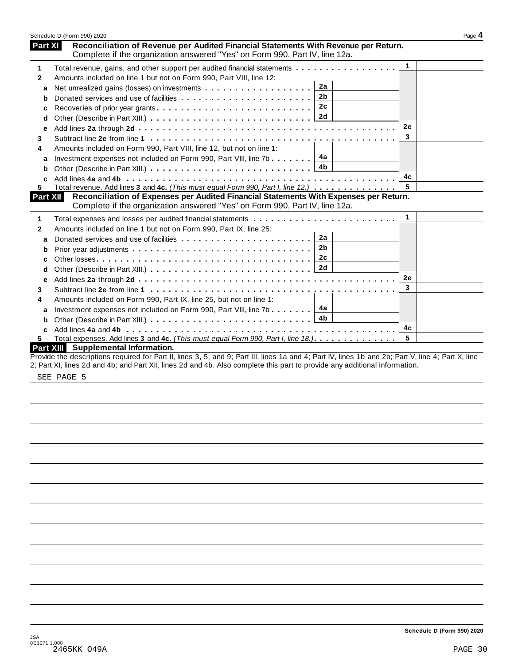|                | Schedule D (Form 990) 2020                                                                                                                                         |                | Page 4 |
|----------------|--------------------------------------------------------------------------------------------------------------------------------------------------------------------|----------------|--------|
| <b>Part XI</b> | Reconciliation of Revenue per Audited Financial Statements With Revenue per Return.<br>Complete if the organization answered "Yes" on Form 990, Part IV, line 12a. |                |        |
| 1              | Total revenue, gains, and other support per audited financial statements                                                                                           | $\overline{1}$ |        |
| $\mathbf{2}$   | Amounts included on line 1 but not on Form 990, Part VIII, line 12:                                                                                                |                |        |
| a              | 2a                                                                                                                                                                 |                |        |
| b              | 2 <sub>b</sub>                                                                                                                                                     |                |        |
| c              |                                                                                                                                                                    |                |        |
| d              |                                                                                                                                                                    |                |        |
| е              |                                                                                                                                                                    | <b>2e</b>      |        |
| 3              |                                                                                                                                                                    | 3              |        |
| 4              | Amounts included on Form 990, Part VIII, line 12, but not on line 1:                                                                                               |                |        |
| a              | Investment expenses not included on Form 990, Part VIII, line 7b $\frac{4a}{4a}$                                                                                   |                |        |
| b              |                                                                                                                                                                    |                |        |
| c              |                                                                                                                                                                    | 4с             |        |
| 5.             | Total revenue. Add lines 3 and 4c. (This must equal Form 990, Part I, line 12.)                                                                                    | 5              |        |
| Part XII       | Reconciliation of Expenses per Audited Financial Statements With Expenses per Return.                                                                              |                |        |
|                | Complete if the organization answered "Yes" on Form 990, Part IV, line 12a.                                                                                        |                |        |
| 1              |                                                                                                                                                                    | $\mathbf{1}$   |        |
| 2              | Amounts included on line 1 but not on Form 990, Part IX, line 25:                                                                                                  |                |        |
| a              | 2a                                                                                                                                                                 |                |        |
| b              | 2 <b>b</b>                                                                                                                                                         |                |        |
| c              | 2c                                                                                                                                                                 |                |        |
| d              |                                                                                                                                                                    |                |        |
| е              |                                                                                                                                                                    | <b>2e</b>      |        |
| 3              |                                                                                                                                                                    | $\overline{3}$ |        |
| 4              | Amounts included on Form 990, Part IX, line 25, but not on line 1:                                                                                                 |                |        |
| a              | Investment expenses not included on Form 990, Part VIII, line 7b $\boxed{4a}$                                                                                      |                |        |
| b              |                                                                                                                                                                    |                |        |
| C              |                                                                                                                                                                    | 4с             |        |
| 5.             | Total expenses. Add lines 3 and 4c. (This must equal Form 990, Part I, line 18.).                                                                                  | 5              |        |
|                | Part XIII Supplemental Information.                                                                                                                                |                |        |
|                | Provide the descriptions required for Part II, lines 3, 5, and 9; Part III, lines 1a and 4; Part IV, lines 1b and 2b; Part V, line 4; Part X, line                 |                |        |

2; Part XI, lines 2d and 4b; and Part XII, lines 2d and 4b. Also complete this part to provide any additional information.

SEE PAGE 5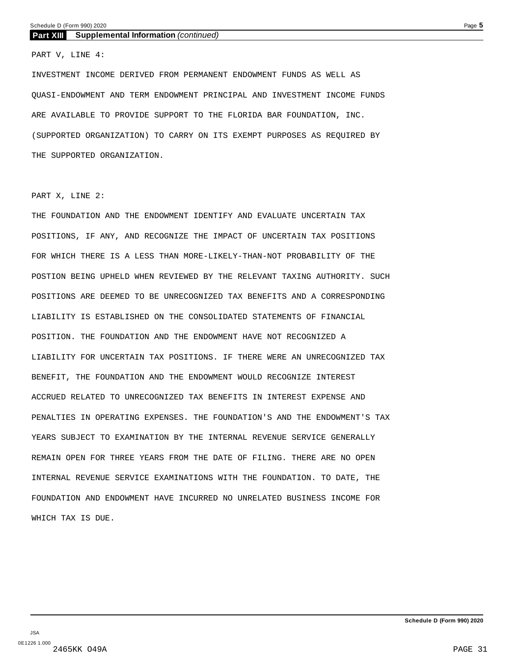#### **Part XIII Supplemental Information** *(continued)*

PART V, LINE 4:

INVESTMENT INCOME DERIVED FROM PERMANENT ENDOWMENT FUNDS AS WELL AS QUASI-ENDOWMENT AND TERM ENDOWMENT PRINCIPAL AND INVESTMENT INCOME FUNDS ARE AVAILABLE TO PROVIDE SUPPORT TO THE FLORIDA BAR FOUNDATION, INC. (SUPPORTED ORGANIZATION) TO CARRY ON ITS EXEMPT PURPOSES AS REQUIRED BY THE SUPPORTED ORGANIZATION.

PART X, LINE 2:

THE FOUNDATION AND THE ENDOWMENT IDENTIFY AND EVALUATE UNCERTAIN TAX POSITIONS, IF ANY, AND RECOGNIZE THE IMPACT OF UNCERTAIN TAX POSITIONS FOR WHICH THERE IS A LESS THAN MORE-LIKELY-THAN-NOT PROBABILITY OF THE POSTION BEING UPHELD WHEN REVIEWED BY THE RELEVANT TAXING AUTHORITY. SUCH POSITIONS ARE DEEMED TO BE UNRECOGNIZED TAX BENEFITS AND A CORRESPONDING LIABILITY IS ESTABLISHED ON THE CONSOLIDATED STATEMENTS OF FINANCIAL POSITION. THE FOUNDATION AND THE ENDOWMENT HAVE NOT RECOGNIZED A LIABILITY FOR UNCERTAIN TAX POSITIONS. IF THERE WERE AN UNRECOGNIZED TAX BENEFIT, THE FOUNDATION AND THE ENDOWMENT WOULD RECOGNIZE INTEREST ACCRUED RELATED TO UNRECOGNIZED TAX BENEFITS IN INTEREST EXPENSE AND PENALTIES IN OPERATING EXPENSES. THE FOUNDATION'S AND THE ENDOWMENT'S TAX YEARS SUBJECT TO EXAMINATION BY THE INTERNAL REVENUE SERVICE GENERALLY REMAIN OPEN FOR THREE YEARS FROM THE DATE OF FILING. THERE ARE NO OPEN INTERNAL REVENUE SERVICE EXAMINATIONS WITH THE FOUNDATION. TO DATE, THE FOUNDATION AND ENDOWMENT HAVE INCURRED NO UNRELATED BUSINESS INCOME FOR WHICH TAX IS DUE.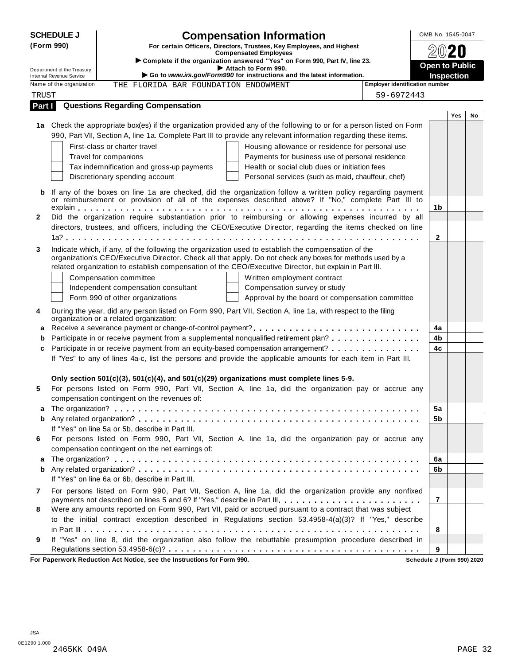| <b>SCHEDULE J</b> |                                                      | <b>Compensation Information</b>                                                                                                                                                                                     |                                                   | OMB No. 1545-0047     |                   |    |  |
|-------------------|------------------------------------------------------|---------------------------------------------------------------------------------------------------------------------------------------------------------------------------------------------------------------------|---------------------------------------------------|-----------------------|-------------------|----|--|
|                   | (Form 990)                                           | For certain Officers, Directors, Trustees, Key Employees, and Highest                                                                                                                                               |                                                   |                       |                   |    |  |
|                   |                                                      | <b>Compensated Employees</b><br>Complete if the organization answered "Yes" on Form 990, Part IV, line 23.                                                                                                          |                                                   |                       |                   |    |  |
|                   | Department of the Treasury                           | Attach to Form 990.                                                                                                                                                                                                 |                                                   | <b>Open to Public</b> |                   |    |  |
|                   | Internal Revenue Service<br>Name of the organization | Go to www.irs.gov/Form990 for instructions and the latest information.<br>THE FLORIDA BAR FOUNDATION ENDOWMENT                                                                                                      | <b>Employer identification number</b>             |                       | <b>Inspection</b> |    |  |
| TRUST             |                                                      |                                                                                                                                                                                                                     | 59-6972443                                        |                       |                   |    |  |
| Part I            |                                                      | <b>Questions Regarding Compensation</b>                                                                                                                                                                             |                                                   |                       |                   |    |  |
|                   |                                                      |                                                                                                                                                                                                                     |                                                   |                       | Yes               | No |  |
|                   |                                                      | 1a Check the appropriate box(es) if the organization provided any of the following to or for a person listed on Form                                                                                                |                                                   |                       |                   |    |  |
|                   |                                                      | 990, Part VII, Section A, line 1a. Complete Part III to provide any relevant information regarding these items.                                                                                                     |                                                   |                       |                   |    |  |
|                   |                                                      | First-class or charter travel                                                                                                                                                                                       | Housing allowance or residence for personal use   |                       |                   |    |  |
|                   |                                                      | Travel for companions                                                                                                                                                                                               | Payments for business use of personal residence   |                       |                   |    |  |
|                   |                                                      | Tax indemnification and gross-up payments<br>Health or social club dues or initiation fees                                                                                                                          |                                                   |                       |                   |    |  |
|                   |                                                      | Discretionary spending account                                                                                                                                                                                      | Personal services (such as maid, chauffeur, chef) |                       |                   |    |  |
|                   |                                                      |                                                                                                                                                                                                                     |                                                   |                       |                   |    |  |
| b                 |                                                      | If any of the boxes on line 1a are checked, did the organization follow a written policy regarding payment<br>or reimbursement or provision of all of the expenses described above? If "No," complete Part III to   |                                                   |                       |                   |    |  |
|                   |                                                      |                                                                                                                                                                                                                     |                                                   | 1b                    |                   |    |  |
| $\mathbf{2}$      |                                                      | Did the organization require substantiation prior to reimbursing or allowing expenses incurred by all                                                                                                               |                                                   |                       |                   |    |  |
|                   |                                                      | directors, trustees, and officers, including the CEO/Executive Director, regarding the items checked on line                                                                                                        |                                                   |                       |                   |    |  |
|                   |                                                      |                                                                                                                                                                                                                     |                                                   | $\mathbf{2}$          |                   |    |  |
| 3                 |                                                      | Indicate which, if any, of the following the organization used to establish the compensation of the                                                                                                                 |                                                   |                       |                   |    |  |
|                   |                                                      | organization's CEO/Executive Director. Check all that apply. Do not check any boxes for methods used by a<br>related organization to establish compensation of the CEO/Executive Director, but explain in Part III. |                                                   |                       |                   |    |  |
|                   |                                                      |                                                                                                                                                                                                                     |                                                   |                       |                   |    |  |
|                   |                                                      | Compensation committee<br>Written employment contract<br>Independent compensation consultant<br>Compensation survey or study                                                                                        |                                                   |                       |                   |    |  |
|                   |                                                      | Form 990 of other organizations                                                                                                                                                                                     | Approval by the board or compensation committee   |                       |                   |    |  |
|                   |                                                      |                                                                                                                                                                                                                     |                                                   |                       |                   |    |  |
| 4                 |                                                      | During the year, did any person listed on Form 990, Part VII, Section A, line 1a, with respect to the filing<br>organization or a related organization:                                                             |                                                   |                       |                   |    |  |
| а                 |                                                      |                                                                                                                                                                                                                     |                                                   | 4a                    |                   |    |  |
| b                 |                                                      | Participate in or receive payment from a supplemental nonqualified retirement plan?                                                                                                                                 |                                                   | 4b                    |                   |    |  |
| c                 |                                                      | Participate in or receive payment from an equity-based compensation arrangement?                                                                                                                                    |                                                   | 4c                    |                   |    |  |
|                   |                                                      | If "Yes" to any of lines 4a-c, list the persons and provide the applicable amounts for each item in Part III.                                                                                                       |                                                   |                       |                   |    |  |
|                   |                                                      |                                                                                                                                                                                                                     |                                                   |                       |                   |    |  |
|                   |                                                      | Only section $501(c)(3)$ , $501(c)(4)$ , and $501(c)(29)$ organizations must complete lines 5-9.                                                                                                                    |                                                   |                       |                   |    |  |
| 5                 |                                                      | For persons listed on Form 990, Part VII, Section A, line 1a, did the organization pay or accrue any                                                                                                                |                                                   |                       |                   |    |  |
|                   |                                                      | compensation contingent on the revenues of:                                                                                                                                                                         |                                                   |                       |                   |    |  |
| а                 |                                                      |                                                                                                                                                                                                                     |                                                   | 5a                    |                   |    |  |
| b                 |                                                      |                                                                                                                                                                                                                     |                                                   | 5b                    |                   |    |  |
|                   |                                                      | If "Yes" on line 5a or 5b, describe in Part III.                                                                                                                                                                    |                                                   |                       |                   |    |  |
| 6                 |                                                      | For persons listed on Form 990, Part VII, Section A, line 1a, did the organization pay or accrue any                                                                                                                |                                                   |                       |                   |    |  |
|                   |                                                      | compensation contingent on the net earnings of:                                                                                                                                                                     |                                                   |                       |                   |    |  |
| а                 |                                                      |                                                                                                                                                                                                                     |                                                   | 6a<br>6b              |                   |    |  |
| b                 |                                                      | If "Yes" on line 6a or 6b, describe in Part III.                                                                                                                                                                    |                                                   |                       |                   |    |  |
|                   |                                                      |                                                                                                                                                                                                                     |                                                   |                       |                   |    |  |
| 7                 |                                                      | For persons listed on Form 990, Part VII, Section A, line 1a, did the organization provide any nonfixed<br>payments not described on lines 5 and 6? If "Yes," describe in Part III.                                 |                                                   | 7                     |                   |    |  |
| 8                 |                                                      | Were any amounts reported on Form 990, Part VII, paid or accrued pursuant to a contract that was subject                                                                                                            |                                                   |                       |                   |    |  |
|                   |                                                      | to the initial contract exception described in Regulations section 53.4958-4(a)(3)? If "Yes," describe                                                                                                              |                                                   |                       |                   |    |  |
|                   |                                                      |                                                                                                                                                                                                                     |                                                   | 8                     |                   |    |  |
| 9                 |                                                      | If "Yes" on line 8, did the organization also follow the rebuttable presumption procedure described in                                                                                                              |                                                   |                       |                   |    |  |
|                   |                                                      |                                                                                                                                                                                                                     |                                                   | 9                     |                   |    |  |

**For Paperwork Reduction Act Notice, see the Instructions for Form 990. Schedule J (Form 990) 2020**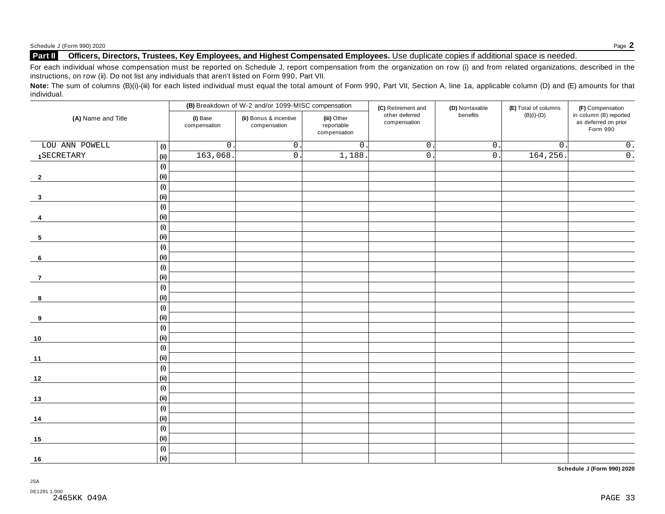### **Part II Officers, Directors, Trustees, Key Employees, and Highest Compensated Employees.** Use duplicate copies ifadditional space is needed.

For each individual whose compensation must be reported on Schedule J, report compensation from the organization on row (i) and from related organizations, described in the instructions, on row (ii). Do not list any individuals that aren't listed on Form 990, Part VII.

Note: The sum of columns (B)(i)-(iii) for each listed individual must equal the total amount of Form 990, Part VII, Section A, line 1a, applicable column (D) and (E) amounts for that individual.

|                    |                              |                          | (B) Breakdown of W-2 and/or 1099-MISC compensation |                                           | (C) Retirement and             | (D) Nontaxable   | (E) Total of columns | (F) Compensation                                           |  |
|--------------------|------------------------------|--------------------------|----------------------------------------------------|-------------------------------------------|--------------------------------|------------------|----------------------|------------------------------------------------------------|--|
| (A) Name and Title |                              | (i) Base<br>compensation | (ii) Bonus & incentive<br>compensation             | (iii) Other<br>reportable<br>compensation | other deferred<br>compensation | benefits         | $(B)(i)-(D)$         | in column (B) reported<br>as deferred on prior<br>Form 990 |  |
| LOU ANN POWELL     | (i)                          | $\overline{0}$ .         | $0$ .                                              | $\overline{0}$ .                          | $\overline{0}$ .               | $\overline{0}$ . | $\overline{0}$ .     | $\overline{0}$ .                                           |  |
| 1SECRETARY         | (ii)                         | 163,068                  | $\overline{0}$ .                                   | 1,188.                                    | $\overline{0}$ .               | $\overline{0}$ . | 164, 256.            | $\overline{0}$ .                                           |  |
|                    | (i)                          |                          |                                                    |                                           |                                |                  |                      |                                                            |  |
| $\overline{2}$     | (ii)                         |                          |                                                    |                                           |                                |                  |                      |                                                            |  |
|                    | (i)                          |                          |                                                    |                                           |                                |                  |                      |                                                            |  |
| $\mathbf{3}$       | (ii)                         |                          |                                                    |                                           |                                |                  |                      |                                                            |  |
|                    | (i)                          |                          |                                                    |                                           |                                |                  |                      |                                                            |  |
| -4                 | (ii)                         |                          |                                                    |                                           |                                |                  |                      |                                                            |  |
|                    | (i)                          |                          |                                                    |                                           |                                |                  |                      |                                                            |  |
| $\sqrt{5}$         | (ii)                         |                          |                                                    |                                           |                                |                  |                      |                                                            |  |
|                    | (i)                          |                          |                                                    |                                           |                                |                  |                      |                                                            |  |
| 6                  | (ii)                         |                          |                                                    |                                           |                                |                  |                      |                                                            |  |
|                    | (i)                          |                          |                                                    |                                           |                                |                  |                      |                                                            |  |
| $\overline{7}$     | (ii)                         |                          |                                                    |                                           |                                |                  |                      |                                                            |  |
|                    | (i)                          |                          |                                                    |                                           |                                |                  |                      |                                                            |  |
| 8                  | (i)                          |                          |                                                    |                                           |                                |                  |                      |                                                            |  |
|                    | $\qquad \qquad \textbf{(i)}$ |                          |                                                    |                                           |                                |                  |                      |                                                            |  |
| 9                  | (ii)                         |                          |                                                    |                                           |                                |                  |                      |                                                            |  |
|                    | (i)                          |                          |                                                    |                                           |                                |                  |                      |                                                            |  |
| 10                 | (ii)                         |                          |                                                    |                                           |                                |                  |                      |                                                            |  |
|                    | (i)                          |                          |                                                    |                                           |                                |                  |                      |                                                            |  |
| 11                 | (ii)                         |                          |                                                    |                                           |                                |                  |                      |                                                            |  |
|                    | (i)                          |                          |                                                    |                                           |                                |                  |                      |                                                            |  |
| $12$               | (ii)                         |                          |                                                    |                                           |                                |                  |                      |                                                            |  |
|                    | (i)                          |                          |                                                    |                                           |                                |                  |                      |                                                            |  |
| 13                 | (ii)                         |                          |                                                    |                                           |                                |                  |                      |                                                            |  |
|                    | (i)                          |                          |                                                    |                                           |                                |                  |                      |                                                            |  |
| 14                 | (ii)                         |                          |                                                    |                                           |                                |                  |                      |                                                            |  |
|                    | (i)                          |                          |                                                    |                                           |                                |                  |                      |                                                            |  |
| 15                 | (ii)                         |                          |                                                    |                                           |                                |                  |                      |                                                            |  |
|                    | (i)                          |                          |                                                    |                                           |                                |                  |                      |                                                            |  |
| $16$               | (ii)                         |                          |                                                    |                                           |                                |                  |                      |                                                            |  |

**Schedule J (Form 990) 2020**

JSA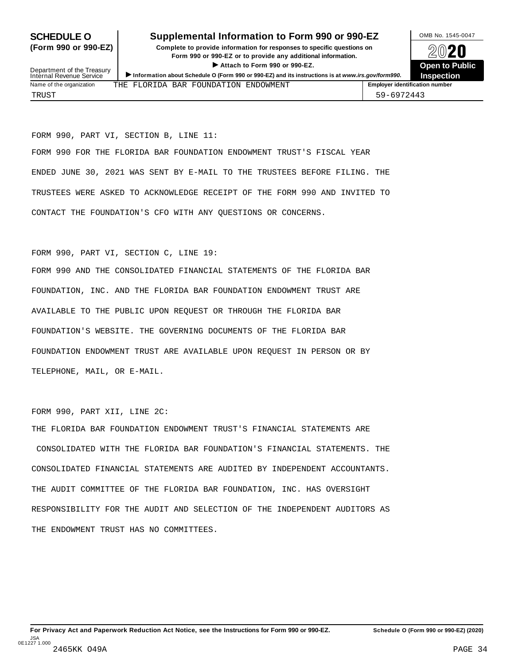Department of the Treasury

### **SCHEDULE O** Supplemental Information to Form 990 or 990-EZ DAMB No. 1545-0047

**(Form 990 or 990-EZ) Complete to provide information for responses to specific questions on** plete to provide information for responses to specific questions on  $\mathbb{Z} \oplus \mathbb{Z}$ I **Attach to Form <sup>990</sup> or 990-EZ. Open to Public**



| <b>PUPUL MILLION WILD THOUGHTY</b><br>Internal Revenue Service |  |                                      | Information about Schedule O (Form 990 or 990-EZ) and its instructions is at www.irs.gov/form990. |            | <b>Inspection</b>                     |
|----------------------------------------------------------------|--|--------------------------------------|---------------------------------------------------------------------------------------------------|------------|---------------------------------------|
| Name of the organization                                       |  | THE FLORIDA BAR FOUNDATION ENDOWMENT |                                                                                                   |            | <b>Employer identification number</b> |
| TRUST                                                          |  |                                      |                                                                                                   | 59-6972443 |                                       |

FORM 990, PART VI, SECTION B, LINE 11:

FORM 990 FOR THE FLORIDA BAR FOUNDATION ENDOWMENT TRUST'S FISCAL YEAR ENDED JUNE 30, 2021 WAS SENT BY E-MAIL TO THE TRUSTEES BEFORE FILING. THE TRUSTEES WERE ASKED TO ACKNOWLEDGE RECEIPT OF THE FORM 990 AND INVITED TO CONTACT THE FOUNDATION'S CFO WITH ANY QUESTIONS OR CONCERNS.

#### FORM 990, PART VI, SECTION C, LINE 19:

FORM 990 AND THE CONSOLIDATED FINANCIAL STATEMENTS OF THE FLORIDA BAR FOUNDATION, INC. AND THE FLORIDA BAR FOUNDATION ENDOWMENT TRUST ARE AVAILABLE TO THE PUBLIC UPON REQUEST OR THROUGH THE FLORIDA BAR FOUNDATION'S WEBSITE. THE GOVERNING DOCUMENTS OF THE FLORIDA BAR FOUNDATION ENDOWMENT TRUST ARE AVAILABLE UPON REQUEST IN PERSON OR BY TELEPHONE, MAIL, OR E-MAIL.

#### FORM 990, PART XII, LINE 2C:

THE FLORIDA BAR FOUNDATION ENDOWMENT TRUST'S FINANCIAL STATEMENTS ARE CONSOLIDATED WITH THE FLORIDA BAR FOUNDATION'S FINANCIAL STATEMENTS. THE CONSOLIDATED FINANCIAL STATEMENTS ARE AUDITED BY INDEPENDENT ACCOUNTANTS. THE AUDIT COMMITTEE OF THE FLORIDA BAR FOUNDATION, INC. HAS OVERSIGHT RESPONSIBILITY FOR THE AUDIT AND SELECTION OF THE INDEPENDENT AUDITORS AS THE ENDOWMENT TRUST HAS NO COMMITTEES.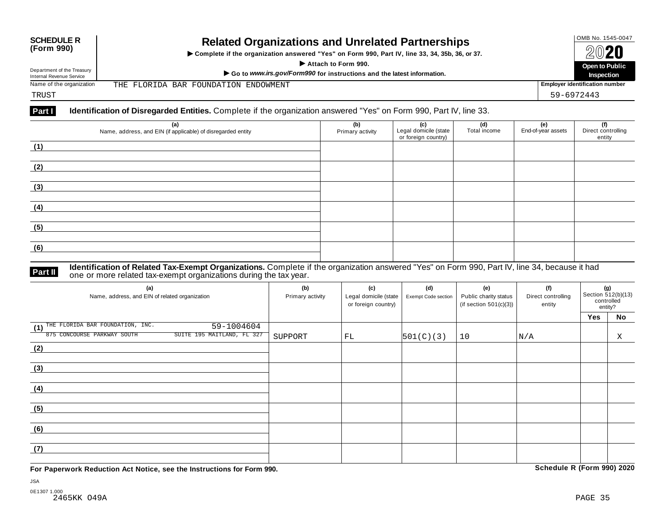|  | (Form 990 |  |
|--|-----------|--|
|  |           |  |

## OMB No. 1545-0047 **SCHEDULE R (Form 990) Related Organizations and Unrelated Partnerships**

 $\triangleright$  Complete if the organization answered "Yes" on Form 990, Part IV, line 33, 34, 35b, 36, or 37.  $\angle$  **COLO**<br>  $\angle$  Attach to Form 990.<br>  $\angle$  Attach to Form 990.

**Inspection**

Department of the Treasury

Department of the Treasury<br>Internal Revenue Service **Department of the Treasury** Open to Public<br>Name of the organization THE FLORIDA BAR FOUNDATION ENDOWMENT

TRUST 59-6972443

#### **Part I Identification of Disregarded Entities.** Complete if the organization answered "Yes" on Form 990, Part IV, line 33.

THE FLORIDA BAR FOUNDATION ENDOWMENT

| (a)<br>Name, address, and EIN (if applicable) of disregarded entity | (b)<br>Primary activity | (c)<br>Legal domicile (state<br>or foreign country) | (d)<br>Total income | (e)<br>End-of-year assets | (f)<br>Direct controlling<br>entity |
|---------------------------------------------------------------------|-------------------------|-----------------------------------------------------|---------------------|---------------------------|-------------------------------------|
| (1)                                                                 |                         |                                                     |                     |                           |                                     |
| (2)                                                                 |                         |                                                     |                     |                           |                                     |
| (3)                                                                 |                         |                                                     |                     |                           |                                     |
| (4)                                                                 |                         |                                                     |                     |                           |                                     |
| (5)                                                                 |                         |                                                     |                     |                           |                                     |
| (6)                                                                 |                         |                                                     |                     |                           |                                     |

#### **Identification of Related Tax-Exempt Organizations.** Complete if the organization answered "Yes" on Form 990, Part IV, line 34, because it had **Part II** one or more related tax-exempt organizations during the tax year.

| (a)<br>Name, address, and EIN of related organization             | (b)<br>Primary activity | (c)<br>Legal domicile (state  <br>or foreign country) | (d)<br>Exempt Code section | (e)<br>Public charity status<br>(if section $501(c)(3)$ ) | (f)<br>Direct controlling<br>entity | (g)<br>Section 512(b)(13)<br>controlled<br>entity? |    |
|-------------------------------------------------------------------|-------------------------|-------------------------------------------------------|----------------------------|-----------------------------------------------------------|-------------------------------------|----------------------------------------------------|----|
|                                                                   |                         |                                                       |                            |                                                           |                                     | Yes                                                | No |
| (1) THE FLORIDA BAR FOUNDATION, INC.<br>$\overline{59} - 1004604$ |                         |                                                       |                            |                                                           |                                     |                                                    |    |
| SUITE 195 MAITLAND, FL 327<br>875 CONCOURSE PARKWAY SOUTH         | SUPPORT                 | FL                                                    | 501(C)(3)                  | 10                                                        | N/A                                 |                                                    | Χ  |
| (2)                                                               |                         |                                                       |                            |                                                           |                                     |                                                    |    |
|                                                                   |                         |                                                       |                            |                                                           |                                     |                                                    |    |
| (3)                                                               |                         |                                                       |                            |                                                           |                                     |                                                    |    |
|                                                                   |                         |                                                       |                            |                                                           |                                     |                                                    |    |
| (4)                                                               |                         |                                                       |                            |                                                           |                                     |                                                    |    |
|                                                                   |                         |                                                       |                            |                                                           |                                     |                                                    |    |
| (5)                                                               |                         |                                                       |                            |                                                           |                                     |                                                    |    |
|                                                                   |                         |                                                       |                            |                                                           |                                     |                                                    |    |
| (6)                                                               |                         |                                                       |                            |                                                           |                                     |                                                    |    |
|                                                                   |                         |                                                       |                            |                                                           |                                     |                                                    |    |
| (7)                                                               |                         |                                                       |                            |                                                           |                                     |                                                    |    |
|                                                                   |                         |                                                       |                            |                                                           |                                     |                                                    |    |

**For Paperwork Reduction Act Notice, see the Instructions for Form 990. Schedule R (Form 990) 2020**

JSA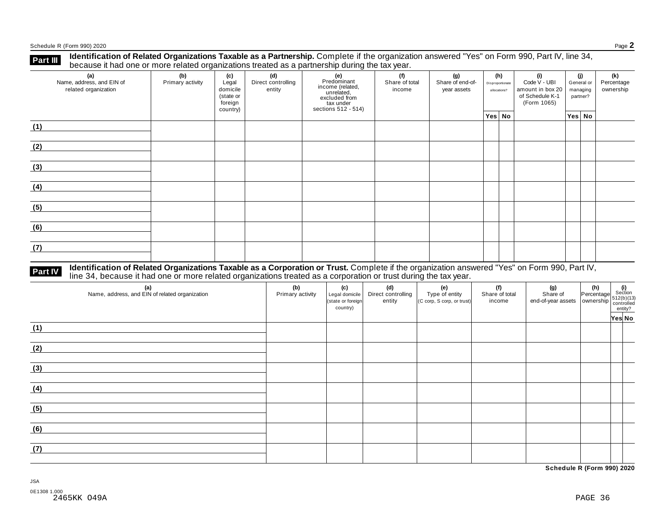Schedule <sup>R</sup> (Form 990) <sup>2020</sup> Page **2**

**Part III** Identification of Related Organizations Taxable as a Partnership. Complete if the organization answered "Yes" on Form 990, Part IV, line 34,<br>because it had one or more related organizations treated as a partners

| (a)<br>Name, address, and EIN of<br>related organization | (b)<br>Primary activity | (c)<br>Legal<br>domicile<br>(state or<br>foreign<br>country) | (d)<br>Direct controlling<br>entity | (e)<br>Predominant<br>income (related,<br>unrelated,<br>excluded from<br>tax under<br>sections 512 - 514) | (f)<br>Share of total<br>income | (g)<br>Share of end-of-<br>year assets | (h)<br>Disproportionate<br>allocations? |  |  |  |        |  |  |  |  |  | (i)<br>Code V - UBI<br>amount in box 20<br>of Schedule K-1<br>(Form 1065) | (i)<br>General or<br>managing<br>partner? |  | (k)<br>Percentage<br>ownership |
|----------------------------------------------------------|-------------------------|--------------------------------------------------------------|-------------------------------------|-----------------------------------------------------------------------------------------------------------|---------------------------------|----------------------------------------|-----------------------------------------|--|--|--|--------|--|--|--|--|--|---------------------------------------------------------------------------|-------------------------------------------|--|--------------------------------|
|                                                          |                         |                                                              |                                     |                                                                                                           |                                 |                                        | Yes No                                  |  |  |  | Yes No |  |  |  |  |  |                                                                           |                                           |  |                                |
| (1)                                                      |                         |                                                              |                                     |                                                                                                           |                                 |                                        |                                         |  |  |  |        |  |  |  |  |  |                                                                           |                                           |  |                                |
| (2)                                                      |                         |                                                              |                                     |                                                                                                           |                                 |                                        |                                         |  |  |  |        |  |  |  |  |  |                                                                           |                                           |  |                                |
| (3)                                                      |                         |                                                              |                                     |                                                                                                           |                                 |                                        |                                         |  |  |  |        |  |  |  |  |  |                                                                           |                                           |  |                                |
| (4)                                                      |                         |                                                              |                                     |                                                                                                           |                                 |                                        |                                         |  |  |  |        |  |  |  |  |  |                                                                           |                                           |  |                                |
| (5)                                                      |                         |                                                              |                                     |                                                                                                           |                                 |                                        |                                         |  |  |  |        |  |  |  |  |  |                                                                           |                                           |  |                                |
| (6)                                                      |                         |                                                              |                                     |                                                                                                           |                                 |                                        |                                         |  |  |  |        |  |  |  |  |  |                                                                           |                                           |  |                                |
| (7)                                                      |                         |                                                              |                                     |                                                                                                           |                                 |                                        |                                         |  |  |  |        |  |  |  |  |  |                                                                           |                                           |  |                                |

# **Part IV** Identification of Related Organizations Taxable as a Corporation or Trust. Complete if the organization answered "Yes" on Form 990, Part IV,<br>line 34, because it had one or more related organizations treated as a

| (a)<br>Name, address, and EIN of related organization | (b)<br>Primary activity | (c)<br>Legal domicile<br>(state or foreign<br>country) | (d)<br>Direct controlling<br>entity | (e)<br>Type of entity<br>(C corp, S corp, or trust) | (f)<br>Share of total<br>income | (g) (h) $\frac{1}{\sqrt{3}}$ (i) $\frac{1}{\sqrt{3}}$ (i) $\frac{1}{\sqrt{3}}$ (i) $\frac{1}{\sqrt{3}}$ (b) $\frac{1}{\sqrt{3}}$ (c) $\frac{1}{\sqrt{3}}$ (c) $\frac{1}{\sqrt{3}}$ (c) $\frac{1}{\sqrt{3}}$ (c) $\frac{1}{\sqrt{3}}$ (c) $\frac{1}{\sqrt{3}}$ (c) $\frac{1}{\sqrt{3}}$ (c) $\frac{1}{\sqrt{3}}$ (c) $\frac{1}{\sqrt{$ |        |  |
|-------------------------------------------------------|-------------------------|--------------------------------------------------------|-------------------------------------|-----------------------------------------------------|---------------------------------|---------------------------------------------------------------------------------------------------------------------------------------------------------------------------------------------------------------------------------------------------------------------------------------------------------------------------------------|--------|--|
| (1)                                                   |                         |                                                        |                                     |                                                     |                                 |                                                                                                                                                                                                                                                                                                                                       | Yes No |  |
|                                                       |                         |                                                        |                                     |                                                     |                                 |                                                                                                                                                                                                                                                                                                                                       |        |  |
| (2)                                                   |                         |                                                        |                                     |                                                     |                                 |                                                                                                                                                                                                                                                                                                                                       |        |  |
| (3)                                                   |                         |                                                        |                                     |                                                     |                                 |                                                                                                                                                                                                                                                                                                                                       |        |  |
| (4)                                                   |                         |                                                        |                                     |                                                     |                                 |                                                                                                                                                                                                                                                                                                                                       |        |  |
| (5)                                                   |                         |                                                        |                                     |                                                     |                                 |                                                                                                                                                                                                                                                                                                                                       |        |  |
| (6)                                                   |                         |                                                        |                                     |                                                     |                                 |                                                                                                                                                                                                                                                                                                                                       |        |  |
| (7)                                                   |                         |                                                        |                                     |                                                     |                                 |                                                                                                                                                                                                                                                                                                                                       |        |  |

**Schedule R (Form 990) 2020**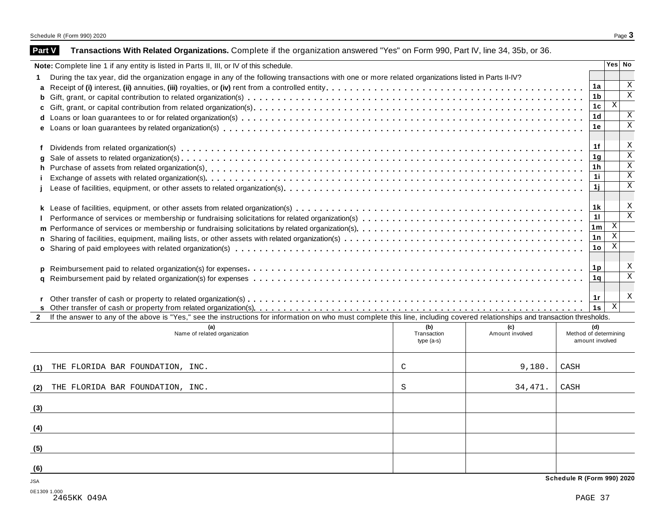| <b>Part V</b> | Transactions With Related Organizations. Complete if the organization answered "Yes" on Form 990, Part IV, line 34, 35b, or 36.                                              |                                    |                        |                                                 |                |                         |
|---------------|------------------------------------------------------------------------------------------------------------------------------------------------------------------------------|------------------------------------|------------------------|-------------------------------------------------|----------------|-------------------------|
|               | Note: Complete line 1 if any entity is listed in Parts II, III, or IV of this schedule.                                                                                      |                                    |                        |                                                 |                | Yes   No                |
|               | During the tax year, did the organization engage in any of the following transactions with one or more related organizations listed in Parts II-IV?                          |                                    |                        |                                                 |                |                         |
|               |                                                                                                                                                                              |                                    |                        | 1a                                              |                | X                       |
|               |                                                                                                                                                                              |                                    |                        | 1 <sub>b</sub>                                  |                | $\overline{X}$          |
|               |                                                                                                                                                                              |                                    |                        |                                                 | 1c             | $\mathbf{X}$            |
|               |                                                                                                                                                                              |                                    |                        | 1 <sub>d</sub>                                  |                | X                       |
|               |                                                                                                                                                                              |                                    |                        | 1e                                              |                | $\overline{X}$          |
| f             |                                                                                                                                                                              |                                    |                        | 1f                                              |                | X                       |
| g             |                                                                                                                                                                              |                                    |                        | 1 <sub>g</sub>                                  |                | $\overline{\mathbf{x}}$ |
|               |                                                                                                                                                                              |                                    |                        | 1 <sub>h</sub>                                  |                | $\overline{\text{X}}$   |
|               |                                                                                                                                                                              |                                    |                        | 11                                              |                | $\overline{\mathbf{x}}$ |
|               |                                                                                                                                                                              |                                    |                        |                                                 | 1j             | $\overline{X}$          |
|               |                                                                                                                                                                              |                                    |                        | 1 <sub>k</sub>                                  |                | X                       |
|               |                                                                                                                                                                              |                                    |                        | 11                                              |                | $\overline{\mathbf{x}}$ |
|               |                                                                                                                                                                              |                                    |                        | 1m                                              |                | $\mathbf{X}$            |
|               |                                                                                                                                                                              |                                    |                        |                                                 | 1n             | $\mathbf{X}$            |
|               |                                                                                                                                                                              |                                    |                        |                                                 | 1 <sub>o</sub> | $\,$ X                  |
|               |                                                                                                                                                                              |                                    |                        |                                                 |                |                         |
|               |                                                                                                                                                                              |                                    |                        | 1p                                              |                | X                       |
|               |                                                                                                                                                                              |                                    |                        | 1 <sub>q</sub>                                  |                | $\overline{\mathbf{x}}$ |
|               |                                                                                                                                                                              |                                    |                        | 1r                                              |                | X                       |
|               |                                                                                                                                                                              |                                    |                        |                                                 | 1s             | $\mathbf X$             |
|               | If the answer to any of the above is "Yes," see the instructions for information on who must complete this line, including covered relationships and transaction thresholds. |                                    |                        |                                                 |                |                         |
|               | (a)<br>Name of related organization                                                                                                                                          | (b)<br>Transaction<br>type $(a-s)$ | (c)<br>Amount involved | (d)<br>Method of determining<br>amount involved |                |                         |
| (1)           | THE FLORIDA BAR FOUNDATION, INC.                                                                                                                                             | $\mathsf{C}$                       | 9,180.                 | CASH                                            |                |                         |
| (2)           | THE FLORIDA BAR FOUNDATION, INC.                                                                                                                                             | S                                  | 34,471.                | CASH                                            |                |                         |
| (3)           |                                                                                                                                                                              |                                    |                        |                                                 |                |                         |
|               |                                                                                                                                                                              |                                    |                        |                                                 |                |                         |
| (4)           |                                                                                                                                                                              |                                    |                        |                                                 |                |                         |
| (5)           |                                                                                                                                                                              |                                    |                        |                                                 |                |                         |
| (6)           |                                                                                                                                                                              |                                    |                        |                                                 |                |                         |
| <b>JSA</b>    |                                                                                                                                                                              |                                    |                        | Schedule R (Form 990) 2020                      |                |                         |
| 0E1309 1.000  | 2465KK 049A                                                                                                                                                                  |                                    |                        | PAGE 37                                         |                |                         |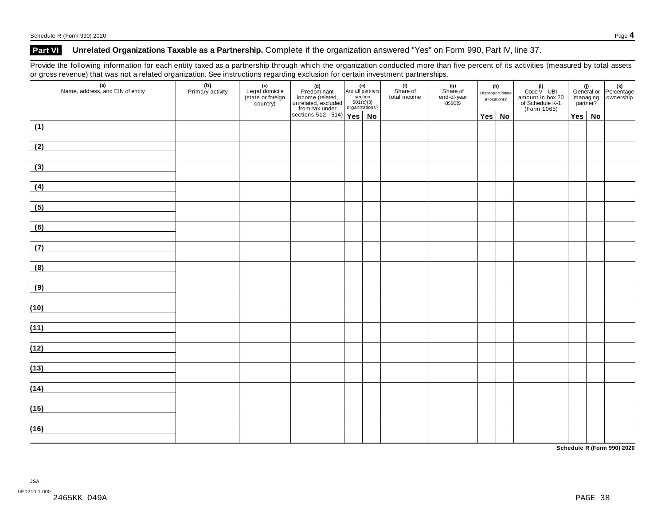### **Part VI Unrelated Organizations Taxable as a Partnership.** Complete if the organization answered "Yes" on Form 990, Part IV, line 37.

Provide the following information for each entity taxed as a partnership through which the organization conducted more than five percent of its activities (measured by total assets or gross revenue) that was not a related organization. See instructions regarding exclusion for certain investment partnerships.

| (a)<br>Name, address, and EIN of entity | (b)<br>Primary activity | (c)<br>Legal domicile<br>(state or foreign<br>country) | (d)<br>Predominant<br>income (related, Are all par<br>unrelated, excluded section<br>from tax under organizat<br>sections 512 - 514)<br>Yes | Are all partners<br>section<br>501(c)(3)<br>organizations? |    | . .<br>(f)<br>Share of<br>total income | (g)<br>Share of<br>end-of-year<br>assets | (h)<br>Disproportionate<br>allocations? |        | (i)<br>Code V - UBI<br>amount in box 20<br>of Schedule K-1<br>(Form 1065) |               | (i)<br>General or Percentage<br>managing ownership<br>partner? |
|-----------------------------------------|-------------------------|--------------------------------------------------------|---------------------------------------------------------------------------------------------------------------------------------------------|------------------------------------------------------------|----|----------------------------------------|------------------------------------------|-----------------------------------------|--------|---------------------------------------------------------------------------|---------------|----------------------------------------------------------------|
|                                         |                         |                                                        |                                                                                                                                             |                                                            | No |                                        |                                          |                                         | Yes No |                                                                           | $Yes \mid No$ |                                                                |
| (1)                                     |                         |                                                        |                                                                                                                                             |                                                            |    |                                        |                                          |                                         |        |                                                                           |               |                                                                |
| (2)                                     |                         |                                                        |                                                                                                                                             |                                                            |    |                                        |                                          |                                         |        |                                                                           |               |                                                                |
| (3)                                     |                         |                                                        |                                                                                                                                             |                                                            |    |                                        |                                          |                                         |        |                                                                           |               |                                                                |
| (4)                                     |                         |                                                        |                                                                                                                                             |                                                            |    |                                        |                                          |                                         |        |                                                                           |               |                                                                |
| (5)                                     |                         |                                                        |                                                                                                                                             |                                                            |    |                                        |                                          |                                         |        |                                                                           |               |                                                                |
| (6)                                     |                         |                                                        |                                                                                                                                             |                                                            |    |                                        |                                          |                                         |        |                                                                           |               |                                                                |
| (7)                                     |                         |                                                        |                                                                                                                                             |                                                            |    |                                        |                                          |                                         |        |                                                                           |               |                                                                |
| (8)                                     |                         |                                                        |                                                                                                                                             |                                                            |    |                                        |                                          |                                         |        |                                                                           |               |                                                                |
| (9)                                     |                         |                                                        |                                                                                                                                             |                                                            |    |                                        |                                          |                                         |        |                                                                           |               |                                                                |
| (10)                                    |                         |                                                        |                                                                                                                                             |                                                            |    |                                        |                                          |                                         |        |                                                                           |               |                                                                |
| (11)                                    |                         |                                                        |                                                                                                                                             |                                                            |    |                                        |                                          |                                         |        |                                                                           |               |                                                                |
| (12)                                    |                         |                                                        |                                                                                                                                             |                                                            |    |                                        |                                          |                                         |        |                                                                           |               |                                                                |
| (13)                                    |                         |                                                        |                                                                                                                                             |                                                            |    |                                        |                                          |                                         |        |                                                                           |               |                                                                |
|                                         |                         |                                                        |                                                                                                                                             |                                                            |    |                                        |                                          |                                         |        |                                                                           |               |                                                                |
| (14)                                    |                         |                                                        |                                                                                                                                             |                                                            |    |                                        |                                          |                                         |        |                                                                           |               |                                                                |
| (15)                                    |                         |                                                        |                                                                                                                                             |                                                            |    |                                        |                                          |                                         |        |                                                                           |               |                                                                |
| (16)                                    |                         |                                                        |                                                                                                                                             |                                                            |    |                                        |                                          |                                         |        |                                                                           |               |                                                                |

**Schedule R (Form 990) 2020**